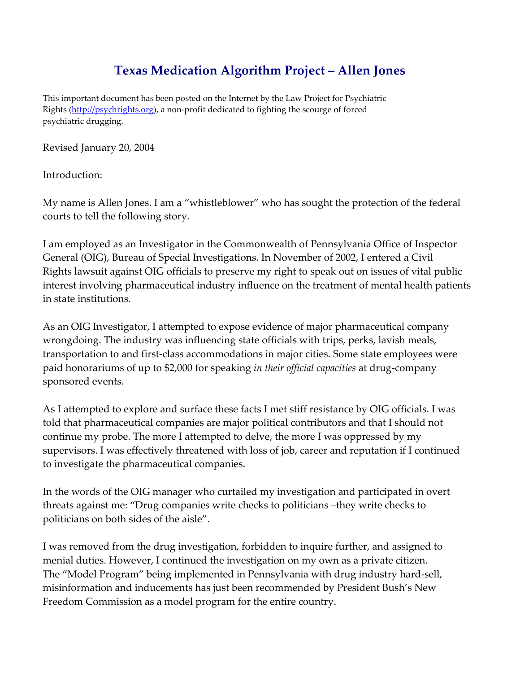# Texas Medication Algorithm Project – Allen Jones

This important document has been posted on the Internet by the Law Project for Psychiatric Rights (http://psychrights.org), a non-profit dedicated to fighting the scourge of forced psychiatric drugging.

Revised January 20, 2004

Introduction:

My name is Allen Jones. I am a "whistleblower" who has sought the protection of the federal courts to tell the following story.

I am employed as an Investigator in the Commonwealth of Pennsylvania Office of Inspector General (OIG), Bureau of Special Investigations. In November of 2002, I entered a Civil Rights lawsuit against OIG officials to preserve my right to speak out on issues of vital public interest involving pharmaceutical industry influence on the treatment of mental health patients in state institutions.

As an OIG Investigator, I attempted to expose evidence of major pharmaceutical company wrongdoing. The industry was influencing state officials with trips, perks, lavish meals, transportation to and first-class accommodations in major cities. Some state employees were paid honorariums of up to \$2,000 for speaking in their official capacities at drug-company sponsored events.

As I attempted to explore and surface these facts I met stiff resistance by OIG officials. I was told that pharmaceutical companies are major political contributors and that I should not continue my probe. The more I attempted to delve, the more I was oppressed by my supervisors. I was effectively threatened with loss of job, career and reputation if I continued to investigate the pharmaceutical companies.

In the words of the OIG manager who curtailed my investigation and participated in overt threats against me: "Drug companies write checks to politicians –they write checks to politicians on both sides of the aisle".

I was removed from the drug investigation, forbidden to inquire further, and assigned to menial duties. However, I continued the investigation on my own as a private citizen. The "Model Program" being implemented in Pennsylvania with drug industry hard-sell, misinformation and inducements has just been recommended by President Bush's New Freedom Commission as a model program for the entire country.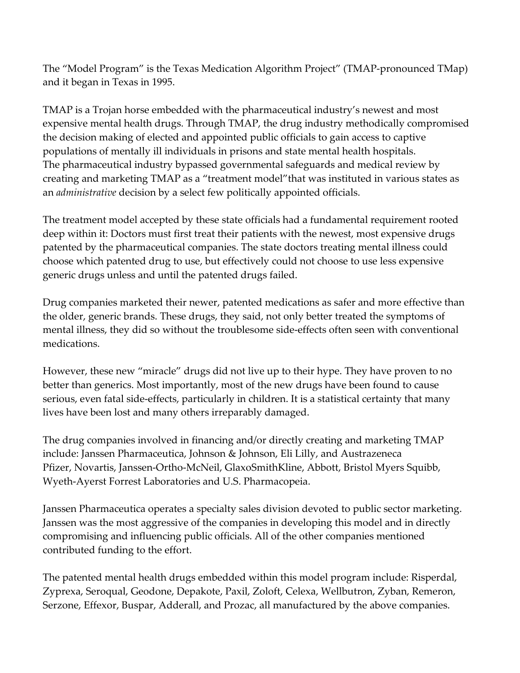The "Model Program" is the Texas Medication Algorithm Project" (TMAP-pronounced TMap) and it began in Texas in 1995.

TMAP is a Trojan horse embedded with the pharmaceutical industry's newest and most expensive mental health drugs. Through TMAP, the drug industry methodically compromised the decision making of elected and appointed public officials to gain access to captive populations of mentally ill individuals in prisons and state mental health hospitals. The pharmaceutical industry bypassed governmental safeguards and medical review by creating and marketing TMAP as a "treatment model"that was instituted in various states as an administrative decision by a select few politically appointed officials.

The treatment model accepted by these state officials had a fundamental requirement rooted deep within it: Doctors must first treat their patients with the newest, most expensive drugs patented by the pharmaceutical companies. The state doctors treating mental illness could choose which patented drug to use, but effectively could not choose to use less expensive generic drugs unless and until the patented drugs failed.

Drug companies marketed their newer, patented medications as safer and more effective than the older, generic brands. These drugs, they said, not only better treated the symptoms of mental illness, they did so without the troublesome side-effects often seen with conventional medications.

However, these new "miracle" drugs did not live up to their hype. They have proven to no better than generics. Most importantly, most of the new drugs have been found to cause serious, even fatal side-effects, particularly in children. It is a statistical certainty that many lives have been lost and many others irreparably damaged.

The drug companies involved in financing and/or directly creating and marketing TMAP include: Janssen Pharmaceutica, Johnson & Johnson, Eli Lilly, and Austrazeneca Pfizer, Novartis, Janssen-Ortho-McNeil, GlaxoSmithKline, Abbott, Bristol Myers Squibb, Wyeth-Ayerst Forrest Laboratories and U.S. Pharmacopeia.

Janssen Pharmaceutica operates a specialty sales division devoted to public sector marketing. Janssen was the most aggressive of the companies in developing this model and in directly compromising and influencing public officials. All of the other companies mentioned contributed funding to the effort.

The patented mental health drugs embedded within this model program include: Risperdal, Zyprexa, Seroqual, Geodone, Depakote, Paxil, Zoloft, Celexa, Wellbutron, Zyban, Remeron, Serzone, Effexor, Buspar, Adderall, and Prozac, all manufactured by the above companies.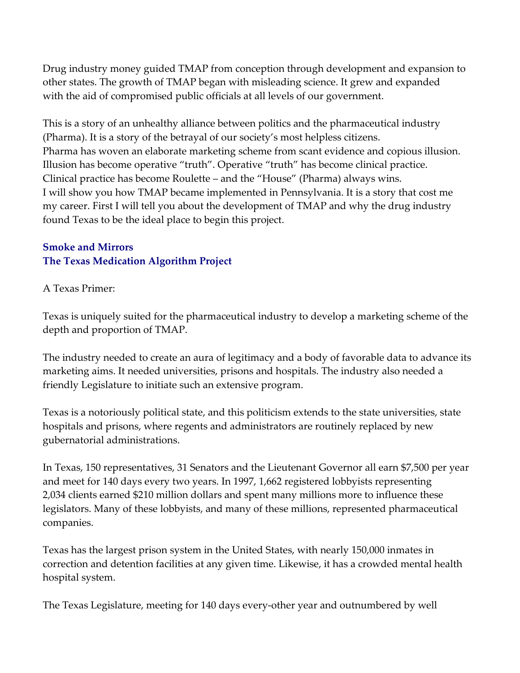Drug industry money guided TMAP from conception through development and expansion to other states. The growth of TMAP began with misleading science. It grew and expanded with the aid of compromised public officials at all levels of our government.

This is a story of an unhealthy alliance between politics and the pharmaceutical industry (Pharma). It is a story of the betrayal of our society's most helpless citizens. Pharma has woven an elaborate marketing scheme from scant evidence and copious illusion. Illusion has become operative "truth". Operative "truth" has become clinical practice. Clinical practice has become Roulette – and the "House" (Pharma) always wins. I will show you how TMAP became implemented in Pennsylvania. It is a story that cost me my career. First I will tell you about the development of TMAP and why the drug industry found Texas to be the ideal place to begin this project.

# Smoke and Mirrors The Texas Medication Algorithm Project

# A Texas Primer:

Texas is uniquely suited for the pharmaceutical industry to develop a marketing scheme of the depth and proportion of TMAP.

The industry needed to create an aura of legitimacy and a body of favorable data to advance its marketing aims. It needed universities, prisons and hospitals. The industry also needed a friendly Legislature to initiate such an extensive program.

Texas is a notoriously political state, and this politicism extends to the state universities, state hospitals and prisons, where regents and administrators are routinely replaced by new gubernatorial administrations.

In Texas, 150 representatives, 31 Senators and the Lieutenant Governor all earn \$7,500 per year and meet for 140 days every two years. In 1997, 1,662 registered lobbyists representing 2,034 clients earned \$210 million dollars and spent many millions more to influence these legislators. Many of these lobbyists, and many of these millions, represented pharmaceutical companies.

Texas has the largest prison system in the United States, with nearly 150,000 inmates in correction and detention facilities at any given time. Likewise, it has a crowded mental health hospital system.

The Texas Legislature, meeting for 140 days every-other year and outnumbered by well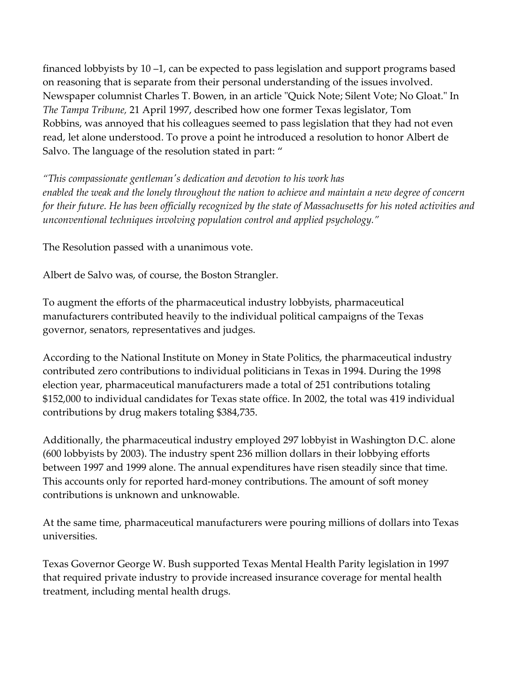financed lobbyists by 10 –1, can be expected to pass legislation and support programs based on reasoning that is separate from their personal understanding of the issues involved. Newspaper columnist Charles T. Bowen, in an article "Quick Note; Silent Vote; No Gloat." In The Tampa Tribune, 21 April 1997, described how one former Texas legislator, Tom Robbins, was annoyed that his colleagues seemed to pass legislation that they had not even read, let alone understood. To prove a point he introduced a resolution to honor Albert de Salvo. The language of the resolution stated in part: "

"This compassionate gentleman's dedication and devotion to his work has enabled the weak and the lonely throughout the nation to achieve and maintain a new degree of concern for their future. He has been officially recognized by the state of Massachusetts for his noted activities and unconventional techniques involving population control and applied psychology."

The Resolution passed with a unanimous vote.

Albert de Salvo was, of course, the Boston Strangler.

To augment the efforts of the pharmaceutical industry lobbyists, pharmaceutical manufacturers contributed heavily to the individual political campaigns of the Texas governor, senators, representatives and judges.

According to the National Institute on Money in State Politics, the pharmaceutical industry contributed zero contributions to individual politicians in Texas in 1994. During the 1998 election year, pharmaceutical manufacturers made a total of 251 contributions totaling \$152,000 to individual candidates for Texas state office. In 2002, the total was 419 individual contributions by drug makers totaling \$384,735.

Additionally, the pharmaceutical industry employed 297 lobbyist in Washington D.C. alone (600 lobbyists by 2003). The industry spent 236 million dollars in their lobbying efforts between 1997 and 1999 alone. The annual expenditures have risen steadily since that time. This accounts only for reported hard-money contributions. The amount of soft money contributions is unknown and unknowable.

At the same time, pharmaceutical manufacturers were pouring millions of dollars into Texas universities.

Texas Governor George W. Bush supported Texas Mental Health Parity legislation in 1997 that required private industry to provide increased insurance coverage for mental health treatment, including mental health drugs.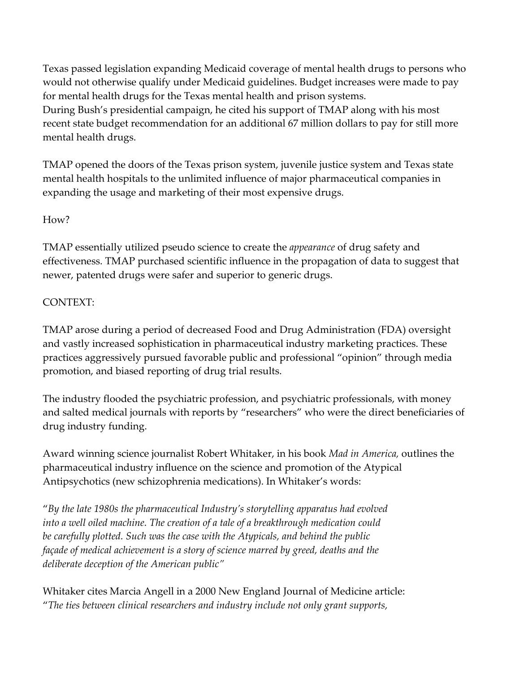Texas passed legislation expanding Medicaid coverage of mental health drugs to persons who would not otherwise qualify under Medicaid guidelines. Budget increases were made to pay for mental health drugs for the Texas mental health and prison systems. During Bush's presidential campaign, he cited his support of TMAP along with his most recent state budget recommendation for an additional 67 million dollars to pay for still more mental health drugs.

TMAP opened the doors of the Texas prison system, juvenile justice system and Texas state mental health hospitals to the unlimited influence of major pharmaceutical companies in expanding the usage and marketing of their most expensive drugs.

# How?

TMAP essentially utilized pseudo science to create the appearance of drug safety and effectiveness. TMAP purchased scientific influence in the propagation of data to suggest that newer, patented drugs were safer and superior to generic drugs.

# CONTEXT:

TMAP arose during a period of decreased Food and Drug Administration (FDA) oversight and vastly increased sophistication in pharmaceutical industry marketing practices. These practices aggressively pursued favorable public and professional "opinion" through media promotion, and biased reporting of drug trial results.

The industry flooded the psychiatric profession, and psychiatric professionals, with money and salted medical journals with reports by "researchers" who were the direct beneficiaries of drug industry funding.

Award winning science journalist Robert Whitaker, in his book Mad in America, outlines the pharmaceutical industry influence on the science and promotion of the Atypical Antipsychotics (new schizophrenia medications). In Whitaker's words:

"By the late 1980s the pharmaceutical Industry's storytelling apparatus had evolved into a well oiled machine. The creation of a tale of a breakthrough medication could be carefully plotted. Such was the case with the Atypicals, and behind the public façade of medical achievement is a story of science marred by greed, deaths and the deliberate deception of the American public"

Whitaker cites Marcia Angell in a 2000 New England Journal of Medicine article: "The ties between clinical researchers and industry include not only grant supports,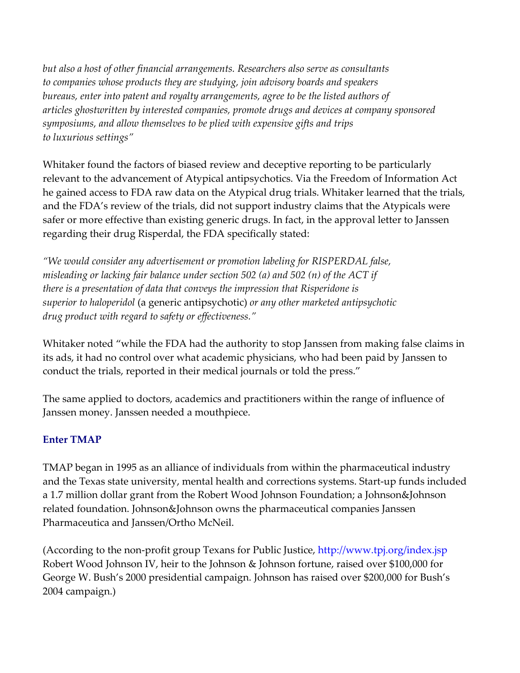but also a host of other financial arrangements. Researchers also serve as consultants to companies whose products they are studying, join advisory boards and speakers bureaus, enter into patent and royalty arrangements, agree to be the listed authors of articles ghostwritten by interested companies, promote drugs and devices at company sponsored symposiums, and allow themselves to be plied with expensive gifts and trips to luxurious settings"

Whitaker found the factors of biased review and deceptive reporting to be particularly relevant to the advancement of Atypical antipsychotics. Via the Freedom of Information Act he gained access to FDA raw data on the Atypical drug trials. Whitaker learned that the trials, and the FDA's review of the trials, did not support industry claims that the Atypicals were safer or more effective than existing generic drugs. In fact, in the approval letter to Janssen regarding their drug Risperdal, the FDA specifically stated:

"We would consider any advertisement or promotion labeling for RISPERDAL false, misleading or lacking fair balance under section 502 (a) and 502 (n) of the ACT if there is a presentation of data that conveys the impression that Risperidone is superior to haloperidol (a generic antipsychotic) or any other marketed antipsychotic drug product with regard to safety or effectiveness."

Whitaker noted "while the FDA had the authority to stop Janssen from making false claims in its ads, it had no control over what academic physicians, who had been paid by Janssen to conduct the trials, reported in their medical journals or told the press."

The same applied to doctors, academics and practitioners within the range of influence of Janssen money. Janssen needed a mouthpiece.

#### Enter TMAP

TMAP began in 1995 as an alliance of individuals from within the pharmaceutical industry and the Texas state university, mental health and corrections systems. Start-up funds included a 1.7 million dollar grant from the Robert Wood Johnson Foundation; a Johnson&Johnson related foundation. Johnson&Johnson owns the pharmaceutical companies Janssen Pharmaceutica and Janssen/Ortho McNeil.

(According to the non-profit group Texans for Public Justice, http://www.tpj.org/index.jsp Robert Wood Johnson IV, heir to the Johnson & Johnson fortune, raised over \$100,000 for George W. Bush's 2000 presidential campaign. Johnson has raised over \$200,000 for Bush's 2004 campaign.)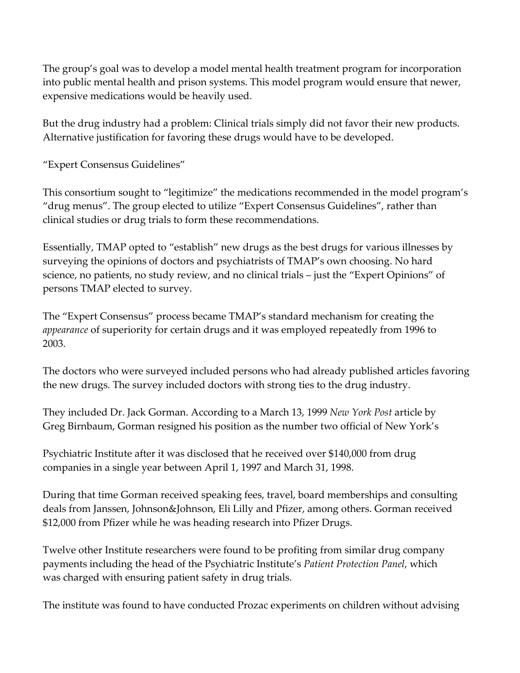The group's goal was to develop a model mental health treatment program for incorporation into public mental health and prison systems. This model program would ensure that newer, expensive medications would be heavily used.

But the drug industry had a problem: Clinical trials simply did not favor their new products. Alternative justification for favoring these drugs would have to be developed.

"Expert Consensus Guidelines"

This consortium sought to "legitimize" the medications recommended in the model program's "drug menus". The group elected to utilize "Expert Consensus Guidelines", rather than clinical studies or drug trials to form these recommendations.

Essentially, TMAP opted to "establish" new drugs as the best drugs for various illnesses by surveying the opinions of doctors and psychiatrists of TMAP's own choosing. No hard science, no patients, no study review, and no clinical trials – just the "Expert Opinions" of persons TMAP elected to survey.

The "Expert Consensus" process became TMAP's standard mechanism for creating the appearance of superiority for certain drugs and it was employed repeatedly from 1996 to 2003.

The doctors who were surveyed included persons who had already published articles favoring the new drugs. The survey included doctors with strong ties to the drug industry.

They included Dr. Jack Gorman. According to a March 13, 1999 New York Post article by Greg Birnbaum, Gorman resigned his position as the number two official of New York's

Psychiatric Institute after it was disclosed that he received over \$140,000 from drug companies in a single year between April 1, 1997 and March 31, 1998.

During that time Gorman received speaking fees, travel, board memberships and consulting deals from Janssen, Johnson&Johnson, Eli Lilly and Pfizer, among others. Gorman received \$12,000 from Pfizer while he was heading research into Pfizer Drugs.

Twelve other Institute researchers were found to be profiting from similar drug company payments including the head of the Psychiatric Institute's Patient Protection Panel, which was charged with ensuring patient safety in drug trials.

The institute was found to have conducted Prozac experiments on children without advising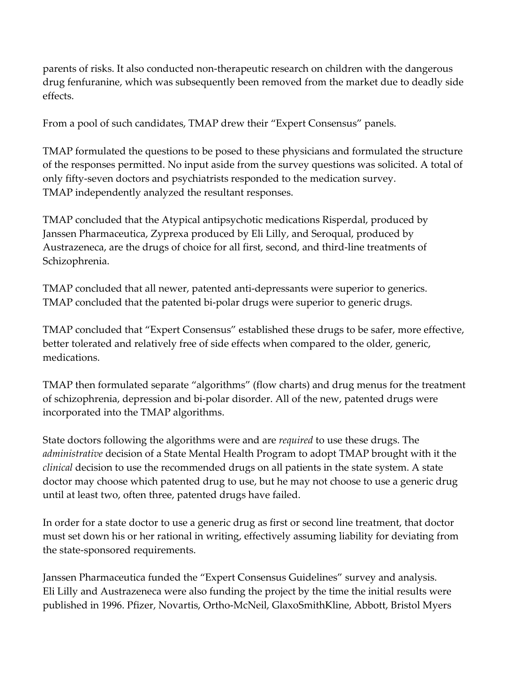parents of risks. It also conducted non-therapeutic research on children with the dangerous drug fenfuranine, which was subsequently been removed from the market due to deadly side effects.

From a pool of such candidates, TMAP drew their "Expert Consensus" panels.

TMAP formulated the questions to be posed to these physicians and formulated the structure of the responses permitted. No input aside from the survey questions was solicited. A total of only fifty-seven doctors and psychiatrists responded to the medication survey. TMAP independently analyzed the resultant responses.

TMAP concluded that the Atypical antipsychotic medications Risperdal, produced by Janssen Pharmaceutica, Zyprexa produced by Eli Lilly, and Seroqual, produced by Austrazeneca, are the drugs of choice for all first, second, and third-line treatments of Schizophrenia.

TMAP concluded that all newer, patented anti-depressants were superior to generics. TMAP concluded that the patented bi-polar drugs were superior to generic drugs.

TMAP concluded that "Expert Consensus" established these drugs to be safer, more effective, better tolerated and relatively free of side effects when compared to the older, generic, medications.

TMAP then formulated separate "algorithms" (flow charts) and drug menus for the treatment of schizophrenia, depression and bi-polar disorder. All of the new, patented drugs were incorporated into the TMAP algorithms.

State doctors following the algorithms were and are *required* to use these drugs. The administrative decision of a State Mental Health Program to adopt TMAP brought with it the clinical decision to use the recommended drugs on all patients in the state system. A state doctor may choose which patented drug to use, but he may not choose to use a generic drug until at least two, often three, patented drugs have failed.

In order for a state doctor to use a generic drug as first or second line treatment, that doctor must set down his or her rational in writing, effectively assuming liability for deviating from the state-sponsored requirements.

Janssen Pharmaceutica funded the "Expert Consensus Guidelines" survey and analysis. Eli Lilly and Austrazeneca were also funding the project by the time the initial results were published in 1996. Pfizer, Novartis, Ortho-McNeil, GlaxoSmithKline, Abbott, Bristol Myers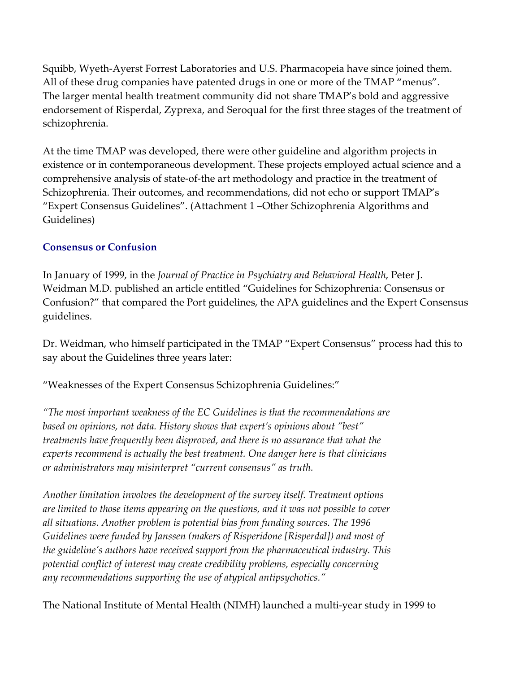Squibb, Wyeth-Ayerst Forrest Laboratories and U.S. Pharmacopeia have since joined them. All of these drug companies have patented drugs in one or more of the TMAP "menus". The larger mental health treatment community did not share TMAP's bold and aggressive endorsement of Risperdal, Zyprexa, and Seroqual for the first three stages of the treatment of schizophrenia.

At the time TMAP was developed, there were other guideline and algorithm projects in existence or in contemporaneous development. These projects employed actual science and a comprehensive analysis of state-of-the art methodology and practice in the treatment of Schizophrenia. Their outcomes, and recommendations, did not echo or support TMAP's "Expert Consensus Guidelines". (Attachment 1 –Other Schizophrenia Algorithms and Guidelines)

# Consensus or Confusion

In January of 1999, in the Journal of Practice in Psychiatry and Behavioral Health, Peter J. Weidman M.D. published an article entitled "Guidelines for Schizophrenia: Consensus or Confusion?" that compared the Port guidelines, the APA guidelines and the Expert Consensus guidelines.

Dr. Weidman, who himself participated in the TMAP "Expert Consensus" process had this to say about the Guidelines three years later:

"Weaknesses of the Expert Consensus Schizophrenia Guidelines:"

"The most important weakness of the EC Guidelines is that the recommendations are based on opinions, not data. History shows that expert's opinions about "best" treatments have frequently been disproved, and there is no assurance that what the experts recommend is actually the best treatment. One danger here is that clinicians or administrators may misinterpret "current consensus" as truth.

Another limitation involves the development of the survey itself. Treatment options are limited to those items appearing on the questions, and it was not possible to cover all situations. Another problem is potential bias from funding sources. The 1996 Guidelines were funded by Janssen (makers of Risperidone [Risperdal]) and most of the guideline's authors have received support from the pharmaceutical industry. This potential conflict of interest may create credibility problems, especially concerning any recommendations supporting the use of atypical antipsychotics."

The National Institute of Mental Health (NIMH) launched a multi-year study in 1999 to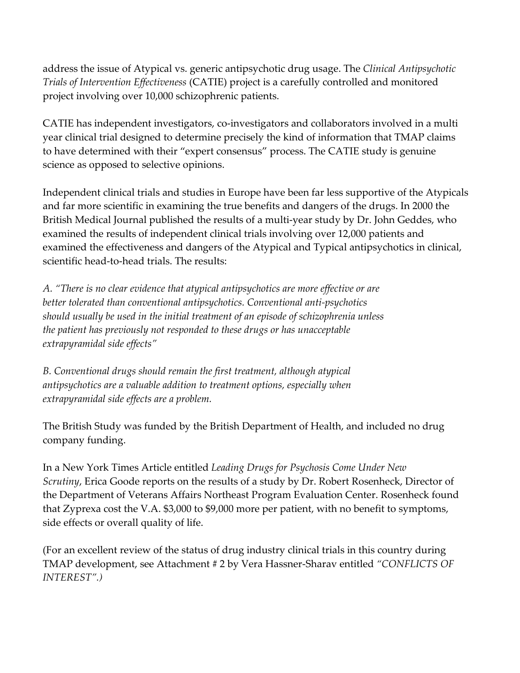address the issue of Atypical vs. generic antipsychotic drug usage. The Clinical Antipsychotic Trials of Intervention Effectiveness (CATIE) project is a carefully controlled and monitored project involving over 10,000 schizophrenic patients.

CATIE has independent investigators, co-investigators and collaborators involved in a multi year clinical trial designed to determine precisely the kind of information that TMAP claims to have determined with their "expert consensus" process. The CATIE study is genuine science as opposed to selective opinions.

Independent clinical trials and studies in Europe have been far less supportive of the Atypicals and far more scientific in examining the true benefits and dangers of the drugs. In 2000 the British Medical Journal published the results of a multi-year study by Dr. John Geddes, who examined the results of independent clinical trials involving over 12,000 patients and examined the effectiveness and dangers of the Atypical and Typical antipsychotics in clinical, scientific head-to-head trials. The results:

A. "There is no clear evidence that atypical antipsychotics are more effective or are better tolerated than conventional antipsychotics. Conventional anti-psychotics should usually be used in the initial treatment of an episode of schizophrenia unless the patient has previously not responded to these drugs or has unacceptable extrapyramidal side effects"

B. Conventional drugs should remain the first treatment, although atypical antipsychotics are a valuable addition to treatment options, especially when extrapyramidal side effects are a problem.

The British Study was funded by the British Department of Health, and included no drug company funding.

In a New York Times Article entitled Leading Drugs for Psychosis Come Under New Scrutiny, Erica Goode reports on the results of a study by Dr. Robert Rosenheck, Director of the Department of Veterans Affairs Northeast Program Evaluation Center. Rosenheck found that Zyprexa cost the V.A. \$3,000 to \$9,000 more per patient, with no benefit to symptoms, side effects or overall quality of life.

(For an excellent review of the status of drug industry clinical trials in this country during TMAP development, see Attachment # 2 by Vera Hassner-Sharav entitled "CONFLICTS OF INTEREST".)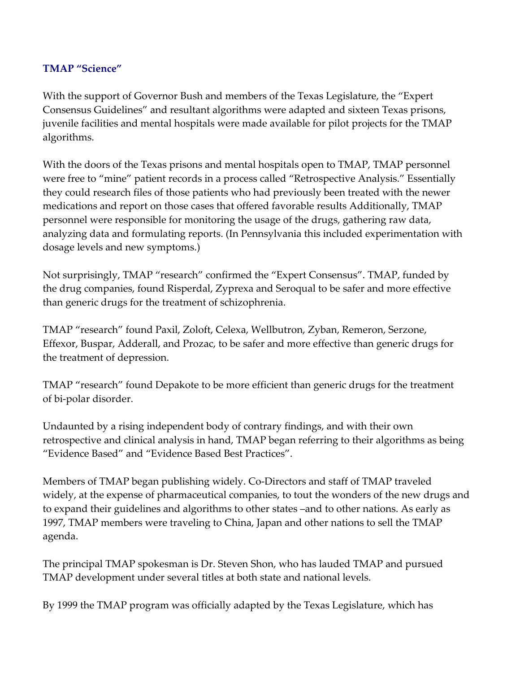#### TMAP "Science"

With the support of Governor Bush and members of the Texas Legislature, the "Expert Consensus Guidelines" and resultant algorithms were adapted and sixteen Texas prisons, juvenile facilities and mental hospitals were made available for pilot projects for the TMAP algorithms.

With the doors of the Texas prisons and mental hospitals open to TMAP, TMAP personnel were free to "mine" patient records in a process called "Retrospective Analysis." Essentially they could research files of those patients who had previously been treated with the newer medications and report on those cases that offered favorable results Additionally, TMAP personnel were responsible for monitoring the usage of the drugs, gathering raw data, analyzing data and formulating reports. (In Pennsylvania this included experimentation with dosage levels and new symptoms.)

Not surprisingly, TMAP "research" confirmed the "Expert Consensus". TMAP, funded by the drug companies, found Risperdal, Zyprexa and Seroqual to be safer and more effective than generic drugs for the treatment of schizophrenia.

TMAP "research" found Paxil, Zoloft, Celexa, Wellbutron, Zyban, Remeron, Serzone, Effexor, Buspar, Adderall, and Prozac, to be safer and more effective than generic drugs for the treatment of depression.

TMAP "research" found Depakote to be more efficient than generic drugs for the treatment of bi-polar disorder.

Undaunted by a rising independent body of contrary findings, and with their own retrospective and clinical analysis in hand, TMAP began referring to their algorithms as being "Evidence Based" and "Evidence Based Best Practices".

Members of TMAP began publishing widely. Co-Directors and staff of TMAP traveled widely, at the expense of pharmaceutical companies, to tout the wonders of the new drugs and to expand their guidelines and algorithms to other states –and to other nations. As early as 1997, TMAP members were traveling to China, Japan and other nations to sell the TMAP agenda.

The principal TMAP spokesman is Dr. Steven Shon, who has lauded TMAP and pursued TMAP development under several titles at both state and national levels.

By 1999 the TMAP program was officially adapted by the Texas Legislature, which has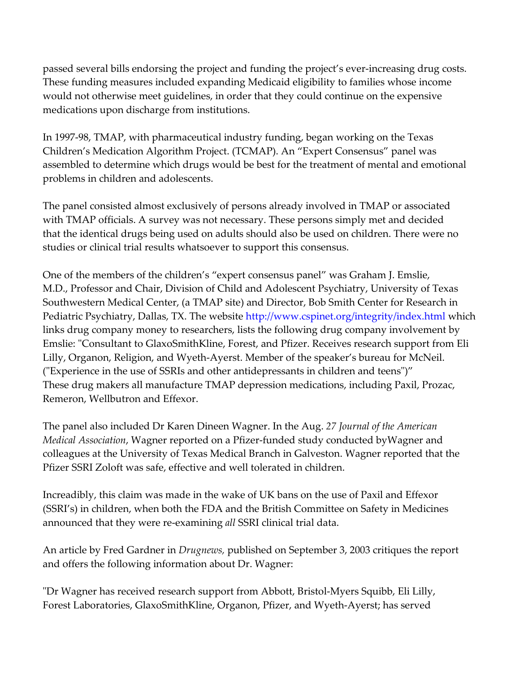passed several bills endorsing the project and funding the project's ever-increasing drug costs. These funding measures included expanding Medicaid eligibility to families whose income would not otherwise meet guidelines, in order that they could continue on the expensive medications upon discharge from institutions.

In 1997-98, TMAP, with pharmaceutical industry funding, began working on the Texas Children's Medication Algorithm Project. (TCMAP). An "Expert Consensus" panel was assembled to determine which drugs would be best for the treatment of mental and emotional problems in children and adolescents.

The panel consisted almost exclusively of persons already involved in TMAP or associated with TMAP officials. A survey was not necessary. These persons simply met and decided that the identical drugs being used on adults should also be used on children. There were no studies or clinical trial results whatsoever to support this consensus.

One of the members of the children's "expert consensus panel" was Graham J. Emslie, M.D., Professor and Chair, Division of Child and Adolescent Psychiatry, University of Texas Southwestern Medical Center, (a TMAP site) and Director, Bob Smith Center for Research in Pediatric Psychiatry, Dallas, TX. The website http://www.cspinet.org/integrity/index.html which links drug company money to researchers, lists the following drug company involvement by Emslie: "Consultant to GlaxoSmithKline, Forest, and Pfizer. Receives research support from Eli Lilly, Organon, Religion, and Wyeth-Ayerst. Member of the speaker's bureau for McNeil. ("Experience in the use of SSRIs and other antidepressants in children and teens")" These drug makers all manufacture TMAP depression medications, including Paxil, Prozac, Remeron, Wellbutron and Effexor.

The panel also included Dr Karen Dineen Wagner. In the Aug. 27 Journal of the American Medical Association, Wagner reported on a Pfizer-funded study conducted byWagner and colleagues at the University of Texas Medical Branch in Galveston. Wagner reported that the Pfizer SSRI Zoloft was safe, effective and well tolerated in children.

Increadibly, this claim was made in the wake of UK bans on the use of Paxil and Effexor (SSRI's) in children, when both the FDA and the British Committee on Safety in Medicines announced that they were re-examining all SSRI clinical trial data.

An article by Fred Gardner in Drugnews, published on September 3, 2003 critiques the report and offers the following information about Dr. Wagner:

"Dr Wagner has received research support from Abbott, Bristol-Myers Squibb, Eli Lilly, Forest Laboratories, GlaxoSmithKline, Organon, Pfizer, and Wyeth-Ayerst; has served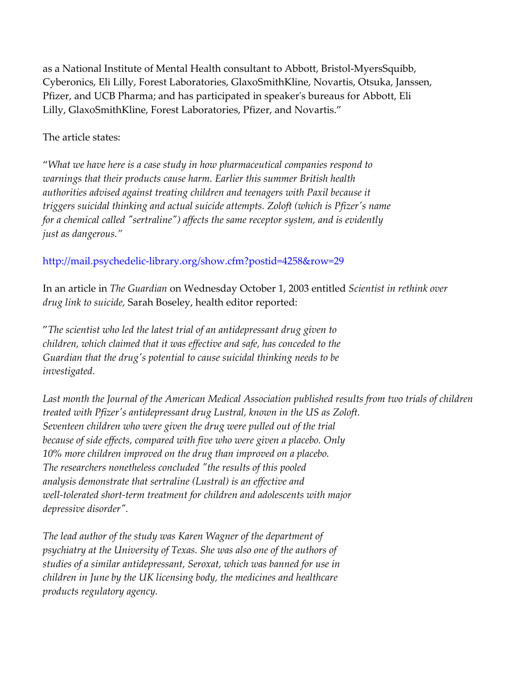as a National Institute of Mental Health consultant to Abbott, Bristol-MyersSquibb, Cyberonics, Eli Lilly, Forest Laboratories, GlaxoSmithKline, Novartis, Otsuka, Janssen, Pfizer, and UCB Pharma; and has participated in speaker's bureaus for Abbott, Eli Lilly, GlaxoSmithKline, Forest Laboratories, Pfizer, and Novartis."

#### The article states:

"What we have here is a case study in how pharmaceutical companies respond to warnings that their products cause harm. Earlier this summer British health authorities advised against treating children and teenagers with Paxil because it triggers suicidal thinking and actual suicide attempts. Zoloft (which is Pfizer's name for a chemical called "sertraline") affects the same receptor system, and is evidently just as dangerous."

# http://mail.psychedelic-library.org/show.cfm?postid=4258&row=29

In an article in The Guardian on Wednesday October 1, 2003 entitled Scientist in rethink over drug link to suicide, Sarah Boseley, health editor reported:

"The scientist who led the latest trial of an antidepressant drug given to children, which claimed that it was effective and safe, has conceded to the Guardian that the drug's potential to cause suicidal thinking needs to be investigated.

Last month the Journal of the American Medical Association published results from two trials of children treated with Pfizer's antidepressant drug Lustral, known in the US as Zoloft. Seventeen children who were given the drug were pulled out of the trial because of side effects, compared with five who were given a placebo. Only 10% more children improved on the drug than improved on a placebo. The researchers nonetheless concluded "the results of this pooled analysis demonstrate that sertraline (Lustral) is an effective and well-tolerated short-term treatment for children and adolescents with major depressive disorder".

The lead author of the study was Karen Wagner of the department of psychiatry at the University of Texas. She was also one of the authors of studies of a similar antidepressant, Seroxat, which was banned for use in children in June by the UK licensing body, the medicines and healthcare products regulatory agency.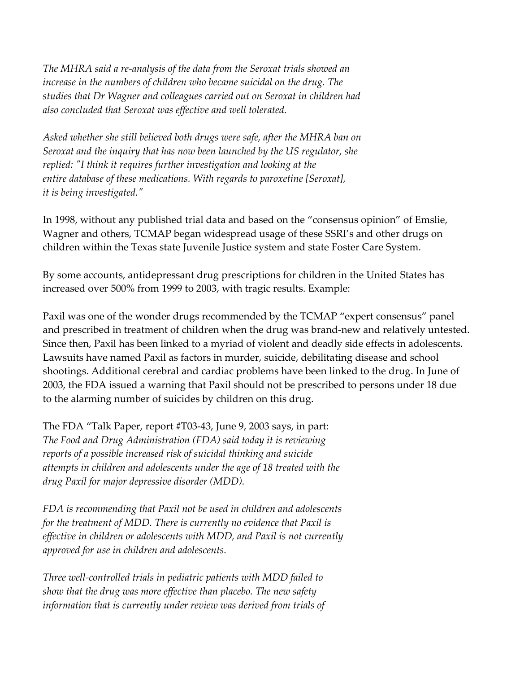The MHRA said a re-analysis of the data from the Seroxat trials showed an increase in the numbers of children who became suicidal on the drug. The studies that Dr Wagner and colleagues carried out on Seroxat in children had also concluded that Seroxat was effective and well tolerated.

Asked whether she still believed both drugs were safe, after the MHRA ban on Seroxat and the inquiry that has now been launched by the US regulator, she replied: "I think it requires further investigation and looking at the entire database of these medications. With regards to paroxetine [Seroxat], it is being investigated."

In 1998, without any published trial data and based on the "consensus opinion" of Emslie, Wagner and others, TCMAP began widespread usage of these SSRI's and other drugs on children within the Texas state Juvenile Justice system and state Foster Care System.

By some accounts, antidepressant drug prescriptions for children in the United States has increased over 500% from 1999 to 2003, with tragic results. Example:

Paxil was one of the wonder drugs recommended by the TCMAP "expert consensus" panel and prescribed in treatment of children when the drug was brand-new and relatively untested. Since then, Paxil has been linked to a myriad of violent and deadly side effects in adolescents. Lawsuits have named Paxil as factors in murder, suicide, debilitating disease and school shootings. Additional cerebral and cardiac problems have been linked to the drug. In June of 2003, the FDA issued a warning that Paxil should not be prescribed to persons under 18 due to the alarming number of suicides by children on this drug.

The FDA "Talk Paper, report #T03-43, June 9, 2003 says, in part: The Food and Drug Administration (FDA) said today it is reviewing reports of a possible increased risk of suicidal thinking and suicide attempts in children and adolescents under the age of 18 treated with the drug Paxil for major depressive disorder (MDD).

FDA is recommending that Paxil not be used in children and adolescents for the treatment of MDD. There is currently no evidence that Paxil is effective in children or adolescents with MDD, and Paxil is not currently approved for use in children and adolescents.

Three well-controlled trials in pediatric patients with MDD failed to show that the drug was more effective than placebo. The new safety information that is currently under review was derived from trials of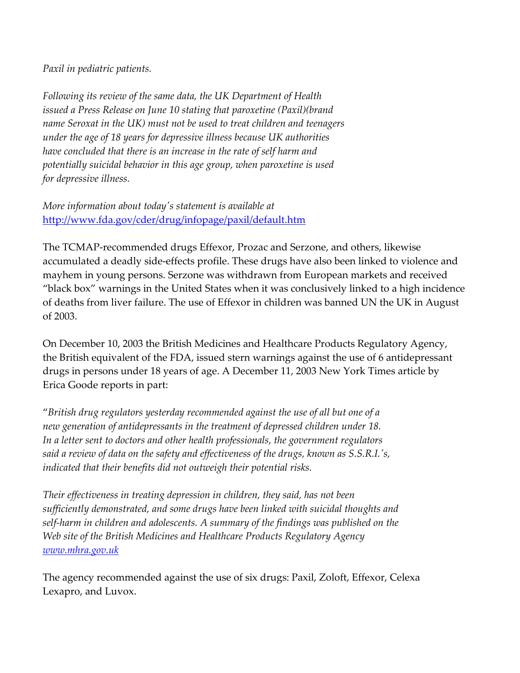#### Paxil in pediatric patients.

Following its review of the same data, the UK Department of Health issued a Press Release on June 10 stating that paroxetine (Paxil)(brand name Seroxat in the UK) must not be used to treat children and teenagers under the age of 18 years for depressive illness because UK authorities have concluded that there is an increase in the rate of self harm and potentially suicidal behavior in this age group, when paroxetine is used for depressive illness.

More information about today's statement is available at http://www.fda.gov/cder/drug/infopage/paxil/default.htm

The TCMAP-recommended drugs Effexor, Prozac and Serzone, and others, likewise accumulated a deadly side-effects profile. These drugs have also been linked to violence and mayhem in young persons. Serzone was withdrawn from European markets and received "black box" warnings in the United States when it was conclusively linked to a high incidence of deaths from liver failure. The use of Effexor in children was banned UN the UK in August of 2003.

On December 10, 2003 the British Medicines and Healthcare Products Regulatory Agency, the British equivalent of the FDA, issued stern warnings against the use of 6 antidepressant drugs in persons under 18 years of age. A December 11, 2003 New York Times article by Erica Goode reports in part:

"British drug regulators yesterday recommended against the use of all but one of a new generation of antidepressants in the treatment of depressed children under 18. In a letter sent to doctors and other health professionals, the government regulators said a review of data on the safety and effectiveness of the drugs, known as S.S.R.I.'s, indicated that their benefits did not outweigh their potential risks.

Their effectiveness in treating depression in children, they said, has not been sufficiently demonstrated, and some drugs have been linked with suicidal thoughts and self-harm in children and adolescents. A summary of the findings was published on the Web site of the British Medicines and Healthcare Products Regulatory Agency www.mhra.gov.uk

The agency recommended against the use of six drugs: Paxil, Zoloft, Effexor, Celexa Lexapro, and Luvox.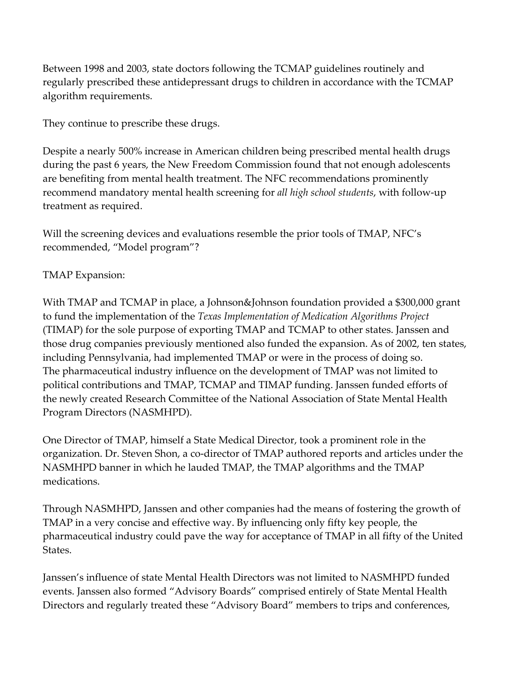Between 1998 and 2003, state doctors following the TCMAP guidelines routinely and regularly prescribed these antidepressant drugs to children in accordance with the TCMAP algorithm requirements.

They continue to prescribe these drugs.

Despite a nearly 500% increase in American children being prescribed mental health drugs during the past 6 years, the New Freedom Commission found that not enough adolescents are benefiting from mental health treatment. The NFC recommendations prominently recommend mandatory mental health screening for all high school students, with follow-up treatment as required.

Will the screening devices and evaluations resemble the prior tools of TMAP, NFC's recommended, "Model program"?

### TMAP Expansion:

With TMAP and TCMAP in place, a Johnson&Johnson foundation provided a \$300,000 grant to fund the implementation of the Texas Implementation of Medication Algorithms Project (TIMAP) for the sole purpose of exporting TMAP and TCMAP to other states. Janssen and those drug companies previously mentioned also funded the expansion. As of 2002, ten states, including Pennsylvania, had implemented TMAP or were in the process of doing so. The pharmaceutical industry influence on the development of TMAP was not limited to political contributions and TMAP, TCMAP and TIMAP funding. Janssen funded efforts of the newly created Research Committee of the National Association of State Mental Health Program Directors (NASMHPD).

One Director of TMAP, himself a State Medical Director, took a prominent role in the organization. Dr. Steven Shon, a co-director of TMAP authored reports and articles under the NASMHPD banner in which he lauded TMAP, the TMAP algorithms and the TMAP medications.

Through NASMHPD, Janssen and other companies had the means of fostering the growth of TMAP in a very concise and effective way. By influencing only fifty key people, the pharmaceutical industry could pave the way for acceptance of TMAP in all fifty of the United **States** 

Janssen's influence of state Mental Health Directors was not limited to NASMHPD funded events. Janssen also formed "Advisory Boards" comprised entirely of State Mental Health Directors and regularly treated these "Advisory Board" members to trips and conferences,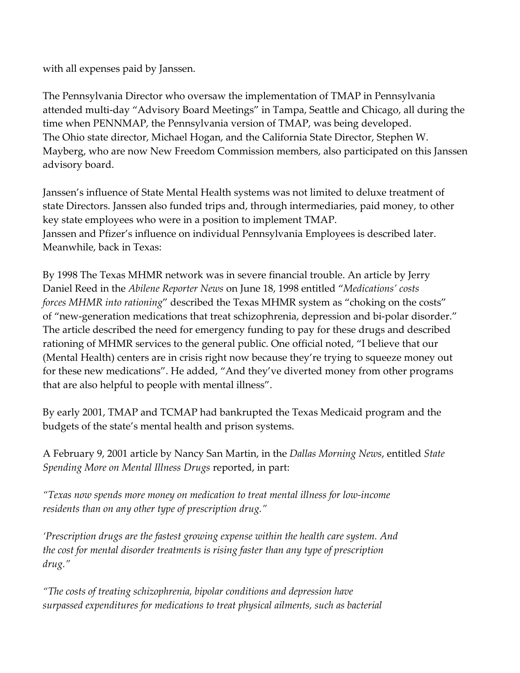with all expenses paid by Janssen.

The Pennsylvania Director who oversaw the implementation of TMAP in Pennsylvania attended multi-day "Advisory Board Meetings" in Tampa, Seattle and Chicago, all during the time when PENNMAP, the Pennsylvania version of TMAP, was being developed. The Ohio state director, Michael Hogan, and the California State Director, Stephen W. Mayberg, who are now New Freedom Commission members, also participated on this Janssen advisory board.

Janssen's influence of State Mental Health systems was not limited to deluxe treatment of state Directors. Janssen also funded trips and, through intermediaries, paid money, to other key state employees who were in a position to implement TMAP. Janssen and Pfizer's influence on individual Pennsylvania Employees is described later. Meanwhile, back in Texas:

By 1998 The Texas MHMR network was in severe financial trouble. An article by Jerry Daniel Reed in the Abilene Reporter News on June 18, 1998 entitled "Medications' costs forces MHMR into rationing" described the Texas MHMR system as "choking on the costs" of "new-generation medications that treat schizophrenia, depression and bi-polar disorder." The article described the need for emergency funding to pay for these drugs and described rationing of MHMR services to the general public. One official noted, "I believe that our (Mental Health) centers are in crisis right now because they're trying to squeeze money out for these new medications". He added, "And they've diverted money from other programs that are also helpful to people with mental illness".

By early 2001, TMAP and TCMAP had bankrupted the Texas Medicaid program and the budgets of the state's mental health and prison systems.

A February 9, 2001 article by Nancy San Martin, in the Dallas Morning News, entitled State Spending More on Mental Illness Drugs reported, in part:

"Texas now spends more money on medication to treat mental illness for low-income residents than on any other type of prescription drug."

'Prescription drugs are the fastest growing expense within the health care system. And the cost for mental disorder treatments is rising faster than any type of prescription drug."

"The costs of treating schizophrenia, bipolar conditions and depression have surpassed expenditures for medications to treat physical ailments, such as bacterial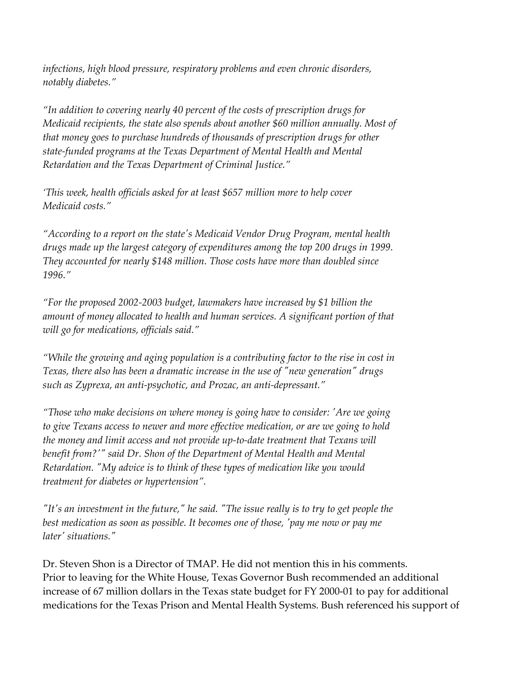infections, high blood pressure, respiratory problems and even chronic disorders, notably diabetes."

"In addition to covering nearly 40 percent of the costs of prescription drugs for Medicaid recipients, the state also spends about another \$60 million annually. Most of that money goes to purchase hundreds of thousands of prescription drugs for other state-funded programs at the Texas Department of Mental Health and Mental Retardation and the Texas Department of Criminal Justice."

'This week, health officials asked for at least \$657 million more to help cover Medicaid costs."

"According to a report on the state's Medicaid Vendor Drug Program, mental health drugs made up the largest category of expenditures among the top 200 drugs in 1999. They accounted for nearly \$148 million. Those costs have more than doubled since 1996."

"For the proposed 2002-2003 budget, lawmakers have increased by \$1 billion the amount of money allocated to health and human services. A significant portion of that will go for medications, officials said."

"While the growing and aging population is a contributing factor to the rise in cost in Texas, there also has been a dramatic increase in the use of "new generation" drugs such as Zyprexa, an anti-psychotic, and Prozac, an anti-depressant."

"Those who make decisions on where money is going have to consider: 'Are we going to give Texans access to newer and more effective medication, or are we going to hold the money and limit access and not provide up-to-date treatment that Texans will benefit from?'" said Dr. Shon of the Department of Mental Health and Mental Retardation. "My advice is to think of these types of medication like you would treatment for diabetes or hypertension".

"It's an investment in the future," he said. "The issue really is to try to get people the best medication as soon as possible. It becomes one of those, 'pay me now or pay me later' situations."

Dr. Steven Shon is a Director of TMAP. He did not mention this in his comments. Prior to leaving for the White House, Texas Governor Bush recommended an additional increase of 67 million dollars in the Texas state budget for FY 2000-01 to pay for additional medications for the Texas Prison and Mental Health Systems. Bush referenced his support of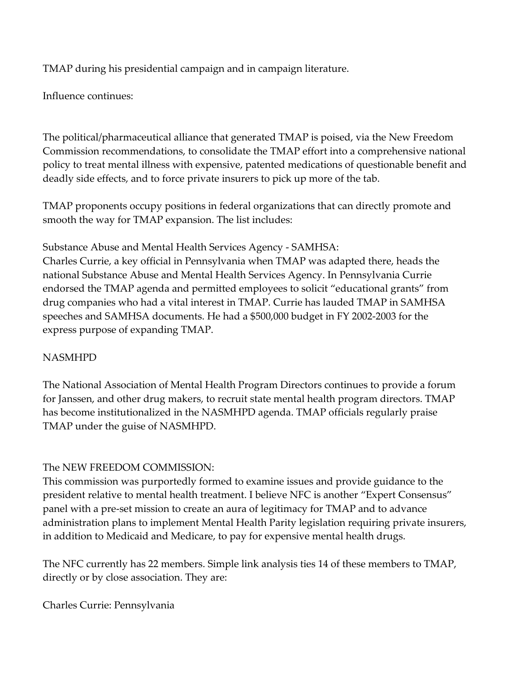TMAP during his presidential campaign and in campaign literature.

Influence continues:

The political/pharmaceutical alliance that generated TMAP is poised, via the New Freedom Commission recommendations, to consolidate the TMAP effort into a comprehensive national policy to treat mental illness with expensive, patented medications of questionable benefit and deadly side effects, and to force private insurers to pick up more of the tab.

TMAP proponents occupy positions in federal organizations that can directly promote and smooth the way for TMAP expansion. The list includes:

Substance Abuse and Mental Health Services Agency - SAMHSA:

Charles Currie, a key official in Pennsylvania when TMAP was adapted there, heads the national Substance Abuse and Mental Health Services Agency. In Pennsylvania Currie endorsed the TMAP agenda and permitted employees to solicit "educational grants" from drug companies who had a vital interest in TMAP. Currie has lauded TMAP in SAMHSA speeches and SAMHSA documents. He had a \$500,000 budget in FY 2002-2003 for the express purpose of expanding TMAP.

# NASMHPD

The National Association of Mental Health Program Directors continues to provide a forum for Janssen, and other drug makers, to recruit state mental health program directors. TMAP has become institutionalized in the NASMHPD agenda. TMAP officials regularly praise TMAP under the guise of NASMHPD.

# The NEW FREEDOM COMMISSION:

This commission was purportedly formed to examine issues and provide guidance to the president relative to mental health treatment. I believe NFC is another "Expert Consensus" panel with a pre-set mission to create an aura of legitimacy for TMAP and to advance administration plans to implement Mental Health Parity legislation requiring private insurers, in addition to Medicaid and Medicare, to pay for expensive mental health drugs.

The NFC currently has 22 members. Simple link analysis ties 14 of these members to TMAP, directly or by close association. They are:

Charles Currie: Pennsylvania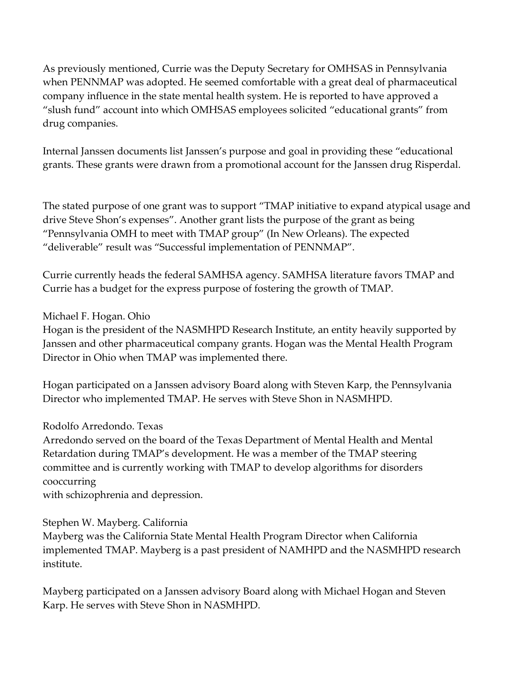As previously mentioned, Currie was the Deputy Secretary for OMHSAS in Pennsylvania when PENNMAP was adopted. He seemed comfortable with a great deal of pharmaceutical company influence in the state mental health system. He is reported to have approved a "slush fund" account into which OMHSAS employees solicited "educational grants" from drug companies.

Internal Janssen documents list Janssen's purpose and goal in providing these "educational grants. These grants were drawn from a promotional account for the Janssen drug Risperdal.

The stated purpose of one grant was to support "TMAP initiative to expand atypical usage and drive Steve Shon's expenses". Another grant lists the purpose of the grant as being "Pennsylvania OMH to meet with TMAP group" (In New Orleans). The expected "deliverable" result was "Successful implementation of PENNMAP".

Currie currently heads the federal SAMHSA agency. SAMHSA literature favors TMAP and Currie has a budget for the express purpose of fostering the growth of TMAP.

Michael F. Hogan. Ohio

Hogan is the president of the NASMHPD Research Institute, an entity heavily supported by Janssen and other pharmaceutical company grants. Hogan was the Mental Health Program Director in Ohio when TMAP was implemented there.

Hogan participated on a Janssen advisory Board along with Steven Karp, the Pennsylvania Director who implemented TMAP. He serves with Steve Shon in NASMHPD.

Rodolfo Arredondo. Texas

Arredondo served on the board of the Texas Department of Mental Health and Mental Retardation during TMAP's development. He was a member of the TMAP steering committee and is currently working with TMAP to develop algorithms for disorders cooccurring

with schizophrenia and depression.

Stephen W. Mayberg. California

Mayberg was the California State Mental Health Program Director when California implemented TMAP. Mayberg is a past president of NAMHPD and the NASMHPD research institute.

Mayberg participated on a Janssen advisory Board along with Michael Hogan and Steven Karp. He serves with Steve Shon in NASMHPD.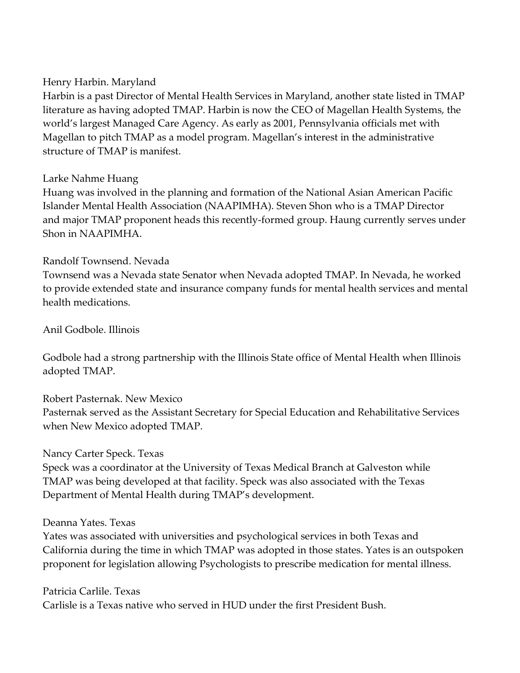#### Henry Harbin. Maryland

Harbin is a past Director of Mental Health Services in Maryland, another state listed in TMAP literature as having adopted TMAP. Harbin is now the CEO of Magellan Health Systems, the world's largest Managed Care Agency. As early as 2001, Pennsylvania officials met with Magellan to pitch TMAP as a model program. Magellan's interest in the administrative structure of TMAP is manifest.

#### Larke Nahme Huang

Huang was involved in the planning and formation of the National Asian American Pacific Islander Mental Health Association (NAAPIMHA). Steven Shon who is a TMAP Director and major TMAP proponent heads this recently-formed group. Haung currently serves under Shon in NAAPIMHA.

#### Randolf Townsend. Nevada

Townsend was a Nevada state Senator when Nevada adopted TMAP. In Nevada, he worked to provide extended state and insurance company funds for mental health services and mental health medications.

Anil Godbole. Illinois

Godbole had a strong partnership with the Illinois State office of Mental Health when Illinois adopted TMAP.

#### Robert Pasternak. New Mexico

Pasternak served as the Assistant Secretary for Special Education and Rehabilitative Services when New Mexico adopted TMAP.

#### Nancy Carter Speck. Texas

Speck was a coordinator at the University of Texas Medical Branch at Galveston while TMAP was being developed at that facility. Speck was also associated with the Texas Department of Mental Health during TMAP's development.

#### Deanna Yates. Texas

Yates was associated with universities and psychological services in both Texas and California during the time in which TMAP was adopted in those states. Yates is an outspoken proponent for legislation allowing Psychologists to prescribe medication for mental illness.

#### Patricia Carlile. Texas

Carlisle is a Texas native who served in HUD under the first President Bush.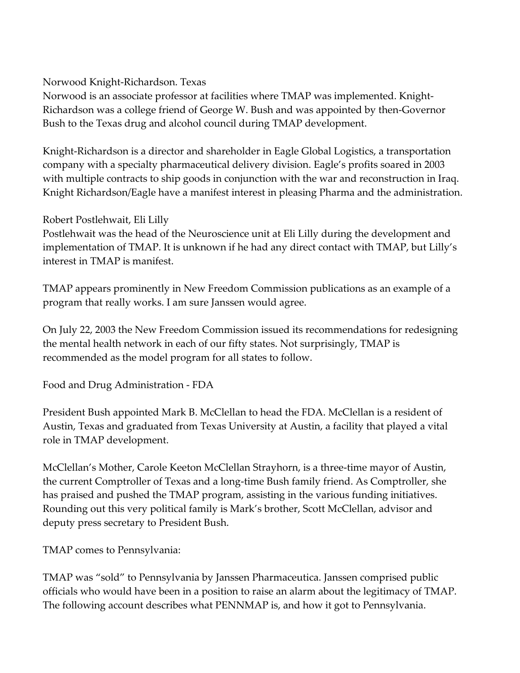### Norwood Knight-Richardson. Texas

Norwood is an associate professor at facilities where TMAP was implemented. Knight-Richardson was a college friend of George W. Bush and was appointed by then-Governor Bush to the Texas drug and alcohol council during TMAP development.

Knight-Richardson is a director and shareholder in Eagle Global Logistics, a transportation company with a specialty pharmaceutical delivery division. Eagle's profits soared in 2003 with multiple contracts to ship goods in conjunction with the war and reconstruction in Iraq. Knight Richardson/Eagle have a manifest interest in pleasing Pharma and the administration.

# Robert Postlehwait, Eli Lilly

Postlehwait was the head of the Neuroscience unit at Eli Lilly during the development and implementation of TMAP. It is unknown if he had any direct contact with TMAP, but Lilly's interest in TMAP is manifest.

TMAP appears prominently in New Freedom Commission publications as an example of a program that really works. I am sure Janssen would agree.

On July 22, 2003 the New Freedom Commission issued its recommendations for redesigning the mental health network in each of our fifty states. Not surprisingly, TMAP is recommended as the model program for all states to follow.

Food and Drug Administration - FDA

President Bush appointed Mark B. McClellan to head the FDA. McClellan is a resident of Austin, Texas and graduated from Texas University at Austin, a facility that played a vital role in TMAP development.

McClellan's Mother, Carole Keeton McClellan Strayhorn, is a three-time mayor of Austin, the current Comptroller of Texas and a long-time Bush family friend. As Comptroller, she has praised and pushed the TMAP program, assisting in the various funding initiatives. Rounding out this very political family is Mark's brother, Scott McClellan, advisor and deputy press secretary to President Bush.

TMAP comes to Pennsylvania:

TMAP was "sold" to Pennsylvania by Janssen Pharmaceutica. Janssen comprised public officials who would have been in a position to raise an alarm about the legitimacy of TMAP. The following account describes what PENNMAP is, and how it got to Pennsylvania.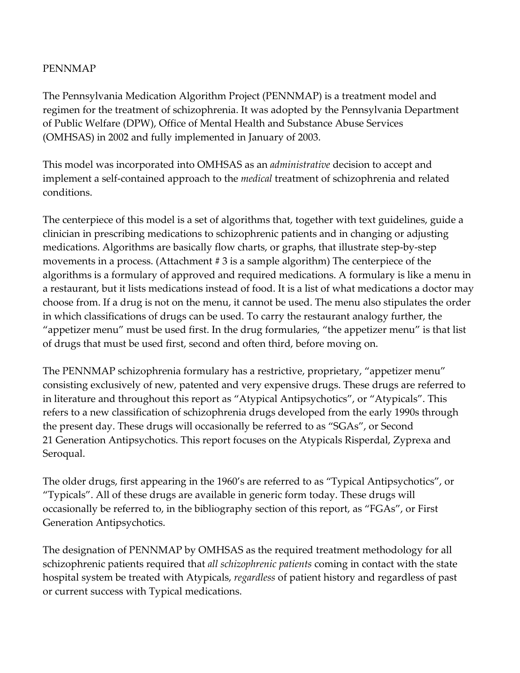#### PENNMAP

The Pennsylvania Medication Algorithm Project (PENNMAP) is a treatment model and regimen for the treatment of schizophrenia. It was adopted by the Pennsylvania Department of Public Welfare (DPW), Office of Mental Health and Substance Abuse Services (OMHSAS) in 2002 and fully implemented in January of 2003.

This model was incorporated into OMHSAS as an administrative decision to accept and implement a self-contained approach to the *medical* treatment of schizophrenia and related conditions.

The centerpiece of this model is a set of algorithms that, together with text guidelines, guide a clinician in prescribing medications to schizophrenic patients and in changing or adjusting medications. Algorithms are basically flow charts, or graphs, that illustrate step-by-step movements in a process. (Attachment # 3 is a sample algorithm) The centerpiece of the algorithms is a formulary of approved and required medications. A formulary is like a menu in a restaurant, but it lists medications instead of food. It is a list of what medications a doctor may choose from. If a drug is not on the menu, it cannot be used. The menu also stipulates the order in which classifications of drugs can be used. To carry the restaurant analogy further, the "appetizer menu" must be used first. In the drug formularies, "the appetizer menu" is that list of drugs that must be used first, second and often third, before moving on.

The PENNMAP schizophrenia formulary has a restrictive, proprietary, "appetizer menu" consisting exclusively of new, patented and very expensive drugs. These drugs are referred to in literature and throughout this report as "Atypical Antipsychotics", or "Atypicals". This refers to a new classification of schizophrenia drugs developed from the early 1990s through the present day. These drugs will occasionally be referred to as "SGAs", or Second 21 Generation Antipsychotics. This report focuses on the Atypicals Risperdal, Zyprexa and Seroqual.

The older drugs, first appearing in the 1960's are referred to as "Typical Antipsychotics", or "Typicals". All of these drugs are available in generic form today. These drugs will occasionally be referred to, in the bibliography section of this report, as "FGAs", or First Generation Antipsychotics.

The designation of PENNMAP by OMHSAS as the required treatment methodology for all schizophrenic patients required that all schizophrenic patients coming in contact with the state hospital system be treated with Atypicals, regardless of patient history and regardless of past or current success with Typical medications.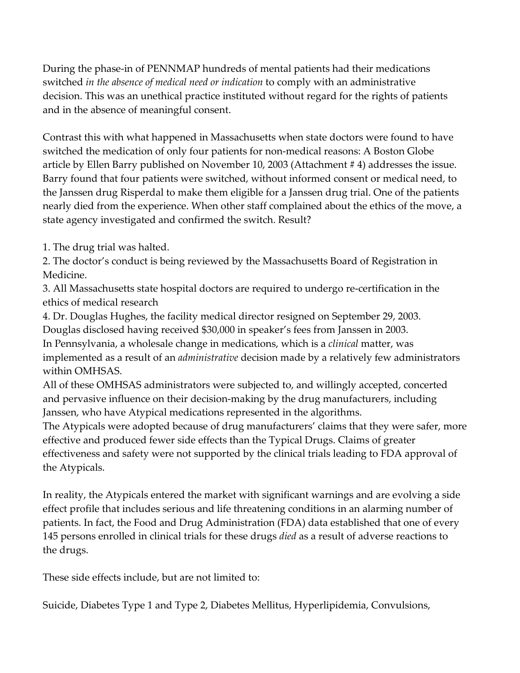During the phase-in of PENNMAP hundreds of mental patients had their medications switched in the absence of medical need or indication to comply with an administrative decision. This was an unethical practice instituted without regard for the rights of patients and in the absence of meaningful consent.

Contrast this with what happened in Massachusetts when state doctors were found to have switched the medication of only four patients for non-medical reasons: A Boston Globe article by Ellen Barry published on November 10, 2003 (Attachment # 4) addresses the issue. Barry found that four patients were switched, without informed consent or medical need, to the Janssen drug Risperdal to make them eligible for a Janssen drug trial. One of the patients nearly died from the experience. When other staff complained about the ethics of the move, a state agency investigated and confirmed the switch. Result?

1. The drug trial was halted.

2. The doctor's conduct is being reviewed by the Massachusetts Board of Registration in Medicine.

3. All Massachusetts state hospital doctors are required to undergo re-certification in the ethics of medical research

4. Dr. Douglas Hughes, the facility medical director resigned on September 29, 2003.

Douglas disclosed having received \$30,000 in speaker's fees from Janssen in 2003.

In Pennsylvania, a wholesale change in medications, which is a clinical matter, was implemented as a result of an *administrative* decision made by a relatively few administrators within OMHSAS.

All of these OMHSAS administrators were subjected to, and willingly accepted, concerted and pervasive influence on their decision-making by the drug manufacturers, including Janssen, who have Atypical medications represented in the algorithms.

The Atypicals were adopted because of drug manufacturers' claims that they were safer, more effective and produced fewer side effects than the Typical Drugs. Claims of greater effectiveness and safety were not supported by the clinical trials leading to FDA approval of the Atypicals.

In reality, the Atypicals entered the market with significant warnings and are evolving a side effect profile that includes serious and life threatening conditions in an alarming number of patients. In fact, the Food and Drug Administration (FDA) data established that one of every 145 persons enrolled in clinical trials for these drugs *died* as a result of adverse reactions to the drugs.

These side effects include, but are not limited to:

Suicide, Diabetes Type 1 and Type 2, Diabetes Mellitus, Hyperlipidemia, Convulsions,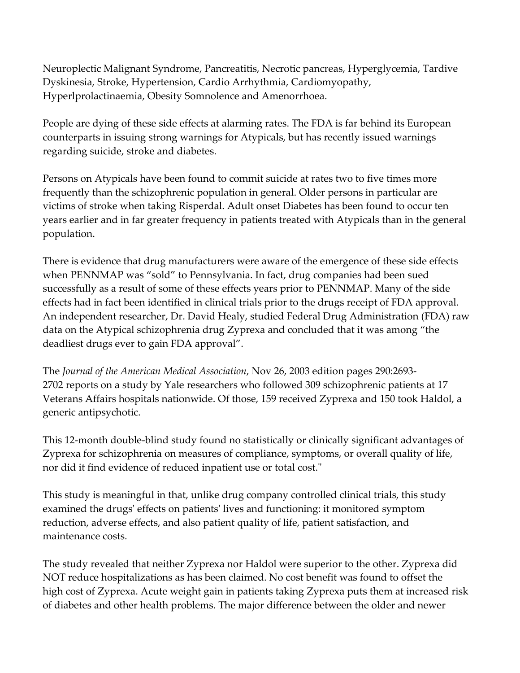Neuroplectic Malignant Syndrome, Pancreatitis, Necrotic pancreas, Hyperglycemia, Tardive Dyskinesia, Stroke, Hypertension, Cardio Arrhythmia, Cardiomyopathy, Hyperlprolactinaemia, Obesity Somnolence and Amenorrhoea.

People are dying of these side effects at alarming rates. The FDA is far behind its European counterparts in issuing strong warnings for Atypicals, but has recently issued warnings regarding suicide, stroke and diabetes.

Persons on Atypicals have been found to commit suicide at rates two to five times more frequently than the schizophrenic population in general. Older persons in particular are victims of stroke when taking Risperdal. Adult onset Diabetes has been found to occur ten years earlier and in far greater frequency in patients treated with Atypicals than in the general population.

There is evidence that drug manufacturers were aware of the emergence of these side effects when PENNMAP was "sold" to Pennsylvania. In fact, drug companies had been sued successfully as a result of some of these effects years prior to PENNMAP. Many of the side effects had in fact been identified in clinical trials prior to the drugs receipt of FDA approval. An independent researcher, Dr. David Healy, studied Federal Drug Administration (FDA) raw data on the Atypical schizophrenia drug Zyprexa and concluded that it was among "the deadliest drugs ever to gain FDA approval".

The Journal of the American Medical Association, Nov 26, 2003 edition pages 290:2693- 2702 reports on a study by Yale researchers who followed 309 schizophrenic patients at 17 Veterans Affairs hospitals nationwide. Of those, 159 received Zyprexa and 150 took Haldol, a generic antipsychotic.

This 12-month double-blind study found no statistically or clinically significant advantages of Zyprexa for schizophrenia on measures of compliance, symptoms, or overall quality of life, nor did it find evidence of reduced inpatient use or total cost."

This study is meaningful in that, unlike drug company controlled clinical trials, this study examined the drugs' effects on patients' lives and functioning: it monitored symptom reduction, adverse effects, and also patient quality of life, patient satisfaction, and maintenance costs.

The study revealed that neither Zyprexa nor Haldol were superior to the other. Zyprexa did NOT reduce hospitalizations as has been claimed. No cost benefit was found to offset the high cost of Zyprexa. Acute weight gain in patients taking Zyprexa puts them at increased risk of diabetes and other health problems. The major difference between the older and newer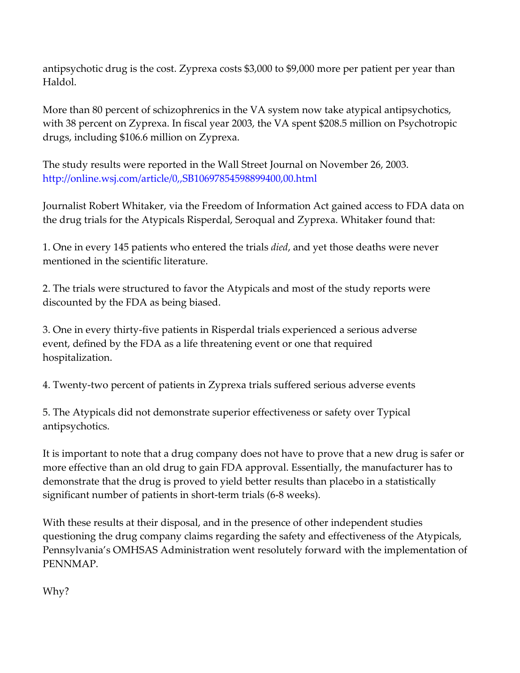antipsychotic drug is the cost. Zyprexa costs \$3,000 to \$9,000 more per patient per year than Haldol.

More than 80 percent of schizophrenics in the VA system now take atypical antipsychotics, with 38 percent on Zyprexa. In fiscal year 2003, the VA spent \$208.5 million on Psychotropic drugs, including \$106.6 million on Zyprexa.

The study results were reported in the Wall Street Journal on November 26, 2003. http://online.wsj.com/article/0,,SB10697854598899400,00.html

Journalist Robert Whitaker, via the Freedom of Information Act gained access to FDA data on the drug trials for the Atypicals Risperdal, Seroqual and Zyprexa. Whitaker found that:

1. One in every 145 patients who entered the trials died, and yet those deaths were never mentioned in the scientific literature.

2. The trials were structured to favor the Atypicals and most of the study reports were discounted by the FDA as being biased.

3. One in every thirty-five patients in Risperdal trials experienced a serious adverse event, defined by the FDA as a life threatening event or one that required hospitalization.

4. Twenty-two percent of patients in Zyprexa trials suffered serious adverse events

5. The Atypicals did not demonstrate superior effectiveness or safety over Typical antipsychotics.

It is important to note that a drug company does not have to prove that a new drug is safer or more effective than an old drug to gain FDA approval. Essentially, the manufacturer has to demonstrate that the drug is proved to yield better results than placebo in a statistically significant number of patients in short-term trials (6-8 weeks).

With these results at their disposal, and in the presence of other independent studies questioning the drug company claims regarding the safety and effectiveness of the Atypicals, Pennsylvania's OMHSAS Administration went resolutely forward with the implementation of PENNMAP.

Why?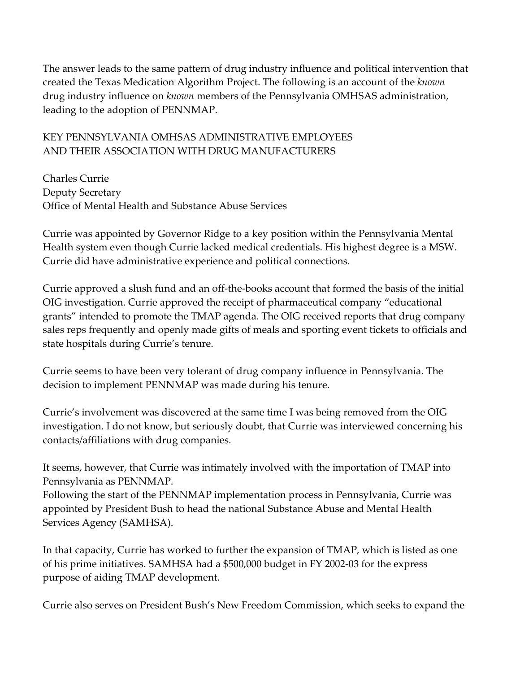The answer leads to the same pattern of drug industry influence and political intervention that created the Texas Medication Algorithm Project. The following is an account of the known drug industry influence on *known* members of the Pennsylvania OMHSAS administration, leading to the adoption of PENNMAP.

### KEY PENNSYLVANIA OMHSAS ADMINISTRATIVE EMPLOYEES AND THEIR ASSOCIATION WITH DRUG MANUFACTURERS

Charles Currie Deputy Secretary Office of Mental Health and Substance Abuse Services

Currie was appointed by Governor Ridge to a key position within the Pennsylvania Mental Health system even though Currie lacked medical credentials. His highest degree is a MSW. Currie did have administrative experience and political connections.

Currie approved a slush fund and an off-the-books account that formed the basis of the initial OIG investigation. Currie approved the receipt of pharmaceutical company "educational grants" intended to promote the TMAP agenda. The OIG received reports that drug company sales reps frequently and openly made gifts of meals and sporting event tickets to officials and state hospitals during Currie's tenure.

Currie seems to have been very tolerant of drug company influence in Pennsylvania. The decision to implement PENNMAP was made during his tenure.

Currie's involvement was discovered at the same time I was being removed from the OIG investigation. I do not know, but seriously doubt, that Currie was interviewed concerning his contacts/affiliations with drug companies.

It seems, however, that Currie was intimately involved with the importation of TMAP into Pennsylvania as PENNMAP.

Following the start of the PENNMAP implementation process in Pennsylvania, Currie was appointed by President Bush to head the national Substance Abuse and Mental Health Services Agency (SAMHSA).

In that capacity, Currie has worked to further the expansion of TMAP, which is listed as one of his prime initiatives. SAMHSA had a \$500,000 budget in FY 2002-03 for the express purpose of aiding TMAP development.

Currie also serves on President Bush's New Freedom Commission, which seeks to expand the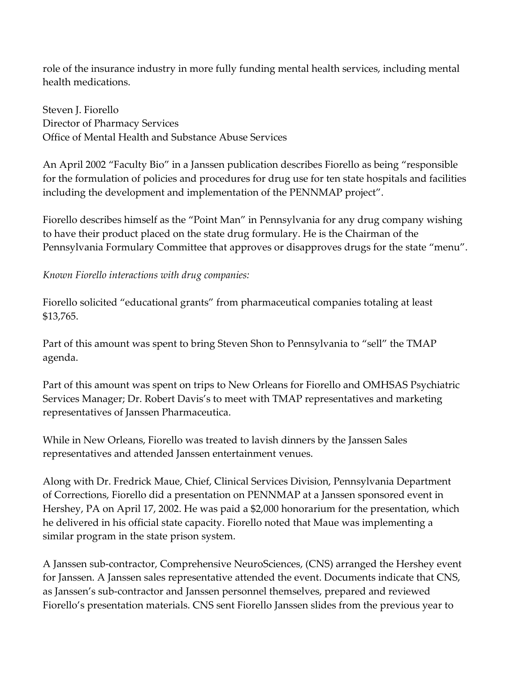role of the insurance industry in more fully funding mental health services, including mental health medications.

Steven J. Fiorello Director of Pharmacy Services Office of Mental Health and Substance Abuse Services

An April 2002 "Faculty Bio" in a Janssen publication describes Fiorello as being "responsible for the formulation of policies and procedures for drug use for ten state hospitals and facilities including the development and implementation of the PENNMAP project".

Fiorello describes himself as the "Point Man" in Pennsylvania for any drug company wishing to have their product placed on the state drug formulary. He is the Chairman of the Pennsylvania Formulary Committee that approves or disapproves drugs for the state "menu".

Known Fiorello interactions with drug companies:

Fiorello solicited "educational grants" from pharmaceutical companies totaling at least \$13,765.

Part of this amount was spent to bring Steven Shon to Pennsylvania to "sell" the TMAP agenda.

Part of this amount was spent on trips to New Orleans for Fiorello and OMHSAS Psychiatric Services Manager; Dr. Robert Davis's to meet with TMAP representatives and marketing representatives of Janssen Pharmaceutica.

While in New Orleans, Fiorello was treated to lavish dinners by the Janssen Sales representatives and attended Janssen entertainment venues.

Along with Dr. Fredrick Maue, Chief, Clinical Services Division, Pennsylvania Department of Corrections, Fiorello did a presentation on PENNMAP at a Janssen sponsored event in Hershey, PA on April 17, 2002. He was paid a \$2,000 honorarium for the presentation, which he delivered in his official state capacity. Fiorello noted that Maue was implementing a similar program in the state prison system.

A Janssen sub-contractor, Comprehensive NeuroSciences, (CNS) arranged the Hershey event for Janssen. A Janssen sales representative attended the event. Documents indicate that CNS, as Janssen's sub-contractor and Janssen personnel themselves, prepared and reviewed Fiorello's presentation materials. CNS sent Fiorello Janssen slides from the previous year to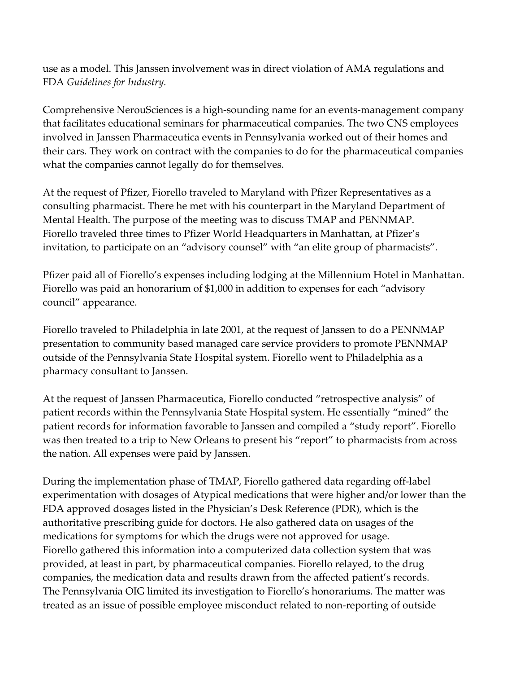use as a model. This Janssen involvement was in direct violation of AMA regulations and FDA Guidelines for Industry.

Comprehensive NerouSciences is a high-sounding name for an events-management company that facilitates educational seminars for pharmaceutical companies. The two CNS employees involved in Janssen Pharmaceutica events in Pennsylvania worked out of their homes and their cars. They work on contract with the companies to do for the pharmaceutical companies what the companies cannot legally do for themselves.

At the request of Pfizer, Fiorello traveled to Maryland with Pfizer Representatives as a consulting pharmacist. There he met with his counterpart in the Maryland Department of Mental Health. The purpose of the meeting was to discuss TMAP and PENNMAP. Fiorello traveled three times to Pfizer World Headquarters in Manhattan, at Pfizer's invitation, to participate on an "advisory counsel" with "an elite group of pharmacists".

Pfizer paid all of Fiorello's expenses including lodging at the Millennium Hotel in Manhattan. Fiorello was paid an honorarium of \$1,000 in addition to expenses for each "advisory council" appearance.

Fiorello traveled to Philadelphia in late 2001, at the request of Janssen to do a PENNMAP presentation to community based managed care service providers to promote PENNMAP outside of the Pennsylvania State Hospital system. Fiorello went to Philadelphia as a pharmacy consultant to Janssen.

At the request of Janssen Pharmaceutica, Fiorello conducted "retrospective analysis" of patient records within the Pennsylvania State Hospital system. He essentially "mined" the patient records for information favorable to Janssen and compiled a "study report". Fiorello was then treated to a trip to New Orleans to present his "report" to pharmacists from across the nation. All expenses were paid by Janssen.

During the implementation phase of TMAP, Fiorello gathered data regarding off-label experimentation with dosages of Atypical medications that were higher and/or lower than the FDA approved dosages listed in the Physician's Desk Reference (PDR), which is the authoritative prescribing guide for doctors. He also gathered data on usages of the medications for symptoms for which the drugs were not approved for usage. Fiorello gathered this information into a computerized data collection system that was provided, at least in part, by pharmaceutical companies. Fiorello relayed, to the drug companies, the medication data and results drawn from the affected patient's records. The Pennsylvania OIG limited its investigation to Fiorello's honorariums. The matter was treated as an issue of possible employee misconduct related to non-reporting of outside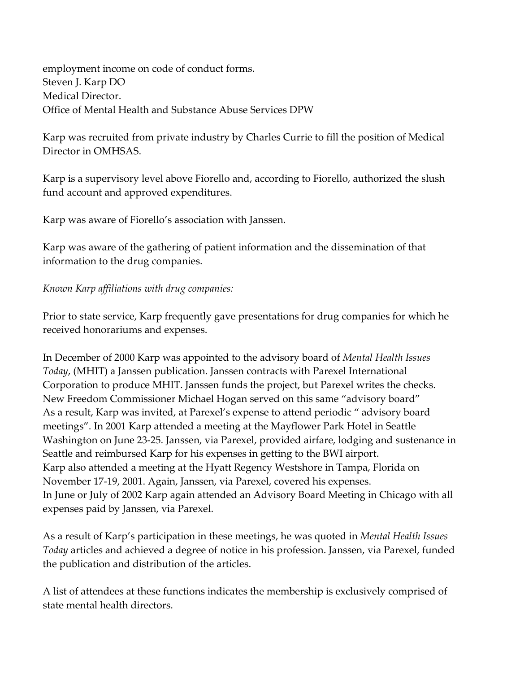employment income on code of conduct forms. Steven J. Karp DO Medical Director. Office of Mental Health and Substance Abuse Services DPW

Karp was recruited from private industry by Charles Currie to fill the position of Medical Director in OMHSAS.

Karp is a supervisory level above Fiorello and, according to Fiorello, authorized the slush fund account and approved expenditures.

Karp was aware of Fiorello's association with Janssen.

Karp was aware of the gathering of patient information and the dissemination of that information to the drug companies.

Known Karp affiliations with drug companies:

Prior to state service, Karp frequently gave presentations for drug companies for which he received honorariums and expenses.

In December of 2000 Karp was appointed to the advisory board of Mental Health Issues Today, (MHIT) a Janssen publication. Janssen contracts with Parexel International Corporation to produce MHIT. Janssen funds the project, but Parexel writes the checks. New Freedom Commissioner Michael Hogan served on this same "advisory board" As a result, Karp was invited, at Parexel's expense to attend periodic " advisory board meetings". In 2001 Karp attended a meeting at the Mayflower Park Hotel in Seattle Washington on June 23-25. Janssen, via Parexel, provided airfare, lodging and sustenance in Seattle and reimbursed Karp for his expenses in getting to the BWI airport. Karp also attended a meeting at the Hyatt Regency Westshore in Tampa, Florida on November 17-19, 2001. Again, Janssen, via Parexel, covered his expenses. In June or July of 2002 Karp again attended an Advisory Board Meeting in Chicago with all expenses paid by Janssen, via Parexel.

As a result of Karp's participation in these meetings, he was quoted in Mental Health Issues Today articles and achieved a degree of notice in his profession. Janssen, via Parexel, funded the publication and distribution of the articles.

A list of attendees at these functions indicates the membership is exclusively comprised of state mental health directors.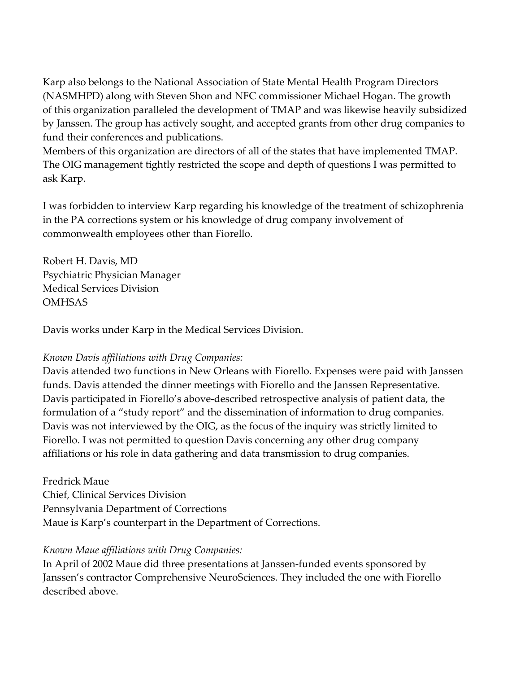Karp also belongs to the National Association of State Mental Health Program Directors (NASMHPD) along with Steven Shon and NFC commissioner Michael Hogan. The growth of this organization paralleled the development of TMAP and was likewise heavily subsidized by Janssen. The group has actively sought, and accepted grants from other drug companies to fund their conferences and publications.

Members of this organization are directors of all of the states that have implemented TMAP. The OIG management tightly restricted the scope and depth of questions I was permitted to ask Karp.

I was forbidden to interview Karp regarding his knowledge of the treatment of schizophrenia in the PA corrections system or his knowledge of drug company involvement of commonwealth employees other than Fiorello.

Robert H. Davis, MD Psychiatric Physician Manager Medical Services Division **OMHSAS** 

Davis works under Karp in the Medical Services Division.

#### Known Davis affiliations with Drug Companies:

Davis attended two functions in New Orleans with Fiorello. Expenses were paid with Janssen funds. Davis attended the dinner meetings with Fiorello and the Janssen Representative. Davis participated in Fiorello's above-described retrospective analysis of patient data, the formulation of a "study report" and the dissemination of information to drug companies. Davis was not interviewed by the OIG, as the focus of the inquiry was strictly limited to Fiorello. I was not permitted to question Davis concerning any other drug company affiliations or his role in data gathering and data transmission to drug companies.

Fredrick Maue Chief, Clinical Services Division Pennsylvania Department of Corrections Maue is Karp's counterpart in the Department of Corrections.

#### Known Maue affiliations with Drug Companies:

In April of 2002 Maue did three presentations at Janssen-funded events sponsored by Janssen's contractor Comprehensive NeuroSciences. They included the one with Fiorello described above.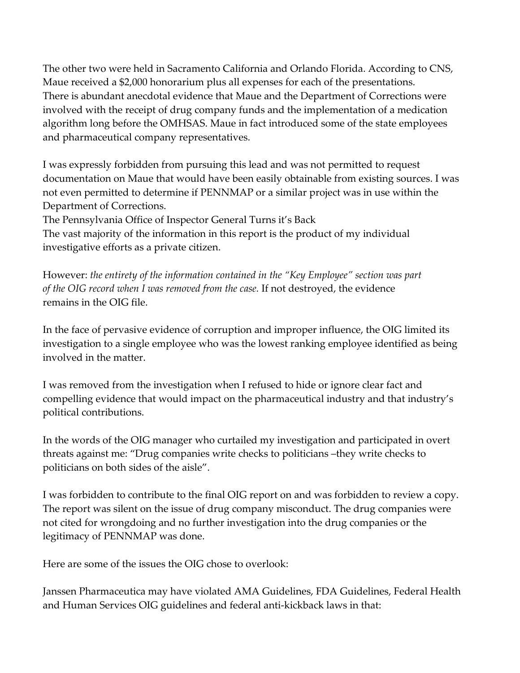The other two were held in Sacramento California and Orlando Florida. According to CNS, Maue received a \$2,000 honorarium plus all expenses for each of the presentations. There is abundant anecdotal evidence that Maue and the Department of Corrections were involved with the receipt of drug company funds and the implementation of a medication algorithm long before the OMHSAS. Maue in fact introduced some of the state employees and pharmaceutical company representatives.

I was expressly forbidden from pursuing this lead and was not permitted to request documentation on Maue that would have been easily obtainable from existing sources. I was not even permitted to determine if PENNMAP or a similar project was in use within the Department of Corrections.

The Pennsylvania Office of Inspector General Turns it's Back

The vast majority of the information in this report is the product of my individual investigative efforts as a private citizen.

However: the entirety of the information contained in the "Key Employee" section was part of the OIG record when I was removed from the case. If not destroyed, the evidence remains in the OIG file.

In the face of pervasive evidence of corruption and improper influence, the OIG limited its investigation to a single employee who was the lowest ranking employee identified as being involved in the matter.

I was removed from the investigation when I refused to hide or ignore clear fact and compelling evidence that would impact on the pharmaceutical industry and that industry's political contributions.

In the words of the OIG manager who curtailed my investigation and participated in overt threats against me: "Drug companies write checks to politicians –they write checks to politicians on both sides of the aisle".

I was forbidden to contribute to the final OIG report on and was forbidden to review a copy. The report was silent on the issue of drug company misconduct. The drug companies were not cited for wrongdoing and no further investigation into the drug companies or the legitimacy of PENNMAP was done.

Here are some of the issues the OIG chose to overlook:

Janssen Pharmaceutica may have violated AMA Guidelines, FDA Guidelines, Federal Health and Human Services OIG guidelines and federal anti-kickback laws in that: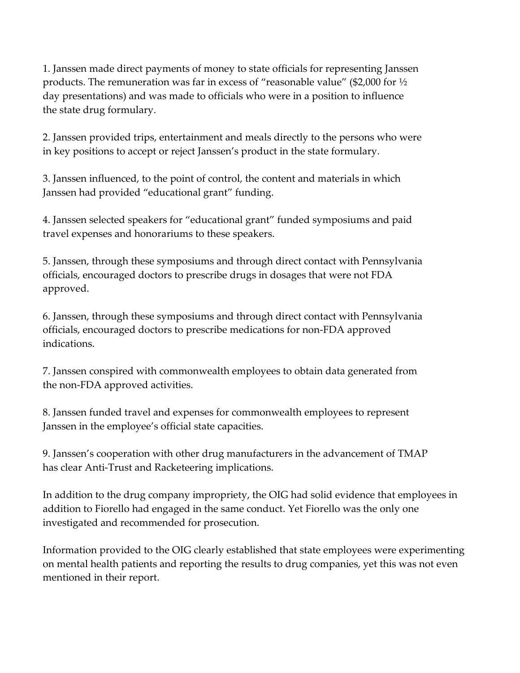1. Janssen made direct payments of money to state officials for representing Janssen products. The remuneration was far in excess of "reasonable value" (\$2,000 for ½ day presentations) and was made to officials who were in a position to influence the state drug formulary.

2. Janssen provided trips, entertainment and meals directly to the persons who were in key positions to accept or reject Janssen's product in the state formulary.

3. Janssen influenced, to the point of control, the content and materials in which Janssen had provided "educational grant" funding.

4. Janssen selected speakers for "educational grant" funded symposiums and paid travel expenses and honorariums to these speakers.

5. Janssen, through these symposiums and through direct contact with Pennsylvania officials, encouraged doctors to prescribe drugs in dosages that were not FDA approved.

6. Janssen, through these symposiums and through direct contact with Pennsylvania officials, encouraged doctors to prescribe medications for non-FDA approved indications.

7. Janssen conspired with commonwealth employees to obtain data generated from the non-FDA approved activities.

8. Janssen funded travel and expenses for commonwealth employees to represent Janssen in the employee's official state capacities.

9. Janssen's cooperation with other drug manufacturers in the advancement of TMAP has clear Anti-Trust and Racketeering implications.

In addition to the drug company impropriety, the OIG had solid evidence that employees in addition to Fiorello had engaged in the same conduct. Yet Fiorello was the only one investigated and recommended for prosecution.

Information provided to the OIG clearly established that state employees were experimenting on mental health patients and reporting the results to drug companies, yet this was not even mentioned in their report.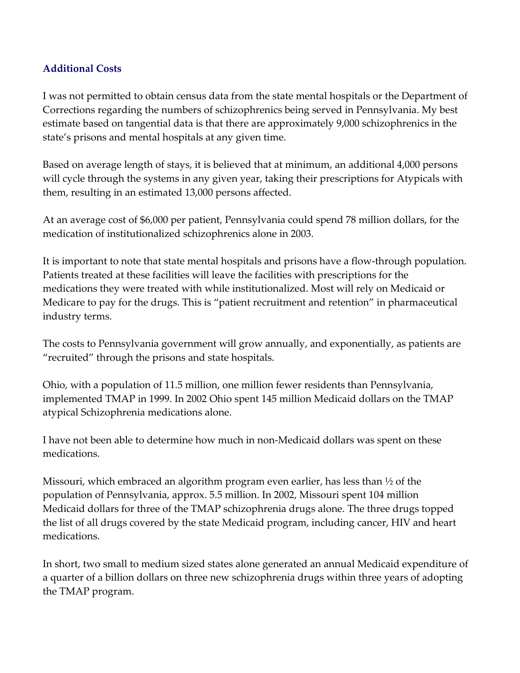### Additional Costs

I was not permitted to obtain census data from the state mental hospitals or the Department of Corrections regarding the numbers of schizophrenics being served in Pennsylvania. My best estimate based on tangential data is that there are approximately 9,000 schizophrenics in the state's prisons and mental hospitals at any given time.

Based on average length of stays, it is believed that at minimum, an additional 4,000 persons will cycle through the systems in any given year, taking their prescriptions for Atypicals with them, resulting in an estimated 13,000 persons affected.

At an average cost of \$6,000 per patient, Pennsylvania could spend 78 million dollars, for the medication of institutionalized schizophrenics alone in 2003.

It is important to note that state mental hospitals and prisons have a flow-through population. Patients treated at these facilities will leave the facilities with prescriptions for the medications they were treated with while institutionalized. Most will rely on Medicaid or Medicare to pay for the drugs. This is "patient recruitment and retention" in pharmaceutical industry terms.

The costs to Pennsylvania government will grow annually, and exponentially, as patients are "recruited" through the prisons and state hospitals.

Ohio, with a population of 11.5 million, one million fewer residents than Pennsylvania, implemented TMAP in 1999. In 2002 Ohio spent 145 million Medicaid dollars on the TMAP atypical Schizophrenia medications alone.

I have not been able to determine how much in non-Medicaid dollars was spent on these medications.

Missouri, which embraced an algorithm program even earlier, has less than ½ of the population of Pennsylvania, approx. 5.5 million. In 2002, Missouri spent 104 million Medicaid dollars for three of the TMAP schizophrenia drugs alone. The three drugs topped the list of all drugs covered by the state Medicaid program, including cancer, HIV and heart medications.

In short, two small to medium sized states alone generated an annual Medicaid expenditure of a quarter of a billion dollars on three new schizophrenia drugs within three years of adopting the TMAP program.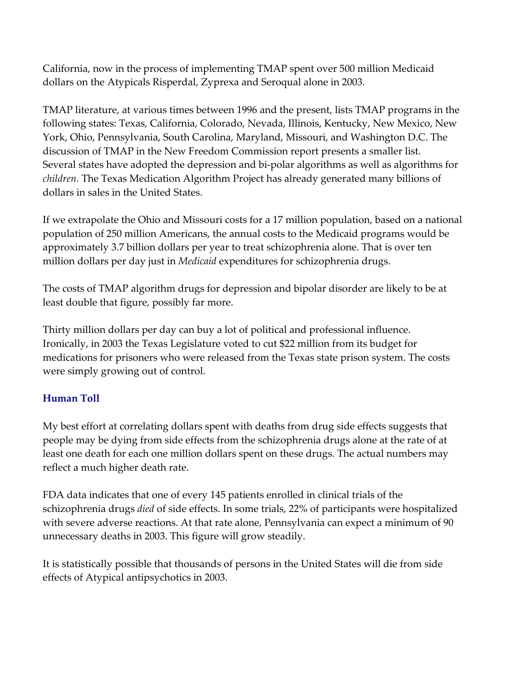California, now in the process of implementing TMAP spent over 500 million Medicaid dollars on the Atypicals Risperdal, Zyprexa and Seroqual alone in 2003.

TMAP literature, at various times between 1996 and the present, lists TMAP programs in the following states: Texas, California, Colorado, Nevada, Illinois, Kentucky, New Mexico, New York, Ohio, Pennsylvania, South Carolina, Maryland, Missouri, and Washington D.C. The discussion of TMAP in the New Freedom Commission report presents a smaller list. Several states have adopted the depression and bi-polar algorithms as well as algorithms for children. The Texas Medication Algorithm Project has already generated many billions of dollars in sales in the United States.

If we extrapolate the Ohio and Missouri costs for a 17 million population, based on a national population of 250 million Americans, the annual costs to the Medicaid programs would be approximately 3.7 billion dollars per year to treat schizophrenia alone. That is over ten million dollars per day just in *Medicaid* expenditures for schizophrenia drugs.

The costs of TMAP algorithm drugs for depression and bipolar disorder are likely to be at least double that figure, possibly far more.

Thirty million dollars per day can buy a lot of political and professional influence. Ironically, in 2003 the Texas Legislature voted to cut \$22 million from its budget for medications for prisoners who were released from the Texas state prison system. The costs were simply growing out of control.

# Human Toll

My best effort at correlating dollars spent with deaths from drug side effects suggests that people may be dying from side effects from the schizophrenia drugs alone at the rate of at least one death for each one million dollars spent on these drugs. The actual numbers may reflect a much higher death rate.

FDA data indicates that one of every 145 patients enrolled in clinical trials of the schizophrenia drugs died of side effects. In some trials, 22% of participants were hospitalized with severe adverse reactions. At that rate alone, Pennsylvania can expect a minimum of 90 unnecessary deaths in 2003. This figure will grow steadily.

It is statistically possible that thousands of persons in the United States will die from side effects of Atypical antipsychotics in 2003.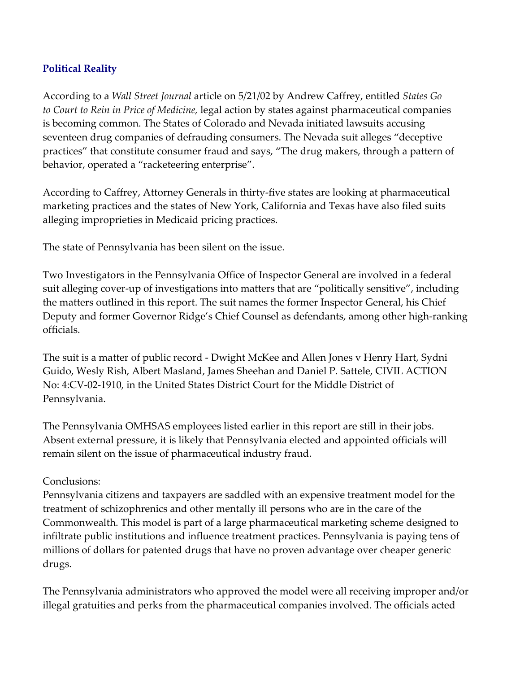# Political Reality

According to a Wall Street Journal article on 5/21/02 by Andrew Caffrey, entitled States Go to Court to Rein in Price of Medicine, legal action by states against pharmaceutical companies is becoming common. The States of Colorado and Nevada initiated lawsuits accusing seventeen drug companies of defrauding consumers. The Nevada suit alleges "deceptive practices" that constitute consumer fraud and says, "The drug makers, through a pattern of behavior, operated a "racketeering enterprise".

According to Caffrey, Attorney Generals in thirty-five states are looking at pharmaceutical marketing practices and the states of New York, California and Texas have also filed suits alleging improprieties in Medicaid pricing practices.

The state of Pennsylvania has been silent on the issue.

Two Investigators in the Pennsylvania Office of Inspector General are involved in a federal suit alleging cover-up of investigations into matters that are "politically sensitive", including the matters outlined in this report. The suit names the former Inspector General, his Chief Deputy and former Governor Ridge's Chief Counsel as defendants, among other high-ranking officials.

The suit is a matter of public record - Dwight McKee and Allen Jones v Henry Hart, Sydni Guido, Wesly Rish, Albert Masland, James Sheehan and Daniel P. Sattele, CIVIL ACTION No: 4:CV-02-1910, in the United States District Court for the Middle District of Pennsylvania.

The Pennsylvania OMHSAS employees listed earlier in this report are still in their jobs. Absent external pressure, it is likely that Pennsylvania elected and appointed officials will remain silent on the issue of pharmaceutical industry fraud.

#### Conclusions:

Pennsylvania citizens and taxpayers are saddled with an expensive treatment model for the treatment of schizophrenics and other mentally ill persons who are in the care of the Commonwealth. This model is part of a large pharmaceutical marketing scheme designed to infiltrate public institutions and influence treatment practices. Pennsylvania is paying tens of millions of dollars for patented drugs that have no proven advantage over cheaper generic drugs.

The Pennsylvania administrators who approved the model were all receiving improper and/or illegal gratuities and perks from the pharmaceutical companies involved. The officials acted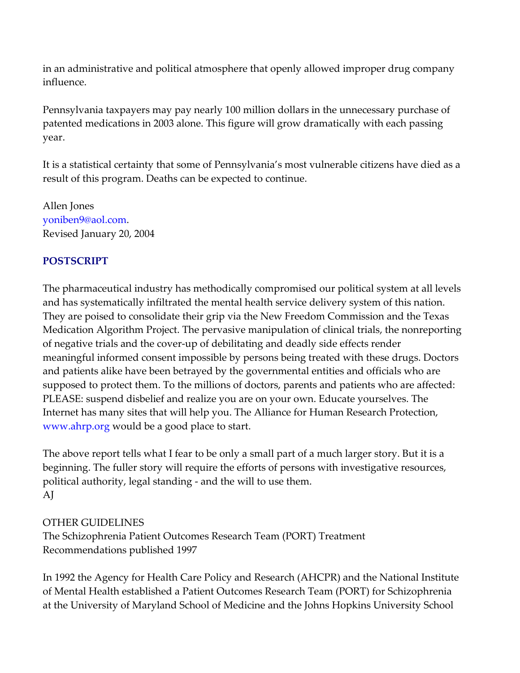in an administrative and political atmosphere that openly allowed improper drug company influence.

Pennsylvania taxpayers may pay nearly 100 million dollars in the unnecessary purchase of patented medications in 2003 alone. This figure will grow dramatically with each passing year.

It is a statistical certainty that some of Pennsylvania's most vulnerable citizens have died as a result of this program. Deaths can be expected to continue.

Allen Jones yoniben9@aol.com. Revised January 20, 2004

# POSTSCRIPT

The pharmaceutical industry has methodically compromised our political system at all levels and has systematically infiltrated the mental health service delivery system of this nation. They are poised to consolidate their grip via the New Freedom Commission and the Texas Medication Algorithm Project. The pervasive manipulation of clinical trials, the nonreporting of negative trials and the cover-up of debilitating and deadly side effects render meaningful informed consent impossible by persons being treated with these drugs. Doctors and patients alike have been betrayed by the governmental entities and officials who are supposed to protect them. To the millions of doctors, parents and patients who are affected: PLEASE: suspend disbelief and realize you are on your own. Educate yourselves. The Internet has many sites that will help you. The Alliance for Human Research Protection, www.ahrp.org would be a good place to start.

The above report tells what I fear to be only a small part of a much larger story. But it is a beginning. The fuller story will require the efforts of persons with investigative resources, political authority, legal standing - and the will to use them. AJ

# OTHER GUIDELINES

The Schizophrenia Patient Outcomes Research Team (PORT) Treatment Recommendations published 1997

In 1992 the Agency for Health Care Policy and Research (AHCPR) and the National Institute of Mental Health established a Patient Outcomes Research Team (PORT) for Schizophrenia at the University of Maryland School of Medicine and the Johns Hopkins University School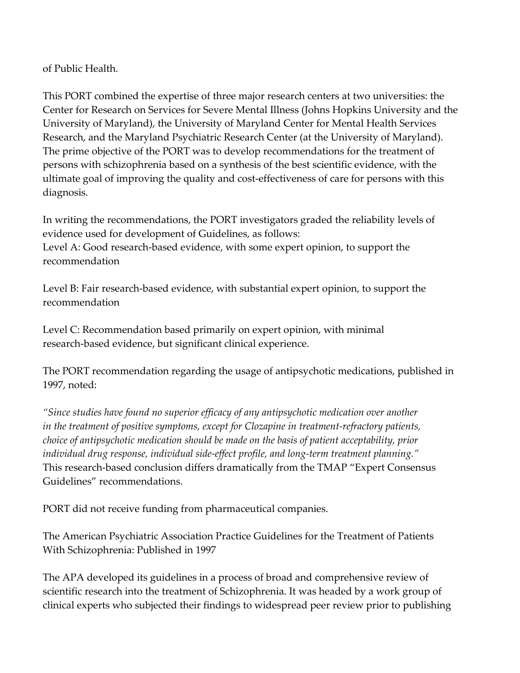of Public Health.

This PORT combined the expertise of three major research centers at two universities: the Center for Research on Services for Severe Mental Illness (Johns Hopkins University and the University of Maryland), the University of Maryland Center for Mental Health Services Research, and the Maryland Psychiatric Research Center (at the University of Maryland). The prime objective of the PORT was to develop recommendations for the treatment of persons with schizophrenia based on a synthesis of the best scientific evidence, with the ultimate goal of improving the quality and cost-effectiveness of care for persons with this diagnosis.

In writing the recommendations, the PORT investigators graded the reliability levels of evidence used for development of Guidelines, as follows:

Level A: Good research-based evidence, with some expert opinion, to support the recommendation

Level B: Fair research-based evidence, with substantial expert opinion, to support the recommendation

Level C: Recommendation based primarily on expert opinion, with minimal research-based evidence, but significant clinical experience.

The PORT recommendation regarding the usage of antipsychotic medications, published in 1997, noted:

"Since studies have found no superior efficacy of any antipsychotic medication over another in the treatment of positive symptoms, except for Clozapine in treatment-refractory patients, choice of antipsychotic medication should be made on the basis of patient acceptability, prior individual drug response, individual side-effect profile, and long-term treatment planning." This research-based conclusion differs dramatically from the TMAP "Expert Consensus Guidelines" recommendations.

PORT did not receive funding from pharmaceutical companies.

The American Psychiatric Association Practice Guidelines for the Treatment of Patients With Schizophrenia: Published in 1997

The APA developed its guidelines in a process of broad and comprehensive review of scientific research into the treatment of Schizophrenia. It was headed by a work group of clinical experts who subjected their findings to widespread peer review prior to publishing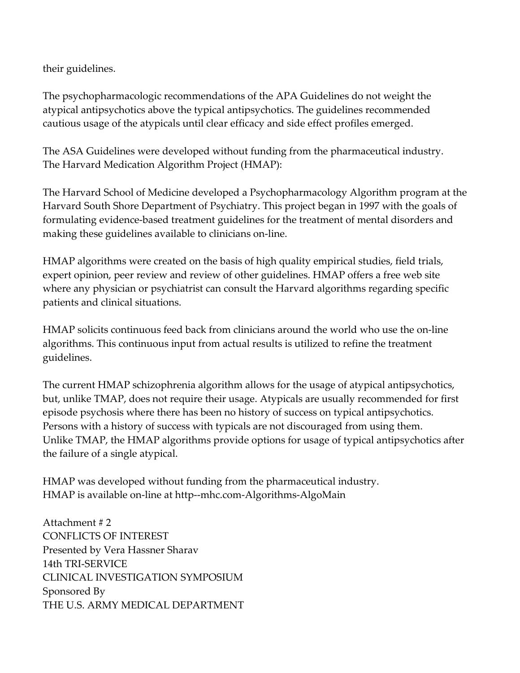their guidelines.

The psychopharmacologic recommendations of the APA Guidelines do not weight the atypical antipsychotics above the typical antipsychotics. The guidelines recommended cautious usage of the atypicals until clear efficacy and side effect profiles emerged.

The ASA Guidelines were developed without funding from the pharmaceutical industry. The Harvard Medication Algorithm Project (HMAP):

The Harvard School of Medicine developed a Psychopharmacology Algorithm program at the Harvard South Shore Department of Psychiatry. This project began in 1997 with the goals of formulating evidence-based treatment guidelines for the treatment of mental disorders and making these guidelines available to clinicians on-line.

HMAP algorithms were created on the basis of high quality empirical studies, field trials, expert opinion, peer review and review of other guidelines. HMAP offers a free web site where any physician or psychiatrist can consult the Harvard algorithms regarding specific patients and clinical situations.

HMAP solicits continuous feed back from clinicians around the world who use the on-line algorithms. This continuous input from actual results is utilized to refine the treatment guidelines.

The current HMAP schizophrenia algorithm allows for the usage of atypical antipsychotics, but, unlike TMAP, does not require their usage. Atypicals are usually recommended for first episode psychosis where there has been no history of success on typical antipsychotics. Persons with a history of success with typicals are not discouraged from using them. Unlike TMAP, the HMAP algorithms provide options for usage of typical antipsychotics after the failure of a single atypical.

HMAP was developed without funding from the pharmaceutical industry. HMAP is available on-line at http--mhc.com-Algorithms-AlgoMain

Attachment # 2 CONFLICTS OF INTEREST Presented by Vera Hassner Sharav 14th TRI-SERVICE CLINICAL INVESTIGATION SYMPOSIUM Sponsored By THE U.S. ARMY MEDICAL DEPARTMENT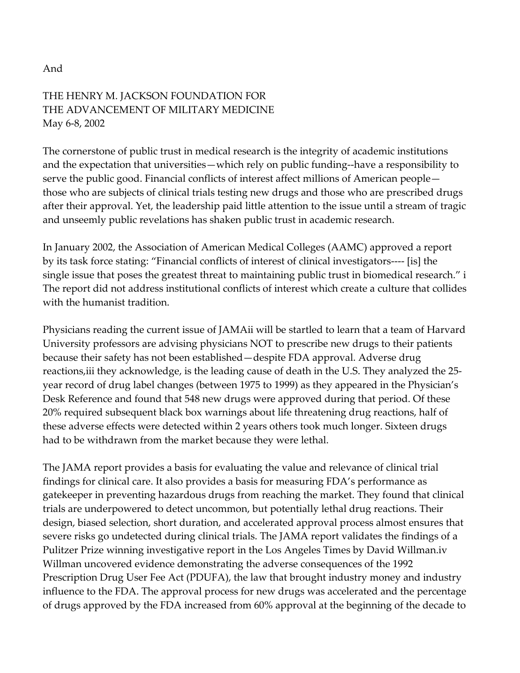#### And

# THE HENRY M. JACKSON FOUNDATION FOR THE ADVANCEMENT OF MILITARY MEDICINE May 6-8, 2002

The cornerstone of public trust in medical research is the integrity of academic institutions and the expectation that universities—which rely on public funding--have a responsibility to serve the public good. Financial conflicts of interest affect millions of American people those who are subjects of clinical trials testing new drugs and those who are prescribed drugs after their approval. Yet, the leadership paid little attention to the issue until a stream of tragic and unseemly public revelations has shaken public trust in academic research.

In January 2002, the Association of American Medical Colleges (AAMC) approved a report by its task force stating: "Financial conflicts of interest of clinical investigators---- [is] the single issue that poses the greatest threat to maintaining public trust in biomedical research." i The report did not address institutional conflicts of interest which create a culture that collides with the humanist tradition.

Physicians reading the current issue of JAMAii will be startled to learn that a team of Harvard University professors are advising physicians NOT to prescribe new drugs to their patients because their safety has not been established—despite FDA approval. Adverse drug reactions,iii they acknowledge, is the leading cause of death in the U.S. They analyzed the 25 year record of drug label changes (between 1975 to 1999) as they appeared in the Physician's Desk Reference and found that 548 new drugs were approved during that period. Of these 20% required subsequent black box warnings about life threatening drug reactions, half of these adverse effects were detected within 2 years others took much longer. Sixteen drugs had to be withdrawn from the market because they were lethal.

The JAMA report provides a basis for evaluating the value and relevance of clinical trial findings for clinical care. It also provides a basis for measuring FDA's performance as gatekeeper in preventing hazardous drugs from reaching the market. They found that clinical trials are underpowered to detect uncommon, but potentially lethal drug reactions. Their design, biased selection, short duration, and accelerated approval process almost ensures that severe risks go undetected during clinical trials. The JAMA report validates the findings of a Pulitzer Prize winning investigative report in the Los Angeles Times by David Willman.iv Willman uncovered evidence demonstrating the adverse consequences of the 1992 Prescription Drug User Fee Act (PDUFA), the law that brought industry money and industry influence to the FDA. The approval process for new drugs was accelerated and the percentage of drugs approved by the FDA increased from 60% approval at the beginning of the decade to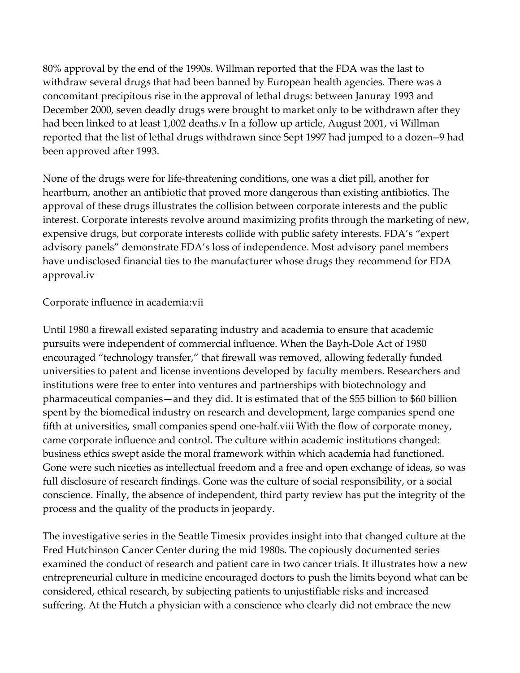80% approval by the end of the 1990s. Willman reported that the FDA was the last to withdraw several drugs that had been banned by European health agencies. There was a concomitant precipitous rise in the approval of lethal drugs: between Januray 1993 and December 2000, seven deadly drugs were brought to market only to be withdrawn after they had been linked to at least 1,002 deaths.v In a follow up article, August 2001, vi Willman reported that the list of lethal drugs withdrawn since Sept 1997 had jumped to a dozen--9 had been approved after 1993.

None of the drugs were for life-threatening conditions, one was a diet pill, another for heartburn, another an antibiotic that proved more dangerous than existing antibiotics. The approval of these drugs illustrates the collision between corporate interests and the public interest. Corporate interests revolve around maximizing profits through the marketing of new, expensive drugs, but corporate interests collide with public safety interests. FDA's "expert advisory panels" demonstrate FDA's loss of independence. Most advisory panel members have undisclosed financial ties to the manufacturer whose drugs they recommend for FDA approval.iv

#### Corporate influence in academia:vii

Until 1980 a firewall existed separating industry and academia to ensure that academic pursuits were independent of commercial influence. When the Bayh-Dole Act of 1980 encouraged "technology transfer," that firewall was removed, allowing federally funded universities to patent and license inventions developed by faculty members. Researchers and institutions were free to enter into ventures and partnerships with biotechnology and pharmaceutical companies—and they did. It is estimated that of the \$55 billion to \$60 billion spent by the biomedical industry on research and development, large companies spend one fifth at universities, small companies spend one-half.viii With the flow of corporate money, came corporate influence and control. The culture within academic institutions changed: business ethics swept aside the moral framework within which academia had functioned. Gone were such niceties as intellectual freedom and a free and open exchange of ideas, so was full disclosure of research findings. Gone was the culture of social responsibility, or a social conscience. Finally, the absence of independent, third party review has put the integrity of the process and the quality of the products in jeopardy.

The investigative series in the Seattle Timesix provides insight into that changed culture at the Fred Hutchinson Cancer Center during the mid 1980s. The copiously documented series examined the conduct of research and patient care in two cancer trials. It illustrates how a new entrepreneurial culture in medicine encouraged doctors to push the limits beyond what can be considered, ethical research, by subjecting patients to unjustifiable risks and increased suffering. At the Hutch a physician with a conscience who clearly did not embrace the new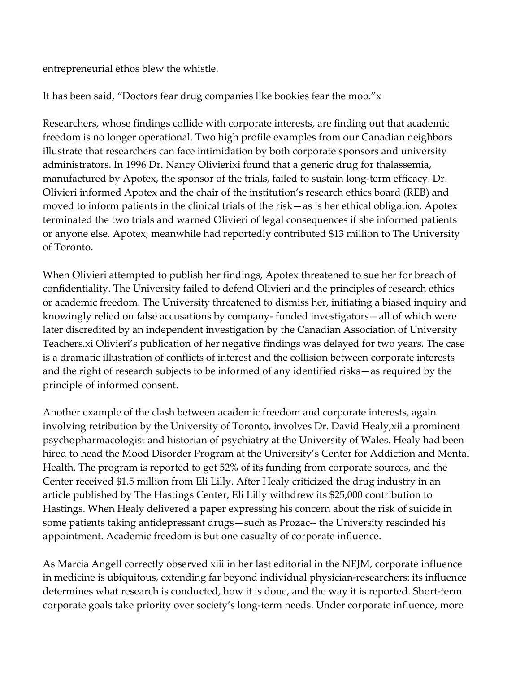entrepreneurial ethos blew the whistle.

It has been said, "Doctors fear drug companies like bookies fear the mob."x

Researchers, whose findings collide with corporate interests, are finding out that academic freedom is no longer operational. Two high profile examples from our Canadian neighbors illustrate that researchers can face intimidation by both corporate sponsors and university administrators. In 1996 Dr. Nancy Olivierixi found that a generic drug for thalassemia, manufactured by Apotex, the sponsor of the trials, failed to sustain long-term efficacy. Dr. Olivieri informed Apotex and the chair of the institution's research ethics board (REB) and moved to inform patients in the clinical trials of the risk—as is her ethical obligation. Apotex terminated the two trials and warned Olivieri of legal consequences if she informed patients or anyone else. Apotex, meanwhile had reportedly contributed \$13 million to The University of Toronto.

When Olivieri attempted to publish her findings, Apotex threatened to sue her for breach of confidentiality. The University failed to defend Olivieri and the principles of research ethics or academic freedom. The University threatened to dismiss her, initiating a biased inquiry and knowingly relied on false accusations by company- funded investigators—all of which were later discredited by an independent investigation by the Canadian Association of University Teachers.xi Olivieri's publication of her negative findings was delayed for two years. The case is a dramatic illustration of conflicts of interest and the collision between corporate interests and the right of research subjects to be informed of any identified risks—as required by the principle of informed consent.

Another example of the clash between academic freedom and corporate interests, again involving retribution by the University of Toronto, involves Dr. David Healy,xii a prominent psychopharmacologist and historian of psychiatry at the University of Wales. Healy had been hired to head the Mood Disorder Program at the University's Center for Addiction and Mental Health. The program is reported to get 52% of its funding from corporate sources, and the Center received \$1.5 million from Eli Lilly. After Healy criticized the drug industry in an article published by The Hastings Center, Eli Lilly withdrew its \$25,000 contribution to Hastings. When Healy delivered a paper expressing his concern about the risk of suicide in some patients taking antidepressant drugs—such as Prozac-- the University rescinded his appointment. Academic freedom is but one casualty of corporate influence.

As Marcia Angell correctly observed xiii in her last editorial in the NEJM, corporate influence in medicine is ubiquitous, extending far beyond individual physician-researchers: its influence determines what research is conducted, how it is done, and the way it is reported. Short-term corporate goals take priority over society's long-term needs. Under corporate influence, more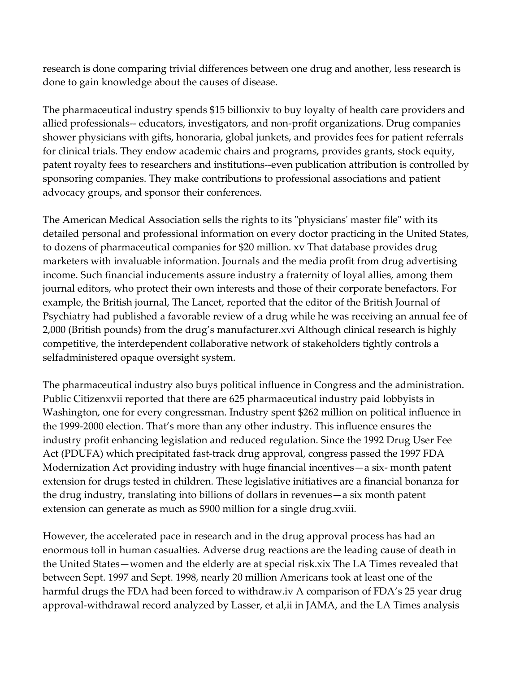research is done comparing trivial differences between one drug and another, less research is done to gain knowledge about the causes of disease.

The pharmaceutical industry spends \$15 billionxiv to buy loyalty of health care providers and allied professionals-- educators, investigators, and non-profit organizations. Drug companies shower physicians with gifts, honoraria, global junkets, and provides fees for patient referrals for clinical trials. They endow academic chairs and programs, provides grants, stock equity, patent royalty fees to researchers and institutions--even publication attribution is controlled by sponsoring companies. They make contributions to professional associations and patient advocacy groups, and sponsor their conferences.

The American Medical Association sells the rights to its "physicians' master file" with its detailed personal and professional information on every doctor practicing in the United States, to dozens of pharmaceutical companies for \$20 million. xv That database provides drug marketers with invaluable information. Journals and the media profit from drug advertising income. Such financial inducements assure industry a fraternity of loyal allies, among them journal editors, who protect their own interests and those of their corporate benefactors. For example, the British journal, The Lancet, reported that the editor of the British Journal of Psychiatry had published a favorable review of a drug while he was receiving an annual fee of 2,000 (British pounds) from the drug's manufacturer.xvi Although clinical research is highly competitive, the interdependent collaborative network of stakeholders tightly controls a selfadministered opaque oversight system.

The pharmaceutical industry also buys political influence in Congress and the administration. Public Citizenxvii reported that there are 625 pharmaceutical industry paid lobbyists in Washington, one for every congressman. Industry spent \$262 million on political influence in the 1999-2000 election. That's more than any other industry. This influence ensures the industry profit enhancing legislation and reduced regulation. Since the 1992 Drug User Fee Act (PDUFA) which precipitated fast-track drug approval, congress passed the 1997 FDA Modernization Act providing industry with huge financial incentives—a six- month patent extension for drugs tested in children. These legislative initiatives are a financial bonanza for the drug industry, translating into billions of dollars in revenues—a six month patent extension can generate as much as \$900 million for a single drug.xviii.

However, the accelerated pace in research and in the drug approval process has had an enormous toll in human casualties. Adverse drug reactions are the leading cause of death in the United States—women and the elderly are at special risk.xix The LA Times revealed that between Sept. 1997 and Sept. 1998, nearly 20 million Americans took at least one of the harmful drugs the FDA had been forced to withdraw.iv A comparison of FDA's 25 year drug approval-withdrawal record analyzed by Lasser, et al,ii in JAMA, and the LA Times analysis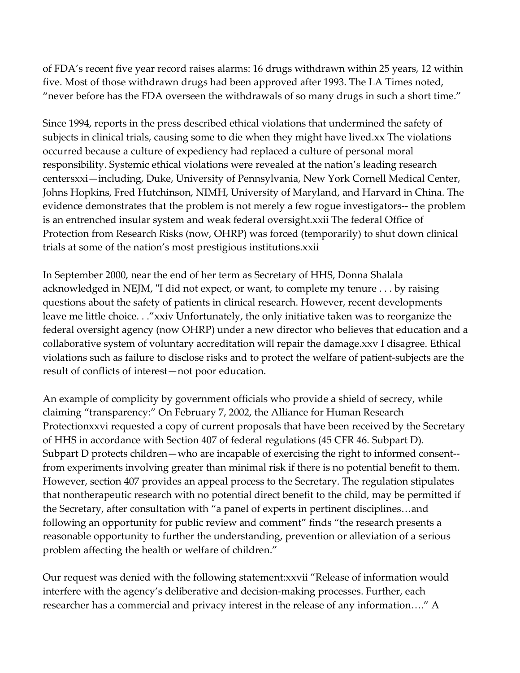of FDA's recent five year record raises alarms: 16 drugs withdrawn within 25 years, 12 within five. Most of those withdrawn drugs had been approved after 1993. The LA Times noted, "never before has the FDA overseen the withdrawals of so many drugs in such a short time."

Since 1994, reports in the press described ethical violations that undermined the safety of subjects in clinical trials, causing some to die when they might have lived.xx The violations occurred because a culture of expediency had replaced a culture of personal moral responsibility. Systemic ethical violations were revealed at the nation's leading research centersxxi—including, Duke, University of Pennsylvania, New York Cornell Medical Center, Johns Hopkins, Fred Hutchinson, NIMH, University of Maryland, and Harvard in China. The evidence demonstrates that the problem is not merely a few rogue investigators-- the problem is an entrenched insular system and weak federal oversight.xxii The federal Office of Protection from Research Risks (now, OHRP) was forced (temporarily) to shut down clinical trials at some of the nation's most prestigious institutions.xxii

In September 2000, near the end of her term as Secretary of HHS, Donna Shalala acknowledged in NEJM, "I did not expect, or want, to complete my tenure . . . by raising questions about the safety of patients in clinical research. However, recent developments leave me little choice. . ."xxiv Unfortunately, the only initiative taken was to reorganize the federal oversight agency (now OHRP) under a new director who believes that education and a collaborative system of voluntary accreditation will repair the damage.xxv I disagree. Ethical violations such as failure to disclose risks and to protect the welfare of patient-subjects are the result of conflicts of interest—not poor education.

An example of complicity by government officials who provide a shield of secrecy, while claiming "transparency:" On February 7, 2002, the Alliance for Human Research Protectionxxvi requested a copy of current proposals that have been received by the Secretary of HHS in accordance with Section 407 of federal regulations (45 CFR 46. Subpart D). Subpart D protects children—who are incapable of exercising the right to informed consent- from experiments involving greater than minimal risk if there is no potential benefit to them. However, section 407 provides an appeal process to the Secretary. The regulation stipulates that nontherapeutic research with no potential direct benefit to the child, may be permitted if the Secretary, after consultation with "a panel of experts in pertinent disciplines…and following an opportunity for public review and comment" finds "the research presents a reasonable opportunity to further the understanding, prevention or alleviation of a serious problem affecting the health or welfare of children."

Our request was denied with the following statement:xxvii "Release of information would interfere with the agency's deliberative and decision-making processes. Further, each researcher has a commercial and privacy interest in the release of any information…." A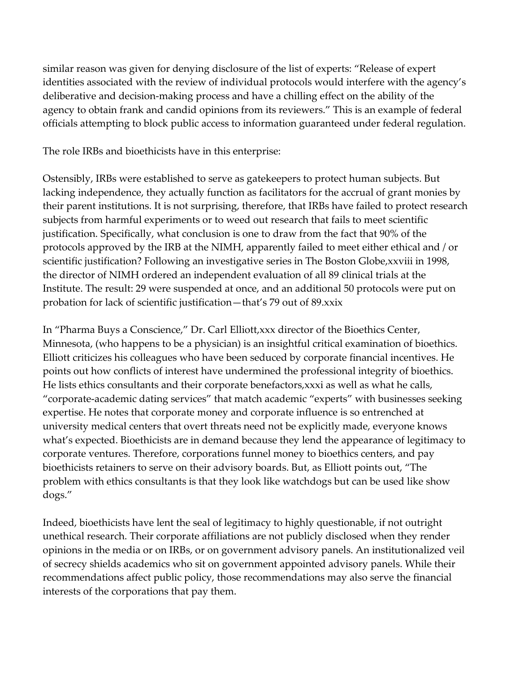similar reason was given for denying disclosure of the list of experts: "Release of expert identities associated with the review of individual protocols would interfere with the agency's deliberative and decision-making process and have a chilling effect on the ability of the agency to obtain frank and candid opinions from its reviewers." This is an example of federal officials attempting to block public access to information guaranteed under federal regulation.

The role IRBs and bioethicists have in this enterprise:

Ostensibly, IRBs were established to serve as gatekeepers to protect human subjects. But lacking independence, they actually function as facilitators for the accrual of grant monies by their parent institutions. It is not surprising, therefore, that IRBs have failed to protect research subjects from harmful experiments or to weed out research that fails to meet scientific justification. Specifically, what conclusion is one to draw from the fact that 90% of the protocols approved by the IRB at the NIMH, apparently failed to meet either ethical and / or scientific justification? Following an investigative series in The Boston Globe,xxviii in 1998, the director of NIMH ordered an independent evaluation of all 89 clinical trials at the Institute. The result: 29 were suspended at once, and an additional 50 protocols were put on probation for lack of scientific justification—that's 79 out of 89.xxix

In "Pharma Buys a Conscience," Dr. Carl Elliott,xxx director of the Bioethics Center, Minnesota, (who happens to be a physician) is an insightful critical examination of bioethics. Elliott criticizes his colleagues who have been seduced by corporate financial incentives. He points out how conflicts of interest have undermined the professional integrity of bioethics. He lists ethics consultants and their corporate benefactors,xxxi as well as what he calls, "corporate-academic dating services" that match academic "experts" with businesses seeking expertise. He notes that corporate money and corporate influence is so entrenched at university medical centers that overt threats need not be explicitly made, everyone knows what's expected. Bioethicists are in demand because they lend the appearance of legitimacy to corporate ventures. Therefore, corporations funnel money to bioethics centers, and pay bioethicists retainers to serve on their advisory boards. But, as Elliott points out, "The problem with ethics consultants is that they look like watchdogs but can be used like show dogs."

Indeed, bioethicists have lent the seal of legitimacy to highly questionable, if not outright unethical research. Their corporate affiliations are not publicly disclosed when they render opinions in the media or on IRBs, or on government advisory panels. An institutionalized veil of secrecy shields academics who sit on government appointed advisory panels. While their recommendations affect public policy, those recommendations may also serve the financial interests of the corporations that pay them.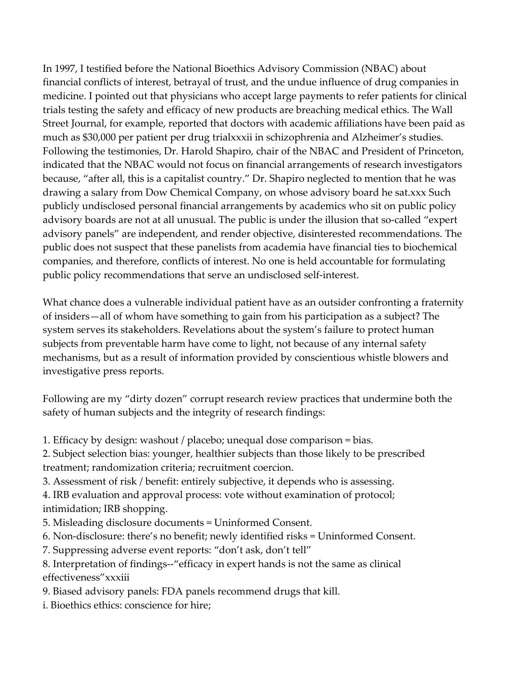In 1997, I testified before the National Bioethics Advisory Commission (NBAC) about financial conflicts of interest, betrayal of trust, and the undue influence of drug companies in medicine. I pointed out that physicians who accept large payments to refer patients for clinical trials testing the safety and efficacy of new products are breaching medical ethics. The Wall Street Journal, for example, reported that doctors with academic affiliations have been paid as much as \$30,000 per patient per drug trialxxxii in schizophrenia and Alzheimer's studies. Following the testimonies, Dr. Harold Shapiro, chair of the NBAC and President of Princeton, indicated that the NBAC would not focus on financial arrangements of research investigators because, "after all, this is a capitalist country." Dr. Shapiro neglected to mention that he was drawing a salary from Dow Chemical Company, on whose advisory board he sat.xxx Such publicly undisclosed personal financial arrangements by academics who sit on public policy advisory boards are not at all unusual. The public is under the illusion that so-called "expert advisory panels" are independent, and render objective, disinterested recommendations. The public does not suspect that these panelists from academia have financial ties to biochemical companies, and therefore, conflicts of interest. No one is held accountable for formulating public policy recommendations that serve an undisclosed self-interest.

What chance does a vulnerable individual patient have as an outsider confronting a fraternity of insiders—all of whom have something to gain from his participation as a subject? The system serves its stakeholders. Revelations about the system's failure to protect human subjects from preventable harm have come to light, not because of any internal safety mechanisms, but as a result of information provided by conscientious whistle blowers and investigative press reports.

Following are my "dirty dozen" corrupt research review practices that undermine both the safety of human subjects and the integrity of research findings:

- 1. Efficacy by design: washout / placebo; unequal dose comparison = bias.
- 2. Subject selection bias: younger, healthier subjects than those likely to be prescribed treatment; randomization criteria; recruitment coercion.
- 3. Assessment of risk / benefit: entirely subjective, it depends who is assessing.
- 4. IRB evaluation and approval process: vote without examination of protocol; intimidation; IRB shopping.
- 5. Misleading disclosure documents = Uninformed Consent.
- 6. Non-disclosure: there's no benefit; newly identified risks = Uninformed Consent.
- 7. Suppressing adverse event reports: "don't ask, don't tell"
- 8. Interpretation of findings--"efficacy in expert hands is not the same as clinical effectiveness"xxxiii
- 9. Biased advisory panels: FDA panels recommend drugs that kill.
- i. Bioethics ethics: conscience for hire;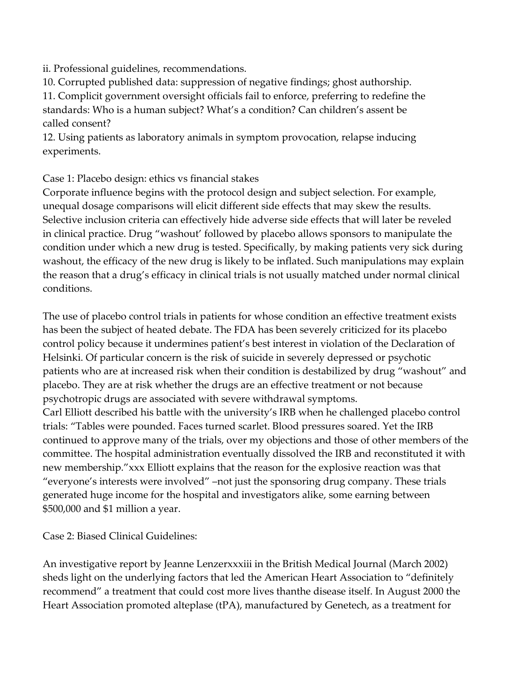ii. Professional guidelines, recommendations.

10. Corrupted published data: suppression of negative findings; ghost authorship.

11. Complicit government oversight officials fail to enforce, preferring to redefine the standards: Who is a human subject? What's a condition? Can children's assent be called consent?

12. Using patients as laboratory animals in symptom provocation, relapse inducing experiments.

Case 1: Placebo design: ethics vs financial stakes

Corporate influence begins with the protocol design and subject selection. For example, unequal dosage comparisons will elicit different side effects that may skew the results. Selective inclusion criteria can effectively hide adverse side effects that will later be reveled in clinical practice. Drug "washout' followed by placebo allows sponsors to manipulate the condition under which a new drug is tested. Specifically, by making patients very sick during washout, the efficacy of the new drug is likely to be inflated. Such manipulations may explain the reason that a drug's efficacy in clinical trials is not usually matched under normal clinical conditions.

The use of placebo control trials in patients for whose condition an effective treatment exists has been the subject of heated debate. The FDA has been severely criticized for its placebo control policy because it undermines patient's best interest in violation of the Declaration of Helsinki. Of particular concern is the risk of suicide in severely depressed or psychotic patients who are at increased risk when their condition is destabilized by drug "washout" and placebo. They are at risk whether the drugs are an effective treatment or not because psychotropic drugs are associated with severe withdrawal symptoms. Carl Elliott described his battle with the university's IRB when he challenged placebo control trials: "Tables were pounded. Faces turned scarlet. Blood pressures soared. Yet the IRB continued to approve many of the trials, over my objections and those of other members of the committee. The hospital administration eventually dissolved the IRB and reconstituted it with new membership."xxx Elliott explains that the reason for the explosive reaction was that "everyone's interests were involved" –not just the sponsoring drug company. These trials generated huge income for the hospital and investigators alike, some earning between

\$500,000 and \$1 million a year.

Case 2: Biased Clinical Guidelines:

An investigative report by Jeanne Lenzerxxxiii in the British Medical Journal (March 2002) sheds light on the underlying factors that led the American Heart Association to "definitely recommend" a treatment that could cost more lives thanthe disease itself. In August 2000 the Heart Association promoted alteplase (tPA), manufactured by Genetech, as a treatment for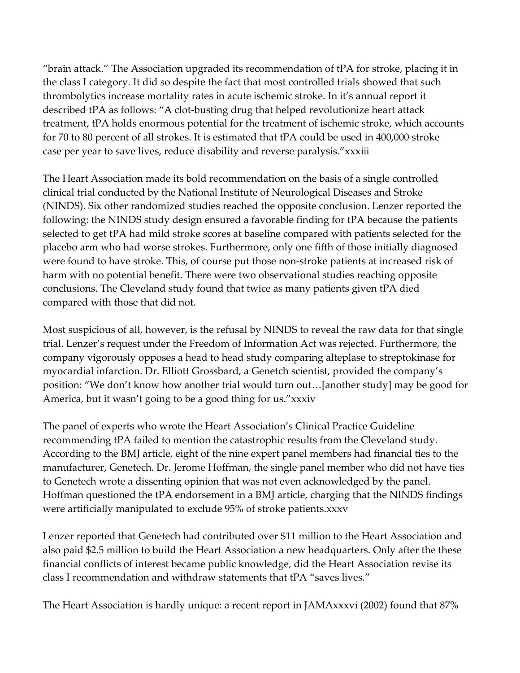"brain attack." The Association upgraded its recommendation of tPA for stroke, placing it in the class I category. It did so despite the fact that most controlled trials showed that such thrombolytics increase mortality rates in acute ischemic stroke. In it's annual report it described tPA as follows: "A clot-busting drug that helped revolutionize heart attack treatment, tPA holds enormous potential for the treatment of ischemic stroke, which accounts for 70 to 80 percent of all strokes. It is estimated that tPA could be used in 400,000 stroke case per year to save lives, reduce disability and reverse paralysis."xxxiii

The Heart Association made its bold recommendation on the basis of a single controlled clinical trial conducted by the National Institute of Neurological Diseases and Stroke (NINDS). Six other randomized studies reached the opposite conclusion. Lenzer reported the following: the NINDS study design ensured a favorable finding for tPA because the patients selected to get tPA had mild stroke scores at baseline compared with patients selected for the placebo arm who had worse strokes. Furthermore, only one fifth of those initially diagnosed were found to have stroke. This, of course put those non-stroke patients at increased risk of harm with no potential benefit. There were two observational studies reaching opposite conclusions. The Cleveland study found that twice as many patients given tPA died compared with those that did not.

Most suspicious of all, however, is the refusal by NINDS to reveal the raw data for that single trial. Lenzer's request under the Freedom of Information Act was rejected. Furthermore, the company vigorously opposes a head to head study comparing alteplase to streptokinase for myocardial infarction. Dr. Elliott Grossbard, a Genetch scientist, provided the company's position: "We don't know how another trial would turn out…[another study] may be good for America, but it wasn't going to be a good thing for us."xxxiv

The panel of experts who wrote the Heart Association's Clinical Practice Guideline recommending tPA failed to mention the catastrophic results from the Cleveland study. According to the BMJ article, eight of the nine expert panel members had financial ties to the manufacturer, Genetech. Dr. Jerome Hoffman, the single panel member who did not have ties to Genetech wrote a dissenting opinion that was not even acknowledged by the panel. Hoffman questioned the tPA endorsement in a BMJ article, charging that the NINDS findings were artificially manipulated to exclude 95% of stroke patients.xxxv

Lenzer reported that Genetech had contributed over \$11 million to the Heart Association and also paid \$2.5 million to build the Heart Association a new headquarters. Only after the these financial conflicts of interest became public knowledge, did the Heart Association revise its class I recommendation and withdraw statements that tPA "saves lives."

The Heart Association is hardly unique: a recent report in JAMAxxxvi (2002) found that 87%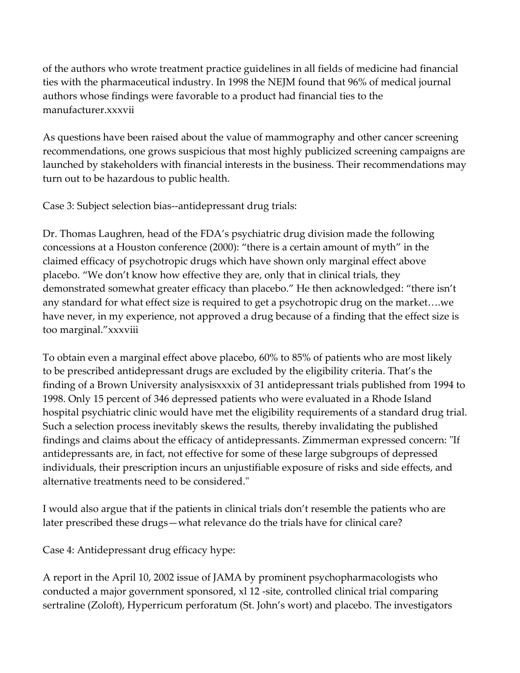of the authors who wrote treatment practice guidelines in all fields of medicine had financial ties with the pharmaceutical industry. In 1998 the NEJM found that 96% of medical journal authors whose findings were favorable to a product had financial ties to the manufacturer.xxxvii

As questions have been raised about the value of mammography and other cancer screening recommendations, one grows suspicious that most highly publicized screening campaigns are launched by stakeholders with financial interests in the business. Their recommendations may turn out to be hazardous to public health.

Case 3: Subject selection bias--antidepressant drug trials:

Dr. Thomas Laughren, head of the FDA's psychiatric drug division made the following concessions at a Houston conference (2000): "there is a certain amount of myth" in the claimed efficacy of psychotropic drugs which have shown only marginal effect above placebo. "We don't know how effective they are, only that in clinical trials, they demonstrated somewhat greater efficacy than placebo." He then acknowledged: "there isn't any standard for what effect size is required to get a psychotropic drug on the market….we have never, in my experience, not approved a drug because of a finding that the effect size is too marginal."xxxviii

To obtain even a marginal effect above placebo, 60% to 85% of patients who are most likely to be prescribed antidepressant drugs are excluded by the eligibility criteria. That's the finding of a Brown University analysisxxxix of 31 antidepressant trials published from 1994 to 1998. Only 15 percent of 346 depressed patients who were evaluated in a Rhode Island hospital psychiatric clinic would have met the eligibility requirements of a standard drug trial. Such a selection process inevitably skews the results, thereby invalidating the published findings and claims about the efficacy of antidepressants. Zimmerman expressed concern: "If antidepressants are, in fact, not effective for some of these large subgroups of depressed individuals, their prescription incurs an unjustifiable exposure of risks and side effects, and alternative treatments need to be considered."

I would also argue that if the patients in clinical trials don't resemble the patients who are later prescribed these drugs—what relevance do the trials have for clinical care?

Case 4: Antidepressant drug efficacy hype:

A report in the April 10, 2002 issue of JAMA by prominent psychopharmacologists who conducted a major government sponsored, xl 12 -site, controlled clinical trial comparing sertraline (Zoloft), Hyperricum perforatum (St. John's wort) and placebo. The investigators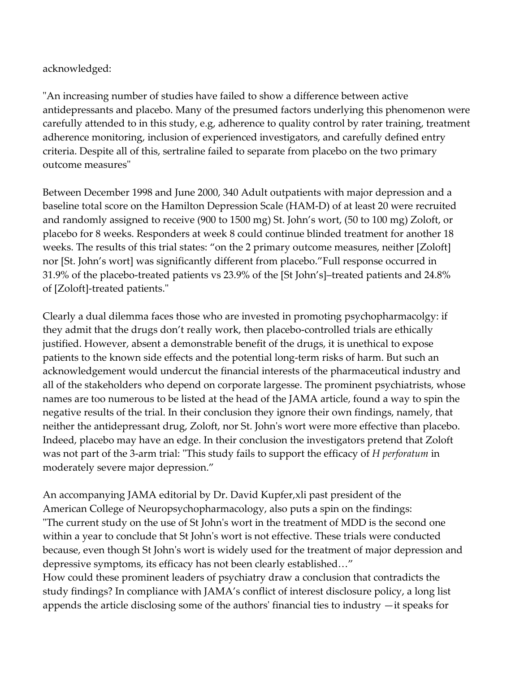acknowledged:

"An increasing number of studies have failed to show a difference between active antidepressants and placebo. Many of the presumed factors underlying this phenomenon were carefully attended to in this study, e.g, adherence to quality control by rater training, treatment adherence monitoring, inclusion of experienced investigators, and carefully defined entry criteria. Despite all of this, sertraline failed to separate from placebo on the two primary outcome measures"

Between December 1998 and June 2000, 340 Adult outpatients with major depression and a baseline total score on the Hamilton Depression Scale (HAM-D) of at least 20 were recruited and randomly assigned to receive (900 to 1500 mg) St. John's wort, (50 to 100 mg) Zoloft, or placebo for 8 weeks. Responders at week 8 could continue blinded treatment for another 18 weeks. The results of this trial states: "on the 2 primary outcome measures, neither [Zoloft] nor [St. John's wort] was significantly different from placebo."Full response occurred in 31.9% of the placebo-treated patients vs 23.9% of the [St John's]–treated patients and 24.8% of [Zoloft]-treated patients."

Clearly a dual dilemma faces those who are invested in promoting psychopharmacolgy: if they admit that the drugs don't really work, then placebo-controlled trials are ethically justified. However, absent a demonstrable benefit of the drugs, it is unethical to expose patients to the known side effects and the potential long-term risks of harm. But such an acknowledgement would undercut the financial interests of the pharmaceutical industry and all of the stakeholders who depend on corporate largesse. The prominent psychiatrists, whose names are too numerous to be listed at the head of the JAMA article, found a way to spin the negative results of the trial. In their conclusion they ignore their own findings, namely, that neither the antidepressant drug, Zoloft, nor St. John's wort were more effective than placebo. Indeed, placebo may have an edge. In their conclusion the investigators pretend that Zoloft was not part of the 3-arm trial: "This study fails to support the efficacy of H perforatum in moderately severe major depression."

An accompanying JAMA editorial by Dr. David Kupfer,xli past president of the American College of Neuropsychopharmacology, also puts a spin on the findings: "The current study on the use of St John's wort in the treatment of MDD is the second one within a year to conclude that St John's wort is not effective. These trials were conducted because, even though St John's wort is widely used for the treatment of major depression and depressive symptoms, its efficacy has not been clearly established…" How could these prominent leaders of psychiatry draw a conclusion that contradicts the study findings? In compliance with JAMA's conflict of interest disclosure policy, a long list appends the article disclosing some of the authors' financial ties to industry —it speaks for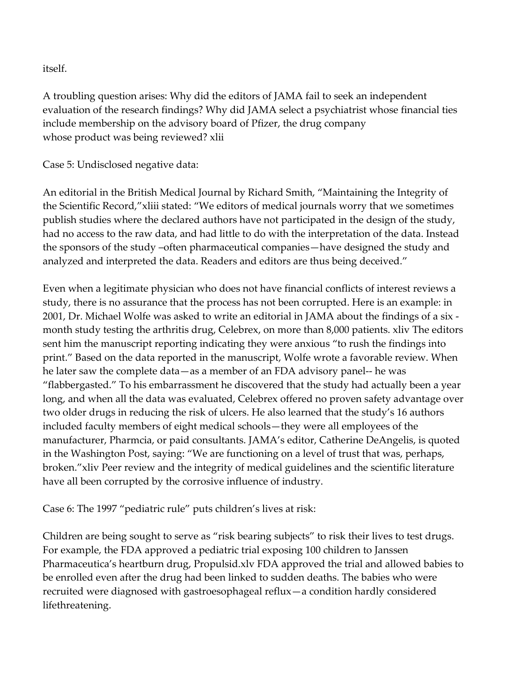itself.

A troubling question arises: Why did the editors of JAMA fail to seek an independent evaluation of the research findings? Why did JAMA select a psychiatrist whose financial ties include membership on the advisory board of Pfizer, the drug company whose product was being reviewed? xlii

Case 5: Undisclosed negative data:

An editorial in the British Medical Journal by Richard Smith, "Maintaining the Integrity of the Scientific Record,"xliii stated: "We editors of medical journals worry that we sometimes publish studies where the declared authors have not participated in the design of the study, had no access to the raw data, and had little to do with the interpretation of the data. Instead the sponsors of the study –often pharmaceutical companies—have designed the study and analyzed and interpreted the data. Readers and editors are thus being deceived."

Even when a legitimate physician who does not have financial conflicts of interest reviews a study, there is no assurance that the process has not been corrupted. Here is an example: in 2001, Dr. Michael Wolfe was asked to write an editorial in JAMA about the findings of a six month study testing the arthritis drug, Celebrex, on more than 8,000 patients. xliv The editors sent him the manuscript reporting indicating they were anxious "to rush the findings into print." Based on the data reported in the manuscript, Wolfe wrote a favorable review. When he later saw the complete data—as a member of an FDA advisory panel-- he was "flabbergasted." To his embarrassment he discovered that the study had actually been a year long, and when all the data was evaluated, Celebrex offered no proven safety advantage over two older drugs in reducing the risk of ulcers. He also learned that the study's 16 authors included faculty members of eight medical schools—they were all employees of the manufacturer, Pharmcia, or paid consultants. JAMA's editor, Catherine DeAngelis, is quoted in the Washington Post, saying: "We are functioning on a level of trust that was, perhaps, broken."xliv Peer review and the integrity of medical guidelines and the scientific literature have all been corrupted by the corrosive influence of industry.

Case 6: The 1997 "pediatric rule" puts children's lives at risk:

Children are being sought to serve as "risk bearing subjects" to risk their lives to test drugs. For example, the FDA approved a pediatric trial exposing 100 children to Janssen Pharmaceutica's heartburn drug, Propulsid.xlv FDA approved the trial and allowed babies to be enrolled even after the drug had been linked to sudden deaths. The babies who were recruited were diagnosed with gastroesophageal reflux—a condition hardly considered lifethreatening.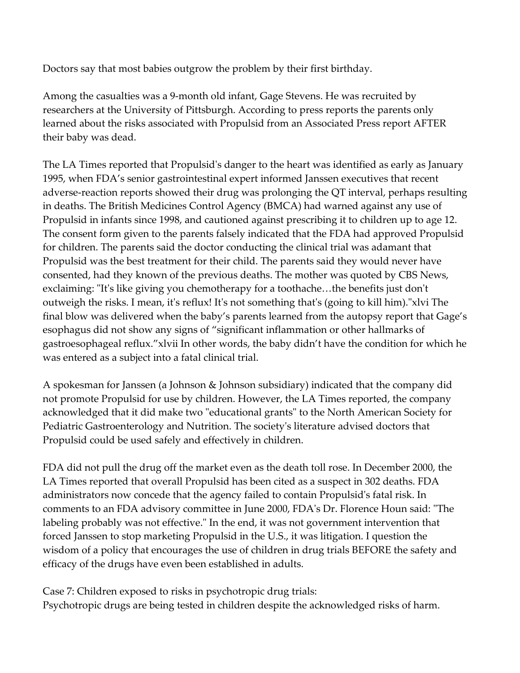Doctors say that most babies outgrow the problem by their first birthday.

Among the casualties was a 9-month old infant, Gage Stevens. He was recruited by researchers at the University of Pittsburgh. According to press reports the parents only learned about the risks associated with Propulsid from an Associated Press report AFTER their baby was dead.

The LA Times reported that Propulsid's danger to the heart was identified as early as January 1995, when FDA's senior gastrointestinal expert informed Janssen executives that recent adverse-reaction reports showed their drug was prolonging the QT interval, perhaps resulting in deaths. The British Medicines Control Agency (BMCA) had warned against any use of Propulsid in infants since 1998, and cautioned against prescribing it to children up to age 12. The consent form given to the parents falsely indicated that the FDA had approved Propulsid for children. The parents said the doctor conducting the clinical trial was adamant that Propulsid was the best treatment for their child. The parents said they would never have consented, had they known of the previous deaths. The mother was quoted by CBS News, exclaiming: "It's like giving you chemotherapy for a toothache…the benefits just don't outweigh the risks. I mean, it's reflux! It's not something that's (going to kill him)."xlvi The final blow was delivered when the baby's parents learned from the autopsy report that Gage's esophagus did not show any signs of "significant inflammation or other hallmarks of gastroesophageal reflux."xlvii In other words, the baby didn't have the condition for which he was entered as a subject into a fatal clinical trial.

A spokesman for Janssen (a Johnson & Johnson subsidiary) indicated that the company did not promote Propulsid for use by children. However, the LA Times reported, the company acknowledged that it did make two "educational grants" to the North American Society for Pediatric Gastroenterology and Nutrition. The society's literature advised doctors that Propulsid could be used safely and effectively in children.

FDA did not pull the drug off the market even as the death toll rose. In December 2000, the LA Times reported that overall Propulsid has been cited as a suspect in 302 deaths. FDA administrators now concede that the agency failed to contain Propulsid's fatal risk. In comments to an FDA advisory committee in June 2000, FDA's Dr. Florence Houn said: "The labeling probably was not effective." In the end, it was not government intervention that forced Janssen to stop marketing Propulsid in the U.S., it was litigation. I question the wisdom of a policy that encourages the use of children in drug trials BEFORE the safety and efficacy of the drugs have even been established in adults.

Case 7: Children exposed to risks in psychotropic drug trials: Psychotropic drugs are being tested in children despite the acknowledged risks of harm.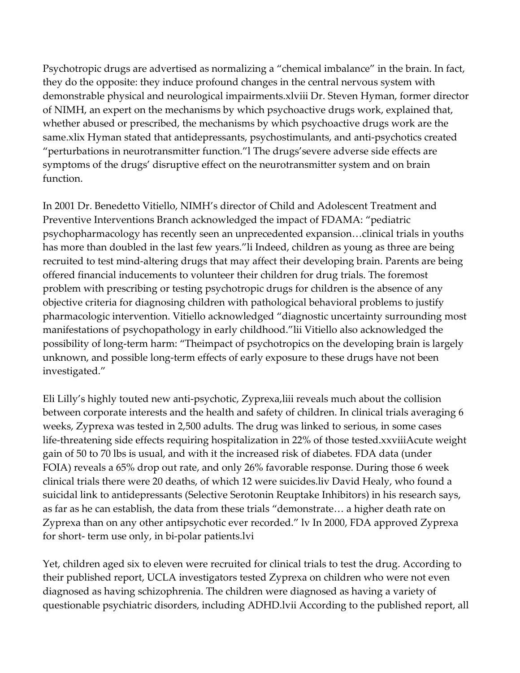Psychotropic drugs are advertised as normalizing a "chemical imbalance" in the brain. In fact, they do the opposite: they induce profound changes in the central nervous system with demonstrable physical and neurological impairments.xlviii Dr. Steven Hyman, former director of NIMH, an expert on the mechanisms by which psychoactive drugs work, explained that, whether abused or prescribed, the mechanisms by which psychoactive drugs work are the same.xlix Hyman stated that antidepressants, psychostimulants, and anti-psychotics created "perturbations in neurotransmitter function."l The drugs'severe adverse side effects are symptoms of the drugs' disruptive effect on the neurotransmitter system and on brain function.

In 2001 Dr. Benedetto Vitiello, NIMH's director of Child and Adolescent Treatment and Preventive Interventions Branch acknowledged the impact of FDAMA: "pediatric psychopharmacology has recently seen an unprecedented expansion…clinical trials in youths has more than doubled in the last few years."li Indeed, children as young as three are being recruited to test mind-altering drugs that may affect their developing brain. Parents are being offered financial inducements to volunteer their children for drug trials. The foremost problem with prescribing or testing psychotropic drugs for children is the absence of any objective criteria for diagnosing children with pathological behavioral problems to justify pharmacologic intervention. Vitiello acknowledged "diagnostic uncertainty surrounding most manifestations of psychopathology in early childhood."lii Vitiello also acknowledged the possibility of long-term harm: "Theimpact of psychotropics on the developing brain is largely unknown, and possible long-term effects of early exposure to these drugs have not been investigated."

Eli Lilly's highly touted new anti-psychotic, Zyprexa,liii reveals much about the collision between corporate interests and the health and safety of children. In clinical trials averaging 6 weeks, Zyprexa was tested in 2,500 adults. The drug was linked to serious, in some cases life-threatening side effects requiring hospitalization in 22% of those tested.xxviiiAcute weight gain of 50 to 70 lbs is usual, and with it the increased risk of diabetes. FDA data (under FOIA) reveals a 65% drop out rate, and only 26% favorable response. During those 6 week clinical trials there were 20 deaths, of which 12 were suicides.liv David Healy, who found a suicidal link to antidepressants (Selective Serotonin Reuptake Inhibitors) in his research says, as far as he can establish, the data from these trials "demonstrate… a higher death rate on Zyprexa than on any other antipsychotic ever recorded." lv In 2000, FDA approved Zyprexa for short- term use only, in bi-polar patients.lvi

Yet, children aged six to eleven were recruited for clinical trials to test the drug. According to their published report, UCLA investigators tested Zyprexa on children who were not even diagnosed as having schizophrenia. The children were diagnosed as having a variety of questionable psychiatric disorders, including ADHD.lvii According to the published report, all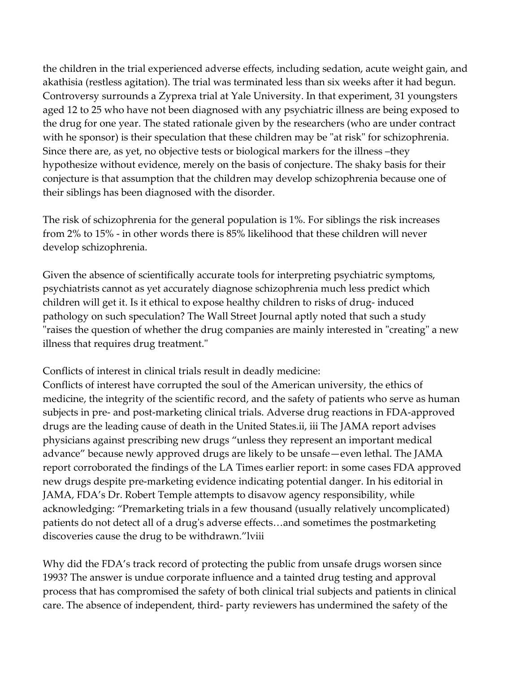the children in the trial experienced adverse effects, including sedation, acute weight gain, and akathisia (restless agitation). The trial was terminated less than six weeks after it had begun. Controversy surrounds a Zyprexa trial at Yale University. In that experiment, 31 youngsters aged 12 to 25 who have not been diagnosed with any psychiatric illness are being exposed to the drug for one year. The stated rationale given by the researchers (who are under contract with he sponsor) is their speculation that these children may be "at risk" for schizophrenia. Since there are, as yet, no objective tests or biological markers for the illness –they hypothesize without evidence, merely on the basis of conjecture. The shaky basis for their conjecture is that assumption that the children may develop schizophrenia because one of their siblings has been diagnosed with the disorder.

The risk of schizophrenia for the general population is 1%. For siblings the risk increases from 2% to 15% - in other words there is 85% likelihood that these children will never develop schizophrenia.

Given the absence of scientifically accurate tools for interpreting psychiatric symptoms, psychiatrists cannot as yet accurately diagnose schizophrenia much less predict which children will get it. Is it ethical to expose healthy children to risks of drug- induced pathology on such speculation? The Wall Street Journal aptly noted that such a study "raises the question of whether the drug companies are mainly interested in "creating" a new illness that requires drug treatment."

Conflicts of interest in clinical trials result in deadly medicine:

Conflicts of interest have corrupted the soul of the American university, the ethics of medicine, the integrity of the scientific record, and the safety of patients who serve as human subjects in pre- and post-marketing clinical trials. Adverse drug reactions in FDA-approved drugs are the leading cause of death in the United States.ii, iii The JAMA report advises physicians against prescribing new drugs "unless they represent an important medical advance" because newly approved drugs are likely to be unsafe—even lethal. The JAMA report corroborated the findings of the LA Times earlier report: in some cases FDA approved new drugs despite pre-marketing evidence indicating potential danger. In his editorial in JAMA, FDA's Dr. Robert Temple attempts to disavow agency responsibility, while acknowledging: "Premarketing trials in a few thousand (usually relatively uncomplicated) patients do not detect all of a drug's adverse effects…and sometimes the postmarketing discoveries cause the drug to be withdrawn."lviii

Why did the FDA's track record of protecting the public from unsafe drugs worsen since 1993? The answer is undue corporate influence and a tainted drug testing and approval process that has compromised the safety of both clinical trial subjects and patients in clinical care. The absence of independent, third- party reviewers has undermined the safety of the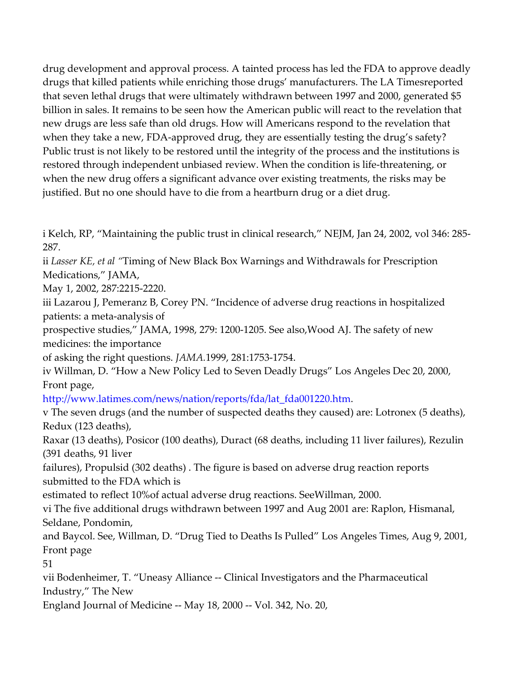drug development and approval process. A tainted process has led the FDA to approve deadly drugs that killed patients while enriching those drugs' manufacturers. The LA Timesreported that seven lethal drugs that were ultimately withdrawn between 1997 and 2000, generated \$5 billion in sales. It remains to be seen how the American public will react to the revelation that new drugs are less safe than old drugs. How will Americans respond to the revelation that when they take a new, FDA-approved drug, they are essentially testing the drug's safety? Public trust is not likely to be restored until the integrity of the process and the institutions is restored through independent unbiased review. When the condition is life-threatening, or when the new drug offers a significant advance over existing treatments, the risks may be justified. But no one should have to die from a heartburn drug or a diet drug.

i Kelch, RP, "Maintaining the public trust in clinical research," NEJM, Jan 24, 2002, vol 346: 285- 287.

ii Lasser KE, et al "Timing of New Black Box Warnings and Withdrawals for Prescription Medications," JAMA,

May 1, 2002, 287:2215-2220.

iii Lazarou J, Pemeranz B, Corey PN. "Incidence of adverse drug reactions in hospitalized patients: a meta-analysis of

prospective studies," JAMA, 1998, 279: 1200-1205. See also,Wood AJ. The safety of new medicines: the importance

of asking the right questions. JAMA.1999, 281:1753-1754.

iv Willman, D. "How a New Policy Led to Seven Deadly Drugs" Los Angeles Dec 20, 2000, Front page,

http://www.latimes.com/news/nation/reports/fda/lat\_fda001220.htm.

v The seven drugs (and the number of suspected deaths they caused) are: Lotronex (5 deaths), Redux (123 deaths),

Raxar (13 deaths), Posicor (100 deaths), Duract (68 deaths, including 11 liver failures), Rezulin (391 deaths, 91 liver

failures), Propulsid (302 deaths) . The figure is based on adverse drug reaction reports submitted to the FDA which is

estimated to reflect 10%of actual adverse drug reactions. SeeWillman, 2000.

vi The five additional drugs withdrawn between 1997 and Aug 2001 are: Raplon, Hismanal, Seldane, Pondomin,

and Baycol. See, Willman, D. "Drug Tied to Deaths Is Pulled" Los Angeles Times, Aug 9, 2001, Front page

51

vii Bodenheimer, T. "Uneasy Alliance -- Clinical Investigators and the Pharmaceutical Industry," The New

England Journal of Medicine -- May 18, 2000 -- Vol. 342, No. 20,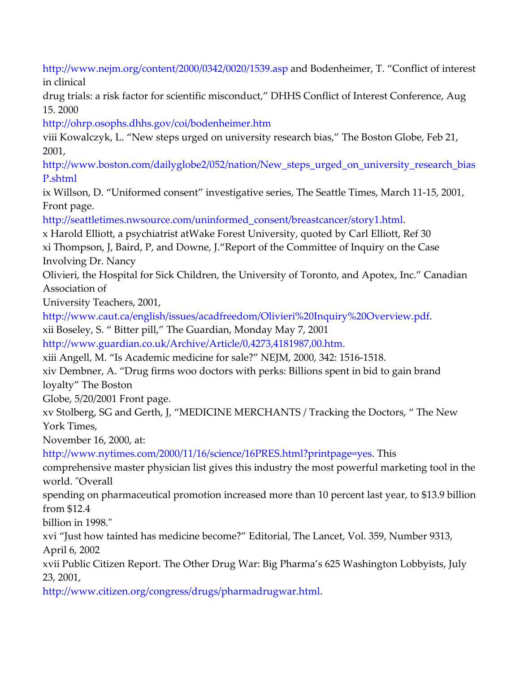http://www.nejm.org/content/2000/0342/0020/1539.asp and Bodenheimer, T. "Conflict of interest in clinical

drug trials: a risk factor for scientific misconduct," DHHS Conflict of Interest Conference, Aug 15. 2000

http://ohrp.osophs.dhhs.gov/coi/bodenheimer.htm

viii Kowalczyk, L. "New steps urged on university research bias," The Boston Globe, Feb 21, 2001,

http://www.boston.com/dailyglobe2/052/nation/New\_steps\_urged\_on\_university\_research\_bias P.shtml

ix Willson, D. "Uniformed consent" investigative series, The Seattle Times, March 11-15, 2001, Front page.

http://seattletimes.nwsource.com/uninformed\_consent/breastcancer/story1.html.

x Harold Elliott, a psychiatrist atWake Forest University, quoted by Carl Elliott, Ref 30 xi Thompson, J, Baird, P, and Downe, J."Report of the Committee of Inquiry on the Case Involving Dr. Nancy

Olivieri, the Hospital for Sick Children, the University of Toronto, and Apotex, Inc." Canadian Association of

University Teachers, 2001,

http://www.caut.ca/english/issues/acadfreedom/Olivieri%20Inquiry%20Overview.pdf.

xii Boseley, S. " Bitter pill," The Guardian, Monday May 7, 2001

http://www.guardian.co.uk/Archive/Article/0,4273,4181987,00.htm.

xiii Angell, M. "Is Academic medicine for sale?" NEJM, 2000, 342: 1516-1518.

xiv Dembner, A. "Drug firms woo doctors with perks: Billions spent in bid to gain brand loyalty" The Boston

Globe, 5/20/2001 Front page.

xv Stolberg, SG and Gerth, J, "MEDICINE MERCHANTS / Tracking the Doctors, " The New York Times,

November 16, 2000, at:

http://www.nytimes.com/2000/11/16/science/16PRES.html?printpage=yes. This

comprehensive master physician list gives this industry the most powerful marketing tool in the world. "Overall

spending on pharmaceutical promotion increased more than 10 percent last year, to \$13.9 billion from \$12.4

billion in 1998."

xvi "Just how tainted has medicine become?" Editorial, The Lancet, Vol. 359, Number 9313, April 6, 2002

xvii Public Citizen Report. The Other Drug War: Big Pharma's 625 Washington Lobbyists, July 23, 2001,

http://www.citizen.org/congress/drugs/pharmadrugwar.html.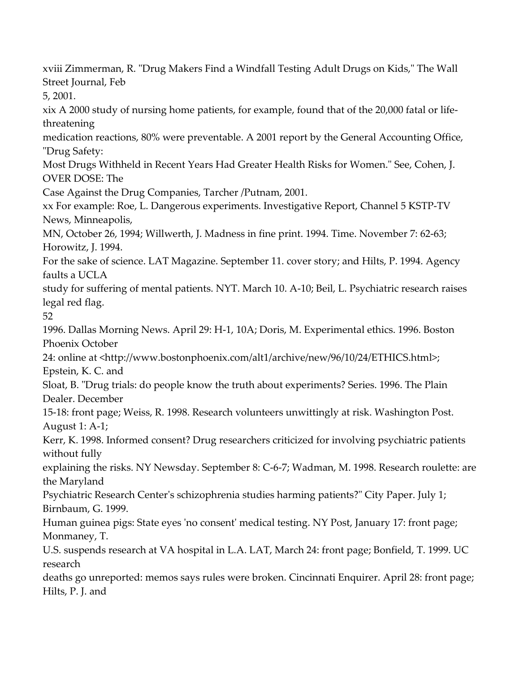xviii Zimmerman, R. "Drug Makers Find a Windfall Testing Adult Drugs on Kids," The Wall Street Journal, Feb 5, 2001. xix A 2000 study of nursing home patients, for example, found that of the 20,000 fatal or lifethreatening medication reactions, 80% were preventable. A 2001 report by the General Accounting Office, "Drug Safety: Most Drugs Withheld in Recent Years Had Greater Health Risks for Women." See, Cohen, J. OVER DOSE: The Case Against the Drug Companies, Tarcher /Putnam, 2001. xx For example: Roe, L. Dangerous experiments. Investigative Report, Channel 5 KSTP-TV News, Minneapolis, MN, October 26, 1994; Willwerth, J. Madness in fine print. 1994. Time. November 7: 62-63; Horowitz, J. 1994. For the sake of science. LAT Magazine. September 11. cover story; and Hilts, P. 1994. Agency faults a UCLA study for suffering of mental patients. NYT. March 10. A-10; Beil, L. Psychiatric research raises legal red flag. 52 1996. Dallas Morning News. April 29: H-1, 10A; Doris, M. Experimental ethics. 1996. Boston Phoenix October 24: online at <http://www.bostonphoenix.com/alt1/archive/new/96/10/24/ETHICS.html>; Epstein, K. C. and Sloat, B. "Drug trials: do people know the truth about experiments? Series. 1996. The Plain Dealer. December 15-18: front page; Weiss, R. 1998. Research volunteers unwittingly at risk. Washington Post. August 1: A-1; Kerr, K. 1998. Informed consent? Drug researchers criticized for involving psychiatric patients without fully explaining the risks. NY Newsday. September 8: C-6-7; Wadman, M. 1998. Research roulette: are the Maryland Psychiatric Research Center's schizophrenia studies harming patients?" City Paper. July 1; Birnbaum, G. 1999. Human guinea pigs: State eyes 'no consent' medical testing. NY Post, January 17: front page; Monmaney, T. U.S. suspends research at VA hospital in L.A. LAT, March 24: front page; Bonfield, T. 1999. UC research deaths go unreported: memos says rules were broken. Cincinnati Enquirer. April 28: front page; Hilts, P. J. and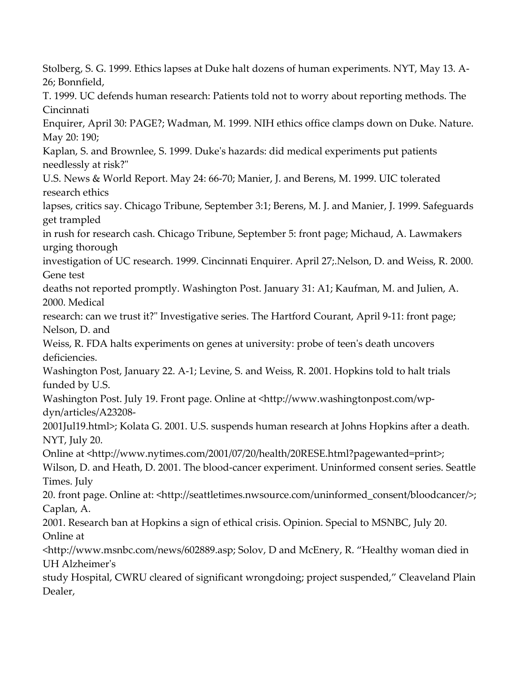Stolberg, S. G. 1999. Ethics lapses at Duke halt dozens of human experiments. NYT, May 13. A-26; Bonnfield, T. 1999. UC defends human research: Patients told not to worry about reporting methods. The Cincinnati Enquirer, April 30: PAGE?; Wadman, M. 1999. NIH ethics office clamps down on Duke. Nature. May 20: 190; Kaplan, S. and Brownlee, S. 1999. Duke's hazards: did medical experiments put patients needlessly at risk?" U.S. News & World Report. May 24: 66-70; Manier, J. and Berens, M. 1999. UIC tolerated research ethics lapses, critics say. Chicago Tribune, September 3:1; Berens, M. J. and Manier, J. 1999. Safeguards get trampled in rush for research cash. Chicago Tribune, September 5: front page; Michaud, A. Lawmakers urging thorough investigation of UC research. 1999. Cincinnati Enquirer. April 27;.Nelson, D. and Weiss, R. 2000. Gene test deaths not reported promptly. Washington Post. January 31: A1; Kaufman, M. and Julien, A. 2000. Medical research: can we trust it?" Investigative series. The Hartford Courant, April 9-11: front page; Nelson, D. and Weiss, R. FDA halts experiments on genes at university: probe of teen's death uncovers deficiencies. Washington Post, January 22. A-1; Levine, S. and Weiss, R. 2001. Hopkins told to halt trials funded by U.S. Washington Post. July 19. Front page. Online at <http://www.washingtonpost.com/wpdyn/articles/A23208- 2001Jul19.html>; Kolata G. 2001. U.S. suspends human research at Johns Hopkins after a death. NYT, July 20. Online at <http://www.nytimes.com/2001/07/20/health/20RESE.html?pagewanted=print>; Wilson, D. and Heath, D. 2001. The blood-cancer experiment. Uninformed consent series. Seattle Times. July 20. front page. Online at: <http://seattletimes.nwsource.com/uninformed\_consent/bloodcancer/>; Caplan, A. 2001. Research ban at Hopkins a sign of ethical crisis. Opinion. Special to MSNBC, July 20. Online at <http://www.msnbc.com/news/602889.asp; Solov, D and McEnery, R. "Healthy woman died in UH Alzheimer's study Hospital, CWRU cleared of significant wrongdoing; project suspended," Cleaveland Plain Dealer,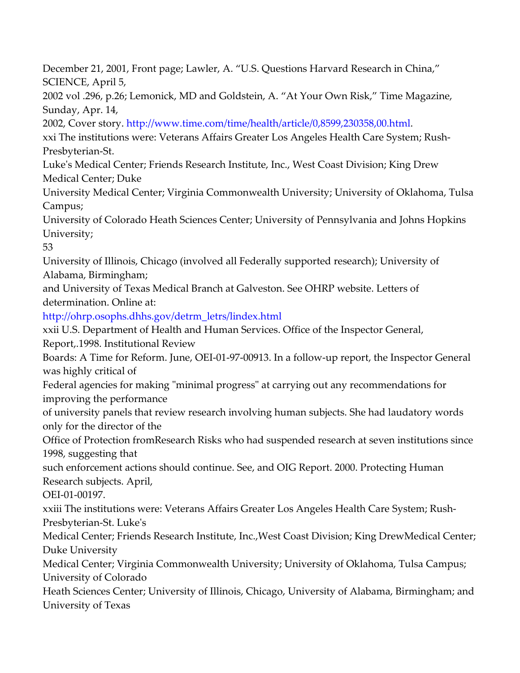December 21, 2001, Front page; Lawler, A. "U.S. Questions Harvard Research in China," SCIENCE, April 5, 2002 vol .296, p.26; Lemonick, MD and Goldstein, A. "At Your Own Risk," Time Magazine, Sunday, Apr. 14, 2002, Cover story. http://www.time.com/time/health/article/0,8599,230358,00.html. xxi The institutions were: Veterans Affairs Greater Los Angeles Health Care System; Rush-Presbyterian-St. Luke's Medical Center; Friends Research Institute, Inc., West Coast Division; King Drew Medical Center; Duke University Medical Center; Virginia Commonwealth University; University of Oklahoma, Tulsa Campus; University of Colorado Heath Sciences Center; University of Pennsylvania and Johns Hopkins University; 53 University of Illinois, Chicago (involved all Federally supported research); University of Alabama, Birmingham; and University of Texas Medical Branch at Galveston. See OHRP website. Letters of determination. Online at: http://ohrp.osophs.dhhs.gov/detrm\_letrs/lindex.html xxii U.S. Department of Health and Human Services. Office of the Inspector General, Report,.1998. Institutional Review Boards: A Time for Reform. June, OEI-01-97-00913. In a follow-up report, the Inspector General was highly critical of Federal agencies for making "minimal progress" at carrying out any recommendations for improving the performance of university panels that review research involving human subjects. She had laudatory words only for the director of the Office of Protection fromResearch Risks who had suspended research at seven institutions since 1998, suggesting that such enforcement actions should continue. See, and OIG Report. 2000. Protecting Human Research subjects. April, OEI-01-00197. xxiii The institutions were: Veterans Affairs Greater Los Angeles Health Care System; Rush-Presbyterian-St. Luke's

Medical Center; Friends Research Institute, Inc.,West Coast Division; King DrewMedical Center; Duke University

Medical Center; Virginia Commonwealth University; University of Oklahoma, Tulsa Campus; University of Colorado

Heath Sciences Center; University of Illinois, Chicago, University of Alabama, Birmingham; and University of Texas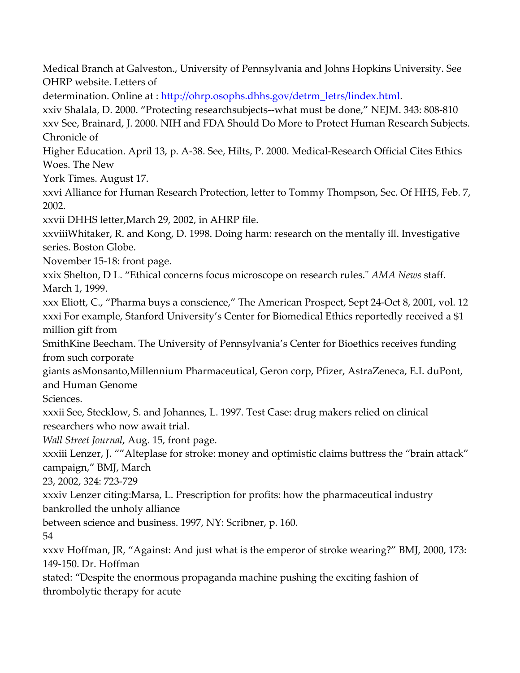Medical Branch at Galveston., University of Pennsylvania and Johns Hopkins University. See OHRP website. Letters of

determination. Online at : http://ohrp.osophs.dhhs.gov/detrm\_letrs/lindex.html.

xxiv Shalala, D. 2000. "Protecting researchsubjects--what must be done," NEJM. 343: 808-810 xxv See, Brainard, J. 2000. NIH and FDA Should Do More to Protect Human Research Subjects. Chronicle of

Higher Education. April 13, p. A-38. See, Hilts, P. 2000. Medical-Research Official Cites Ethics Woes. The New

York Times. August 17.

xxvi Alliance for Human Research Protection, letter to Tommy Thompson, Sec. Of HHS, Feb. 7, 2002.

xxvii DHHS letter,March 29, 2002, in AHRP file.

xxviiiWhitaker, R. and Kong, D. 1998. Doing harm: research on the mentally ill. Investigative series. Boston Globe.

November 15-18: front page.

xxix Shelton, D L. "Ethical concerns focus microscope on research rules." AMA News staff. March 1, 1999.

xxx Eliott, C., "Pharma buys a conscience," The American Prospect, Sept 24-Oct 8, 2001, vol. 12 xxxi For example, Stanford University's Center for Biomedical Ethics reportedly received a \$1 million gift from

SmithKine Beecham. The University of Pennsylvania's Center for Bioethics receives funding from such corporate

giants asMonsanto,Millennium Pharmaceutical, Geron corp, Pfizer, AstraZeneca, E.I. duPont, and Human Genome

Sciences.

xxxii See, Stecklow, S. and Johannes, L. 1997. Test Case: drug makers relied on clinical researchers who now await trial.

Wall Street Journal, Aug. 15, front page.

xxxiii Lenzer, J. ""Alteplase for stroke: money and optimistic claims buttress the "brain attack" campaign," BMJ, March

23, 2002, 324: 723-729

xxxiv Lenzer citing:Marsa, L. Prescription for profits: how the pharmaceutical industry

bankrolled the unholy alliance

between science and business. 1997, NY: Scribner, p. 160.

54

xxxv Hoffman, JR, "Against: And just what is the emperor of stroke wearing?" BMJ, 2000, 173: 149-150. Dr. Hoffman

stated: "Despite the enormous propaganda machine pushing the exciting fashion of thrombolytic therapy for acute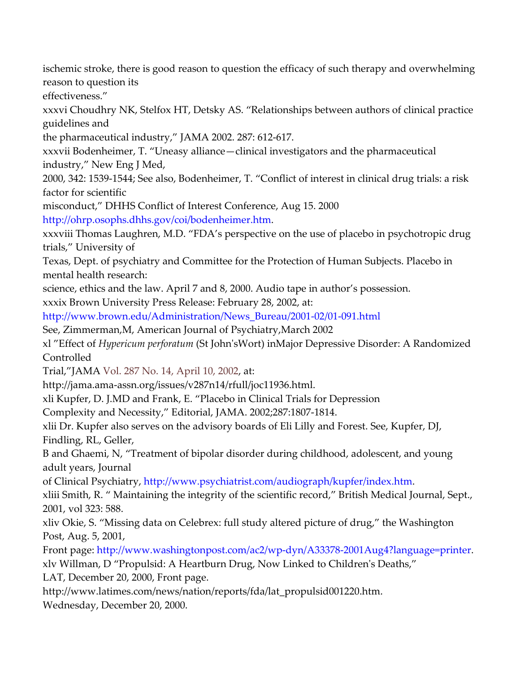ischemic stroke, there is good reason to question the efficacy of such therapy and overwhelming reason to question its

effectiveness."

xxxvi Choudhry NK, Stelfox HT, Detsky AS. "Relationships between authors of clinical practice guidelines and

the pharmaceutical industry," JAMA 2002. 287: 612-617.

xxxvii Bodenheimer, T. "Uneasy alliance—clinical investigators and the pharmaceutical industry," New Eng J Med,

2000, 342: 1539-1544; See also, Bodenheimer, T. "Conflict of interest in clinical drug trials: a risk factor for scientific

misconduct," DHHS Conflict of Interest Conference, Aug 15. 2000 http://ohrp.osophs.dhhs.gov/coi/bodenheimer.htm.

xxxviii Thomas Laughren, M.D. "FDA's perspective on the use of placebo in psychotropic drug trials," University of

Texas, Dept. of psychiatry and Committee for the Protection of Human Subjects. Placebo in mental health research:

science, ethics and the law. April 7 and 8, 2000. Audio tape in author's possession.

xxxix Brown University Press Release: February 28, 2002, at:

http://www.brown.edu/Administration/News\_Bureau/2001-02/01-091.html

See, Zimmerman,M, American Journal of Psychiatry,March 2002

xl "Effect of Hypericum perforatum (St John'sWort) inMajor Depressive Disorder: A Randomized Controlled

Trial,"JAMA Vol. 287 No. 14, April 10, 2002, at:

http://jama.ama-assn.org/issues/v287n14/rfull/joc11936.html.

xli Kupfer, D. J.MD and Frank, E. "Placebo in Clinical Trials for Depression

Complexity and Necessity," Editorial, JAMA. 2002;287:1807-1814.

xlii Dr. Kupfer also serves on the advisory boards of Eli Lilly and Forest. See, Kupfer, DJ, Findling, RL, Geller,

B and Ghaemi, N, "Treatment of bipolar disorder during childhood, adolescent, and young adult years, Journal

of Clinical Psychiatry, http://www.psychiatrist.com/audiograph/kupfer/index.htm.

xliii Smith, R. " Maintaining the integrity of the scientific record," British Medical Journal, Sept., 2001, vol 323: 588.

xliv Okie, S. "Missing data on Celebrex: full study altered picture of drug," the Washington Post, Aug. 5, 2001,

Front page: http://www.washingtonpost.com/ac2/wp-dyn/A33378-2001Aug4?language=printer. xlv Willman, D "Propulsid: A Heartburn Drug, Now Linked to Children's Deaths,"

LAT, December 20, 2000, Front page.

http://www.latimes.com/news/nation/reports/fda/lat\_propulsid001220.htm.

Wednesday, December 20, 2000.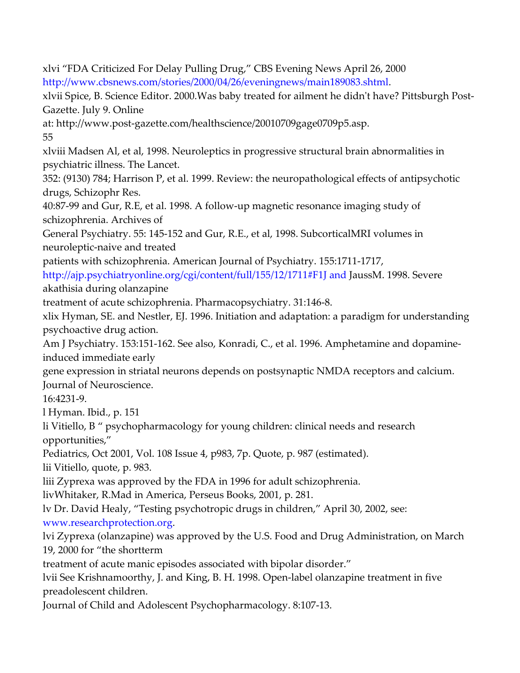xlvi "FDA Criticized For Delay Pulling Drug," CBS Evening News April 26, 2000 http://www.cbsnews.com/stories/2000/04/26/eveningnews/main189083.shtml. xlvii Spice, B. Science Editor. 2000.Was baby treated for ailment he didn't have? Pittsburgh Post-Gazette. July 9. Online at: http://www.post-gazette.com/healthscience/20010709gage0709p5.asp. 55 xlviii Madsen Al, et al, 1998. Neuroleptics in progressive structural brain abnormalities in psychiatric illness. The Lancet. 352: (9130) 784; Harrison P, et al. 1999. Review: the neuropathological effects of antipsychotic drugs, Schizophr Res. 40:87-99 and Gur, R.E, et al. 1998. A follow-up magnetic resonance imaging study of schizophrenia. Archives of General Psychiatry. 55: 145-152 and Gur, R.E., et al, 1998. SubcorticalMRI volumes in neuroleptic-naive and treated patients with schizophrenia. American Journal of Psychiatry. 155:1711-1717, http://ajp.psychiatryonline.org/cgi/content/full/155/12/1711#F1J and JaussM. 1998. Severe akathisia during olanzapine treatment of acute schizophrenia. Pharmacopsychiatry. 31:146-8. xlix Hyman, SE. and Nestler, EJ. 1996. Initiation and adaptation: a paradigm for understanding psychoactive drug action. Am J Psychiatry. 153:151-162. See also, Konradi, C., et al. 1996. Amphetamine and dopamineinduced immediate early gene expression in striatal neurons depends on postsynaptic NMDA receptors and calcium. Journal of Neuroscience. 16:4231-9. l Hyman. Ibid., p. 151 li Vitiello, B " psychopharmacology for young children: clinical needs and research opportunities," Pediatrics, Oct 2001, Vol. 108 Issue 4, p983, 7p. Quote, p. 987 (estimated). lii Vitiello, quote, p. 983. liii Zyprexa was approved by the FDA in 1996 for adult schizophrenia. livWhitaker, R.Mad in America, Perseus Books, 2001, p. 281. lv Dr. David Healy, "Testing psychotropic drugs in children," April 30, 2002, see: www.researchprotection.org. lvi Zyprexa (olanzapine) was approved by the U.S. Food and Drug Administration, on March 19, 2000 for "the shortterm treatment of acute manic episodes associated with bipolar disorder." lvii See Krishnamoorthy, J. and King, B. H. 1998. Open-label olanzapine treatment in five preadolescent children. Journal of Child and Adolescent Psychopharmacology. 8:107-13.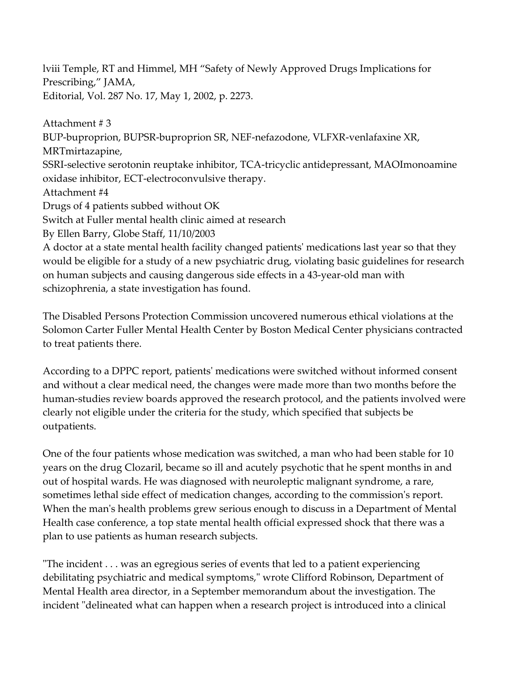lviii Temple, RT and Himmel, MH "Safety of Newly Approved Drugs Implications for Prescribing," JAMA, Editorial, Vol. 287 No. 17, May 1, 2002, p. 2273.

Attachment # 3 BUP-buproprion, BUPSR-buproprion SR, NEF-nefazodone, VLFXR-venlafaxine XR, MRTmirtazapine, SSRI-selective serotonin reuptake inhibitor, TCA-tricyclic antidepressant, MAOImonoamine oxidase inhibitor, ECT-electroconvulsive therapy. Attachment #4 Drugs of 4 patients subbed without OK Switch at Fuller mental health clinic aimed at research By Ellen Barry, Globe Staff, 11/10/2003 A doctor at a state mental health facility changed patients' medications last year so that they would be eligible for a study of a new psychiatric drug, violating basic guidelines for research on human subjects and causing dangerous side effects in a 43-year-old man with schizophrenia, a state investigation has found.

The Disabled Persons Protection Commission uncovered numerous ethical violations at the Solomon Carter Fuller Mental Health Center by Boston Medical Center physicians contracted to treat patients there.

According to a DPPC report, patients' medications were switched without informed consent and without a clear medical need, the changes were made more than two months before the human-studies review boards approved the research protocol, and the patients involved were clearly not eligible under the criteria for the study, which specified that subjects be outpatients.

One of the four patients whose medication was switched, a man who had been stable for 10 years on the drug Clozaril, became so ill and acutely psychotic that he spent months in and out of hospital wards. He was diagnosed with neuroleptic malignant syndrome, a rare, sometimes lethal side effect of medication changes, according to the commission's report. When the man's health problems grew serious enough to discuss in a Department of Mental Health case conference, a top state mental health official expressed shock that there was a plan to use patients as human research subjects.

"The incident . . . was an egregious series of events that led to a patient experiencing debilitating psychiatric and medical symptoms," wrote Clifford Robinson, Department of Mental Health area director, in a September memorandum about the investigation. The incident "delineated what can happen when a research project is introduced into a clinical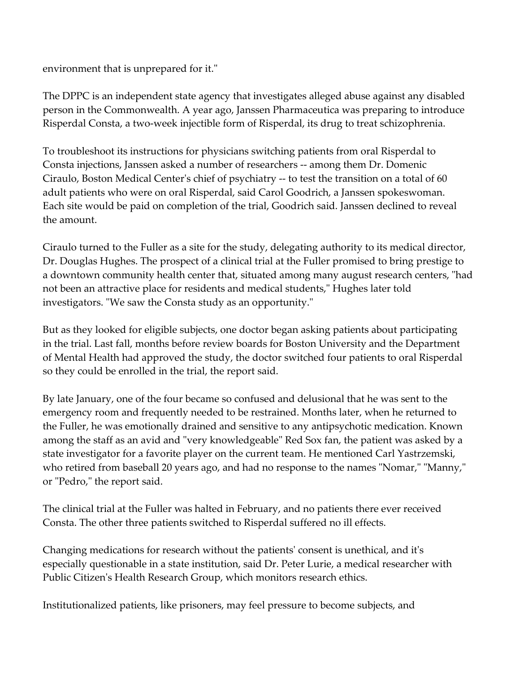environment that is unprepared for it."

The DPPC is an independent state agency that investigates alleged abuse against any disabled person in the Commonwealth. A year ago, Janssen Pharmaceutica was preparing to introduce Risperdal Consta, a two-week injectible form of Risperdal, its drug to treat schizophrenia.

To troubleshoot its instructions for physicians switching patients from oral Risperdal to Consta injections, Janssen asked a number of researchers -- among them Dr. Domenic Ciraulo, Boston Medical Center's chief of psychiatry -- to test the transition on a total of 60 adult patients who were on oral Risperdal, said Carol Goodrich, a Janssen spokeswoman. Each site would be paid on completion of the trial, Goodrich said. Janssen declined to reveal the amount.

Ciraulo turned to the Fuller as a site for the study, delegating authority to its medical director, Dr. Douglas Hughes. The prospect of a clinical trial at the Fuller promised to bring prestige to a downtown community health center that, situated among many august research centers, "had not been an attractive place for residents and medical students," Hughes later told investigators. "We saw the Consta study as an opportunity."

But as they looked for eligible subjects, one doctor began asking patients about participating in the trial. Last fall, months before review boards for Boston University and the Department of Mental Health had approved the study, the doctor switched four patients to oral Risperdal so they could be enrolled in the trial, the report said.

By late January, one of the four became so confused and delusional that he was sent to the emergency room and frequently needed to be restrained. Months later, when he returned to the Fuller, he was emotionally drained and sensitive to any antipsychotic medication. Known among the staff as an avid and "very knowledgeable" Red Sox fan, the patient was asked by a state investigator for a favorite player on the current team. He mentioned Carl Yastrzemski, who retired from baseball 20 years ago, and had no response to the names "Nomar," "Manny," or "Pedro," the report said.

The clinical trial at the Fuller was halted in February, and no patients there ever received Consta. The other three patients switched to Risperdal suffered no ill effects.

Changing medications for research without the patients' consent is unethical, and it's especially questionable in a state institution, said Dr. Peter Lurie, a medical researcher with Public Citizen's Health Research Group, which monitors research ethics.

Institutionalized patients, like prisoners, may feel pressure to become subjects, and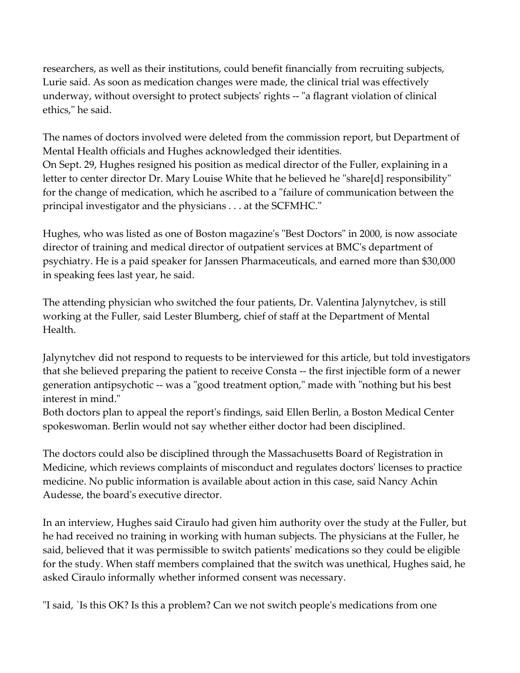researchers, as well as their institutions, could benefit financially from recruiting subjects, Lurie said. As soon as medication changes were made, the clinical trial was effectively underway, without oversight to protect subjects' rights -- "a flagrant violation of clinical ethics," he said.

The names of doctors involved were deleted from the commission report, but Department of Mental Health officials and Hughes acknowledged their identities. On Sept. 29, Hughes resigned his position as medical director of the Fuller, explaining in a letter to center director Dr. Mary Louise White that he believed he "share[d] responsibility" for the change of medication, which he ascribed to a "failure of communication between the principal investigator and the physicians . . . at the SCFMHC."

Hughes, who was listed as one of Boston magazine's "Best Doctors" in 2000, is now associate director of training and medical director of outpatient services at BMC's department of psychiatry. He is a paid speaker for Janssen Pharmaceuticals, and earned more than \$30,000 in speaking fees last year, he said.

The attending physician who switched the four patients, Dr. Valentina Jalynytchev, is still working at the Fuller, said Lester Blumberg, chief of staff at the Department of Mental Health.

Jalynytchev did not respond to requests to be interviewed for this article, but told investigators that she believed preparing the patient to receive Consta -- the first injectible form of a newer generation antipsychotic -- was a "good treatment option," made with "nothing but his best interest in mind."

Both doctors plan to appeal the report's findings, said Ellen Berlin, a Boston Medical Center spokeswoman. Berlin would not say whether either doctor had been disciplined.

The doctors could also be disciplined through the Massachusetts Board of Registration in Medicine, which reviews complaints of misconduct and regulates doctors' licenses to practice medicine. No public information is available about action in this case, said Nancy Achin Audesse, the board's executive director.

In an interview, Hughes said Ciraulo had given him authority over the study at the Fuller, but he had received no training in working with human subjects. The physicians at the Fuller, he said, believed that it was permissible to switch patients' medications so they could be eligible for the study. When staff members complained that the switch was unethical, Hughes said, he asked Ciraulo informally whether informed consent was necessary.

"I said, `Is this OK? Is this a problem? Can we not switch people's medications from one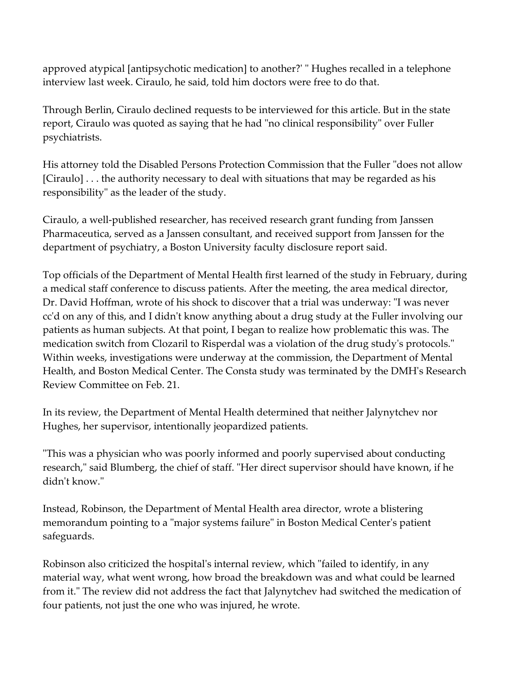approved atypical [antipsychotic medication] to another?' " Hughes recalled in a telephone interview last week. Ciraulo, he said, told him doctors were free to do that.

Through Berlin, Ciraulo declined requests to be interviewed for this article. But in the state report, Ciraulo was quoted as saying that he had "no clinical responsibility" over Fuller psychiatrists.

His attorney told the Disabled Persons Protection Commission that the Fuller "does not allow [Ciraulo] . . . the authority necessary to deal with situations that may be regarded as his responsibility" as the leader of the study.

Ciraulo, a well-published researcher, has received research grant funding from Janssen Pharmaceutica, served as a Janssen consultant, and received support from Janssen for the department of psychiatry, a Boston University faculty disclosure report said.

Top officials of the Department of Mental Health first learned of the study in February, during a medical staff conference to discuss patients. After the meeting, the area medical director, Dr. David Hoffman, wrote of his shock to discover that a trial was underway: "I was never cc'd on any of this, and I didn't know anything about a drug study at the Fuller involving our patients as human subjects. At that point, I began to realize how problematic this was. The medication switch from Clozaril to Risperdal was a violation of the drug study's protocols." Within weeks, investigations were underway at the commission, the Department of Mental Health, and Boston Medical Center. The Consta study was terminated by the DMH's Research Review Committee on Feb. 21.

In its review, the Department of Mental Health determined that neither Jalynytchev nor Hughes, her supervisor, intentionally jeopardized patients.

"This was a physician who was poorly informed and poorly supervised about conducting research," said Blumberg, the chief of staff. "Her direct supervisor should have known, if he didn't know."

Instead, Robinson, the Department of Mental Health area director, wrote a blistering memorandum pointing to a "major systems failure" in Boston Medical Center's patient safeguards.

Robinson also criticized the hospital's internal review, which "failed to identify, in any material way, what went wrong, how broad the breakdown was and what could be learned from it." The review did not address the fact that Jalynytchev had switched the medication of four patients, not just the one who was injured, he wrote.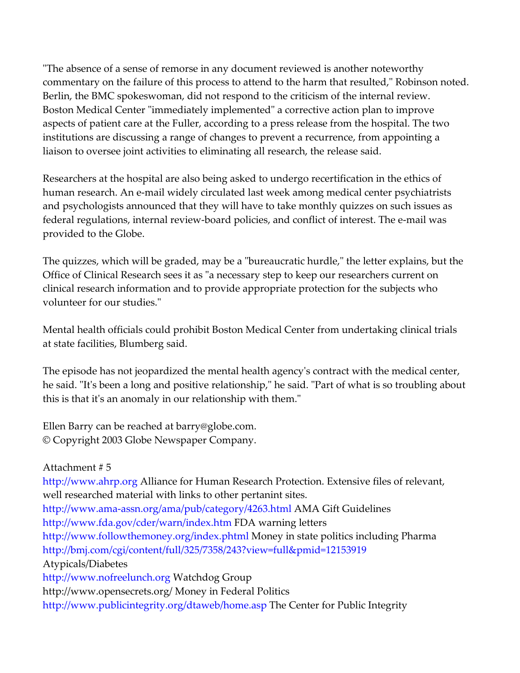"The absence of a sense of remorse in any document reviewed is another noteworthy commentary on the failure of this process to attend to the harm that resulted," Robinson noted. Berlin, the BMC spokeswoman, did not respond to the criticism of the internal review. Boston Medical Center "immediately implemented" a corrective action plan to improve aspects of patient care at the Fuller, according to a press release from the hospital. The two institutions are discussing a range of changes to prevent a recurrence, from appointing a liaison to oversee joint activities to eliminating all research, the release said.

Researchers at the hospital are also being asked to undergo recertification in the ethics of human research. An e-mail widely circulated last week among medical center psychiatrists and psychologists announced that they will have to take monthly quizzes on such issues as federal regulations, internal review-board policies, and conflict of interest. The e-mail was provided to the Globe.

The quizzes, which will be graded, may be a "bureaucratic hurdle," the letter explains, but the Office of Clinical Research sees it as "a necessary step to keep our researchers current on clinical research information and to provide appropriate protection for the subjects who volunteer for our studies."

Mental health officials could prohibit Boston Medical Center from undertaking clinical trials at state facilities, Blumberg said.

The episode has not jeopardized the mental health agency's contract with the medical center, he said. "It's been a long and positive relationship," he said. "Part of what is so troubling about this is that it's an anomaly in our relationship with them."

Ellen Barry can be reached at barry@globe.com. © Copyright 2003 Globe Newspaper Company.

Attachment # 5 http://www.ahrp.org Alliance for Human Research Protection. Extensive files of relevant, well researched material with links to other pertanint sites. http://www.ama-assn.org/ama/pub/category/4263.html AMA Gift Guidelines http://www.fda.gov/cder/warn/index.htm FDA warning letters http://www.followthemoney.org/index.phtml Money in state politics including Pharma http://bmj.com/cgi/content/full/325/7358/243?view=full&pmid=12153919 Atypicals/Diabetes http://www.nofreelunch.org Watchdog Group http://www.opensecrets.org/ Money in Federal Politics http://www.publicintegrity.org/dtaweb/home.asp The Center for Public Integrity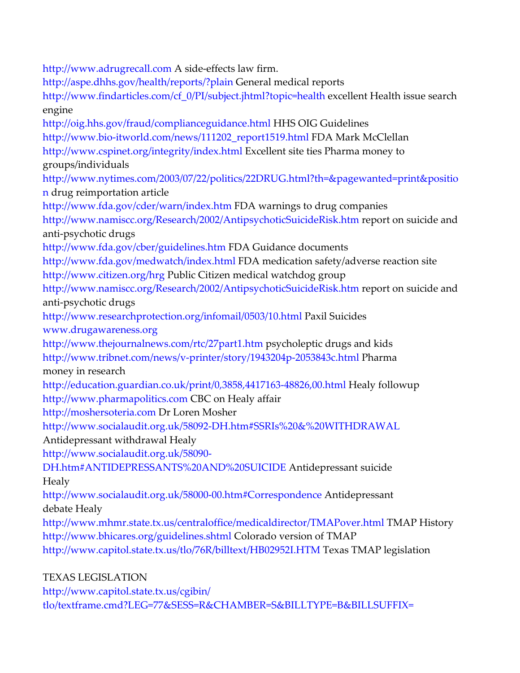http://www.adrugrecall.com A side-effects law firm. http://aspe.dhhs.gov/health/reports/?plain General medical reports http://www.findarticles.com/cf\_0/PI/subject.jhtml?topic=health excellent Health issue search engine http://oig.hhs.gov/fraud/complianceguidance.html HHS OIG Guidelines http://www.bio-itworld.com/news/111202\_report1519.html FDA Mark McClellan http://www.cspinet.org/integrity/index.html Excellent site ties Pharma money to groups/individuals http://www.nytimes.com/2003/07/22/politics/22DRUG.html?th=&pagewanted=print&positio n drug reimportation article http://www.fda.gov/cder/warn/index.htm FDA warnings to drug companies http://www.namiscc.org/Research/2002/AntipsychoticSuicideRisk.htm report on suicide and anti-psychotic drugs http://www.fda.gov/cber/guidelines.htm FDA Guidance documents http://www.fda.gov/medwatch/index.html FDA medication safety/adverse reaction site http://www.citizen.org/hrg Public Citizen medical watchdog group http://www.namiscc.org/Research/2002/AntipsychoticSuicideRisk.htm report on suicide and anti-psychotic drugs http://www.researchprotection.org/infomail/0503/10.html Paxil Suicides www.drugawareness.org http://www.thejournalnews.com/rtc/27part1.htm psycholeptic drugs and kids http://www.tribnet.com/news/v-printer/story/1943204p-2053843c.html Pharma money in research http://education.guardian.co.uk/print/0,3858,4417163-48826,00.html Healy followup http://www.pharmapolitics.com CBC on Healy affair http://moshersoteria.com Dr Loren Mosher http://www.socialaudit.org.uk/58092-DH.htm#SSRIs%20&%20WITHDRAWAL Antidepressant withdrawal Healy http://www.socialaudit.org.uk/58090- DH.htm#ANTIDEPRESSANTS%20AND%20SUICIDE Antidepressant suicide Healy http://www.socialaudit.org.uk/58000-00.htm#Correspondence Antidepressant debate Healy http://www.mhmr.state.tx.us/centraloffice/medicaldirector/TMAPover.html TMAP History http://www.bhicares.org/guidelines.shtml Colorado version of TMAP http://www.capitol.state.tx.us/tlo/76R/billtext/HB02952I.HTM Texas TMAP legislation TEXAS LEGISLATION

http://www.capitol.state.tx.us/cgibin/ tlo/textframe.cmd?LEG=77&SESS=R&CHAMBER=S&BILLTYPE=B&BILLSUFFIX=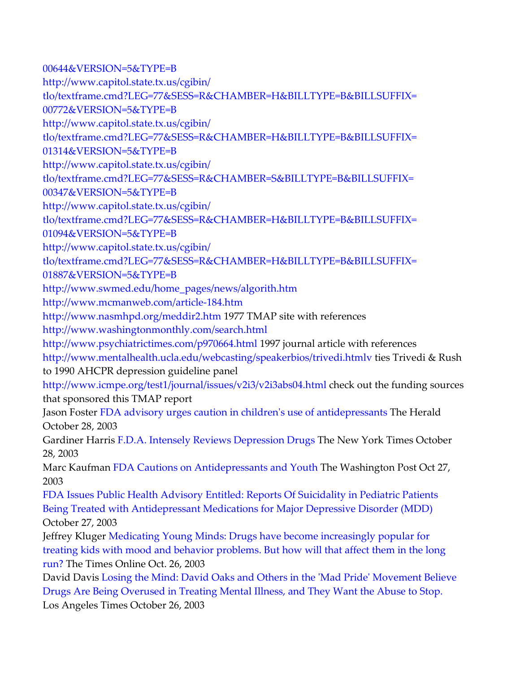00644&VERSION=5&TYPE=B http://www.capitol.state.tx.us/cgibin/ tlo/textframe.cmd?LEG=77&SESS=R&CHAMBER=H&BILLTYPE=B&BILLSUFFIX= 00772&VERSION=5&TYPE=B http://www.capitol.state.tx.us/cgibin/ tlo/textframe.cmd?LEG=77&SESS=R&CHAMBER=H&BILLTYPE=B&BILLSUFFIX= 01314&VERSION=5&TYPE=B http://www.capitol.state.tx.us/cgibin/ tlo/textframe.cmd?LEG=77&SESS=R&CHAMBER=S&BILLTYPE=B&BILLSUFFIX= 00347&VERSION=5&TYPE=B http://www.capitol.state.tx.us/cgibin/ tlo/textframe.cmd?LEG=77&SESS=R&CHAMBER=H&BILLTYPE=B&BILLSUFFIX= 01094&VERSION=5&TYPE=B http://www.capitol.state.tx.us/cgibin/ tlo/textframe.cmd?LEG=77&SESS=R&CHAMBER=H&BILLTYPE=B&BILLSUFFIX= 01887&VERSION=5&TYPE=B http://www.swmed.edu/home\_pages/news/algorith.htm http://www.mcmanweb.com/article-184.htm http://www.nasmhpd.org/meddir2.htm 1977 TMAP site with references http://www.washingtonmonthly.com/search.html http://www.psychiatrictimes.com/p970664.html 1997 journal article with references http://www.mentalhealth.ucla.edu/webcasting/speakerbios/trivedi.htmlv ties Trivedi & Rush to 1990 AHCPR depression guideline panel http://www.icmpe.org/test1/journal/issues/v2i3/v2i3abs04.html check out the funding sources that sponsored this TMAP report Jason Foster FDA advisory urges caution in children's use of antidepressants The Herald October 28, 2003 Gardiner Harris F.D.A. Intensely Reviews Depression Drugs The New York Times October 28, 2003 Marc Kaufman FDA Cautions on Antidepressants and Youth The Washington Post Oct 27, 2003 FDA Issues Public Health Advisory Entitled: Reports Of Suicidality in Pediatric Patients Being Treated with Antidepressant Medications for Major Depressive Disorder (MDD) October 27, 2003 Jeffrey Kluger Medicating Young Minds: Drugs have become increasingly popular for treating kids with mood and behavior problems. But how will that affect them in the long run? The Times Online Oct. 26, 2003 David Davis Losing the Mind: David Oaks and Others in the 'Mad Pride' Movement Believe Drugs Are Being Overused in Treating Mental Illness, and They Want the Abuse to Stop. Los Angeles Times October 26, 2003